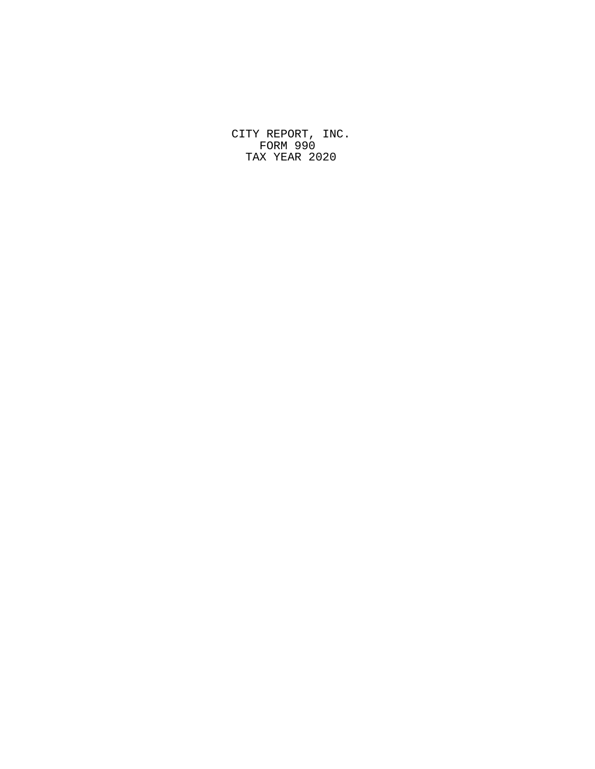CITY REPORT, INC. FORM 990 TAX YEAR 2020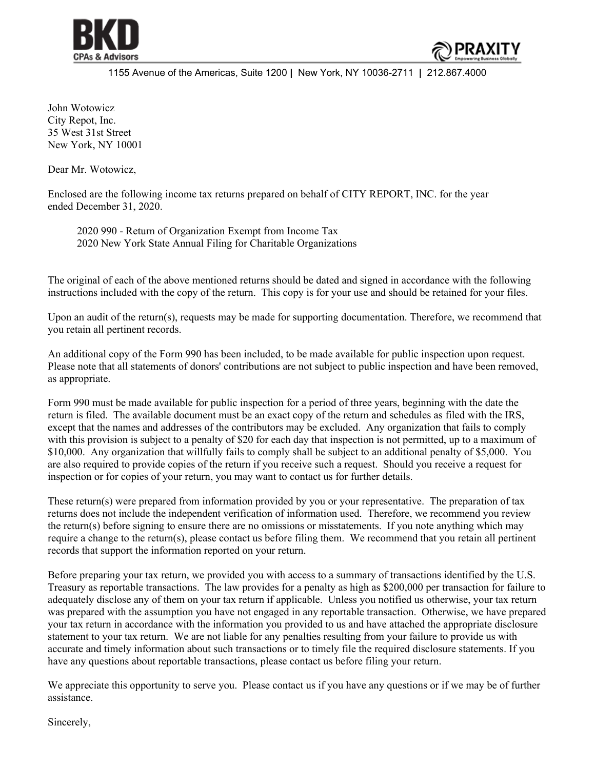



1155 Avenue of the Americas, Suite 1200 **|** New York, NY 10036-2711 **|**  212.867.4000

John Wotowicz City Repot, Inc. 35 West 31st Street New York, NY 10001

Dear Mr. Wotowicz,

Enclosed are the following income tax returns prepared on behalf of CITY REPORT, INC. for the year ended December 31, 2020.

2020 990 - Return of Organization Exempt from Income Tax 2020 New York State Annual Filing for Charitable Organizations

The original of each of the above mentioned returns should be dated and signed in accordance with the following instructions included with the copy of the return. This copy is for your use and should be retained for your files.

Upon an audit of the return(s), requests may be made for supporting documentation. Therefore, we recommend that you retain all pertinent records.

An additional copy of the Form 990 has been included, to be made available for public inspection upon request. Please note that all statements of donors' contributions are not subject to public inspection and have been removed, as appropriate.

Form 990 must be made available for public inspection for a period of three years, beginning with the date the return is filed. The available document must be an exact copy of the return and schedules as filed with the IRS, except that the names and addresses of the contributors may be excluded. Any organization that fails to comply with this provision is subject to a penalty of \$20 for each day that inspection is not permitted, up to a maximum of \$10,000. Any organization that willfully fails to comply shall be subject to an additional penalty of \$5,000. You are also required to provide copies of the return if you receive such a request. Should you receive a request for inspection or for copies of your return, you may want to contact us for further details.

These return(s) were prepared from information provided by you or your representative. The preparation of tax returns does not include the independent verification of information used. Therefore, we recommend you review the return(s) before signing to ensure there are no omissions or misstatements. If you note anything which may require a change to the return(s), please contact us before filing them. We recommend that you retain all pertinent records that support the information reported on your return.

Before preparing your tax return, we provided you with access to a summary of transactions identified by the U.S. Treasury as reportable transactions. The law provides for a penalty as high as \$200,000 per transaction for failure to adequately disclose any of them on your tax return if applicable. Unless you notified us otherwise, your tax return was prepared with the assumption you have not engaged in any reportable transaction. Otherwise, we have prepared your tax return in accordance with the information you provided to us and have attached the appropriate disclosure statement to your tax return. We are not liable for any penalties resulting from your failure to provide us with accurate and timely information about such transactions or to timely file the required disclosure statements. If you have any questions about reportable transactions, please contact us before filing your return.

We appreciate this opportunity to serve you. Please contact us if you have any questions or if we may be of further assistance.

Sincerely,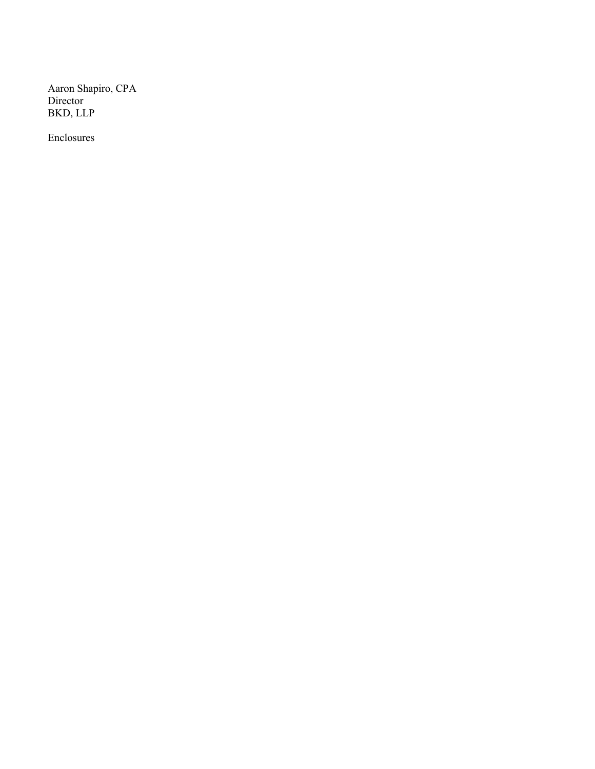Aaron Shapiro, CPA Director BKD, LLP

Enclosures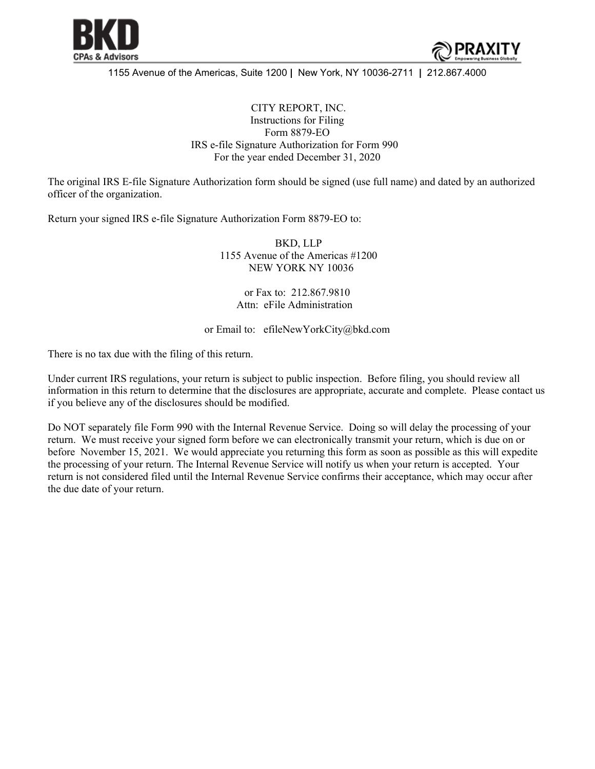



1155 Avenue of the Americas, Suite 1200 **|** New York, NY 10036-2711 **|**  212.867.4000

### CITY REPORT, INC. Instructions for Filing Form 8879-EO IRS e-file Signature Authorization for Form 990 For the year ended December 31, 2020

The original IRS E-file Signature Authorization form should be signed (use full name) and dated by an authorized officer of the organization.

Return your signed IRS e-file Signature Authorization Form 8879-EO to:

 BKD, LLP 1155 Avenue of the Americas #1200 NEW YORK NY 10036

> or Fax to: 212.867.9810 Attn: eFile Administration

or Email to: efileNewYorkCity@bkd.com

There is no tax due with the filing of this return.

Under current IRS regulations, your return is subject to public inspection. Before filing, you should review all information in this return to determine that the disclosures are appropriate, accurate and complete. Please contact us if you believe any of the disclosures should be modified.

Do NOT separately file Form 990 with the Internal Revenue Service. Doing so will delay the processing of your return. We must receive your signed form before we can electronically transmit your return, which is due on or before November 15, 2021. We would appreciate you returning this form as soon as possible as this will expedite the processing of your return. The Internal Revenue Service will notify us when your return is accepted. Your return is not considered filed until the Internal Revenue Service confirms their acceptance, which may occur after the due date of your return.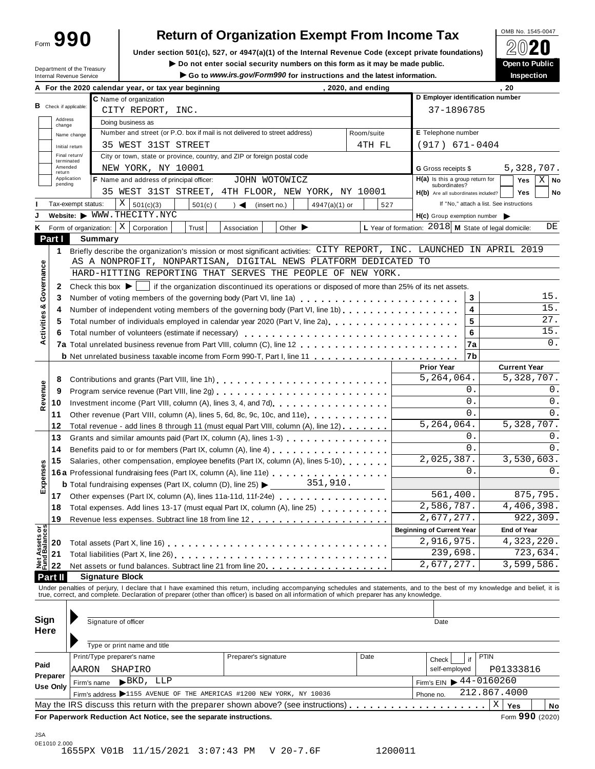Form **990**

# **Return of Organization Exempt From Income Tax**

**Under section 501(c), 527, or 4947(a)(1) of the Internal Revenue Code (except private foundations)** À¾¶´

Department of the Treasury

I **Do not enter social security numbers on this form as it may be made public. Open to Public** Go to www.irs.gov/Form990 for instructions and the latest information.

|                                |                               | A For the 2020 calendar year, or tax year beginning                                                                                                                        |                                                                                                 | , 2020, and ending |                                                        | , 20                                     |
|--------------------------------|-------------------------------|----------------------------------------------------------------------------------------------------------------------------------------------------------------------------|-------------------------------------------------------------------------------------------------|--------------------|--------------------------------------------------------|------------------------------------------|
|                                |                               | C Name of organization                                                                                                                                                     |                                                                                                 |                    | D Employer identification number                       |                                          |
|                                | <b>B</b> Check if applicable: | CITY REPORT, INC.                                                                                                                                                          |                                                                                                 |                    | 37-1896785                                             |                                          |
|                                | Address<br>change             | Doing business as                                                                                                                                                          |                                                                                                 |                    |                                                        |                                          |
|                                |                               | Number and street (or P.O. box if mail is not delivered to street address)<br>Name change                                                                                  |                                                                                                 | Room/suite         | E Telephone number                                     |                                          |
|                                |                               | 35 WEST 31ST STREET<br>Initial return                                                                                                                                      |                                                                                                 | 4TH FL             | $(917) 671 - 0404$                                     |                                          |
|                                | terminated                    | City or town, state or province, country, and ZIP or foreign postal code<br>Final return/                                                                                  |                                                                                                 |                    |                                                        |                                          |
|                                | Amended<br>return             | NEW YORK, NY 10001                                                                                                                                                         |                                                                                                 |                    | G Gross receipts \$                                    | 5,328,707.                               |
|                                | Application<br>pending        | F Name and address of principal officer:                                                                                                                                   | JOHN WOTOWICZ                                                                                   |                    | $H(a)$ is this a group return for                      | $X \mid$ No<br>Yes                       |
|                                |                               |                                                                                                                                                                            | 35 WEST 31ST STREET, 4TH FLOOR, NEW YORK, NY 10001                                              |                    | subordinates?<br>H(b) Are all subordinates included?   | <b>Yes</b><br>No                         |
|                                |                               | $X \big  501(c)(3)$<br>Tax-exempt status:<br>$501(c)$ (                                                                                                                    | (insert no.)<br>4947(a)(1) or<br>$\rightarrow$                                                  | 527                |                                                        | If "No," attach a list. See instructions |
|                                |                               | Website: WWW.THECITY.NYC                                                                                                                                                   |                                                                                                 |                    | $H(c)$ Group exemption number                          |                                          |
| Κ                              |                               | Form of organization: $X \mid$ Corporation<br>Trust                                                                                                                        | Other $\blacktriangleright$<br>Association                                                      |                    | L Year of formation: $2018$ M State of legal domicile: | DE                                       |
|                                | Part I                        | <b>Summary</b>                                                                                                                                                             |                                                                                                 |                    |                                                        |                                          |
|                                | 1                             | Briefly describe the organization's mission or most significant activities: CITY REPORT, INC. LAUNCHED IN APRIL 2019                                                       |                                                                                                 |                    |                                                        |                                          |
|                                |                               | AS A NONPROFIT, NONPARTISAN, DIGITAL NEWS PLATFORM DEDICATED TO                                                                                                            |                                                                                                 |                    |                                                        |                                          |
|                                |                               | HARD-HITTING REPORTING THAT SERVES THE PEOPLE OF NEW YORK.                                                                                                                 |                                                                                                 |                    |                                                        |                                          |
|                                |                               |                                                                                                                                                                            |                                                                                                 |                    |                                                        |                                          |
| Governance                     | 2                             | Check this box $\blacktriangleright$                                                                                                                                       | if the organization discontinued its operations or disposed of more than 25% of its net assets. |                    |                                                        | 15.                                      |
|                                | 3                             | Number of voting members of the governing body (Part VI, line 1a)                                                                                                          |                                                                                                 |                    | 3                                                      | $\overline{15}$ .                        |
| ctivities &                    | 4                             | Number of independent voting members of the governing body (Part VI, line 1b)                                                                                              |                                                                                                 |                    | 4                                                      | 27.                                      |
|                                | 5                             | Total number of individuals employed in calendar year 2020 (Part V, line 2a)                                                                                               |                                                                                                 |                    | 5                                                      |                                          |
|                                | 6                             |                                                                                                                                                                            |                                                                                                 |                    | 6                                                      | 15.                                      |
|                                |                               |                                                                                                                                                                            |                                                                                                 |                    | 7a                                                     | 0.                                       |
|                                |                               |                                                                                                                                                                            |                                                                                                 |                    | 7b                                                     |                                          |
|                                |                               |                                                                                                                                                                            |                                                                                                 |                    | <b>Prior Year</b>                                      | <b>Current Year</b>                      |
|                                | 8                             |                                                                                                                                                                            |                                                                                                 |                    | 5,264,064.                                             | 5,328,707.                               |
|                                | 9                             |                                                                                                                                                                            |                                                                                                 |                    | 0.                                                     | 0.                                       |
| Revenue                        | 10                            |                                                                                                                                                                            |                                                                                                 |                    | 0.                                                     | 0.                                       |
|                                | 11                            | Other revenue (Part VIII, column (A), lines 5, 6d, 8c, 9c, 10c, and 11e)                                                                                                   |                                                                                                 |                    | 0.                                                     | 0.                                       |
|                                | 12                            | Total revenue - add lines 8 through 11 (must equal Part VIII, column (A), line 12)                                                                                         |                                                                                                 |                    | 5, 264, 064.                                           | 5,328,707.                               |
|                                | 13                            | Grants and similar amounts paid (Part IX, column (A), lines 1-3)                                                                                                           |                                                                                                 |                    | 0.                                                     | 0.                                       |
|                                | 14                            | Benefits paid to or for members (Part IX, column (A), line 4)                                                                                                              |                                                                                                 |                    | 0.                                                     | 0.                                       |
|                                | 15                            | Salaries, other compensation, employee benefits (Part IX, column (A), lines 5-10)                                                                                          |                                                                                                 |                    | 2,025,387.                                             | 3,530,603.                               |
| Expenses                       |                               | 16a Professional fundraising fees (Part IX, column (A), line 11e)                                                                                                          |                                                                                                 |                    | 0.                                                     | 0.                                       |
|                                |                               | <b>b</b> Total fundraising expenses (Part IX, column (D), line 25) $\blacktriangleright$                                                                                   | 351,910.                                                                                        |                    |                                                        |                                          |
|                                | 17                            | Other expenses (Part IX, column (A), lines 11a-11d, 11f-24e)                                                                                                               |                                                                                                 |                    | 561,400.                                               | 875,795.                                 |
|                                | 18                            | Total expenses. Add lines 13-17 (must equal Part IX, column (A), line 25)                                                                                                  |                                                                                                 |                    | 2,586,787.                                             | 4,406,398.                               |
|                                | 19                            |                                                                                                                                                                            |                                                                                                 |                    | 2,677,277.                                             | 922,309.                                 |
|                                |                               |                                                                                                                                                                            |                                                                                                 |                    | <b>Beginning of Current Year</b>                       | <b>End of Year</b>                       |
|                                | 20                            |                                                                                                                                                                            |                                                                                                 |                    | 2,916,975.                                             | 4,323,220.                               |
| Net Assets or<br>Fund Balances | 21                            |                                                                                                                                                                            |                                                                                                 |                    | 239,698.                                               | 723,634.                                 |
|                                | 22                            | Net assets or fund balances. Subtract line 21 from line 20.                                                                                                                |                                                                                                 |                    | 2,677,277.                                             | 3,599,586.                               |
|                                | <b>Part II</b>                | <b>Signature Block</b>                                                                                                                                                     |                                                                                                 |                    |                                                        |                                          |
|                                |                               | Under penalties of perjury, I declare that I have examined this return, including accompanying schedules and statements, and to the best of my knowledge and belief, it is |                                                                                                 |                    |                                                        |                                          |
|                                |                               | true, correct, and complete. Declaration of preparer (other than officer) is based on all information of which preparer has any knowledge.                                 |                                                                                                 |                    |                                                        |                                          |
|                                |                               |                                                                                                                                                                            |                                                                                                 |                    |                                                        |                                          |
| Sign                           |                               | Signature of officer                                                                                                                                                       |                                                                                                 |                    | Date                                                   |                                          |
| Here                           |                               |                                                                                                                                                                            |                                                                                                 |                    |                                                        |                                          |
|                                |                               | Type or print name and title                                                                                                                                               |                                                                                                 |                    |                                                        |                                          |
|                                |                               | Print/Type preparer's name                                                                                                                                                 | Preparer's signature                                                                            | Date               |                                                        | <b>PTIN</b>                              |
| Paid                           |                               | AARON<br>SHAPIRO                                                                                                                                                           |                                                                                                 |                    | if<br>Check<br>self-employed                           | P01333816                                |
|                                | Preparer                      |                                                                                                                                                                            |                                                                                                 |                    |                                                        |                                          |
|                                | Use Only                      | $\blacktriangleright$ BKD, LLP<br>Firm's name                                                                                                                              |                                                                                                 |                    | Firm's EIN $\triangleright$ 44-0160260                 |                                          |
|                                |                               | Firm's address >1155 AVENUE OF THE AMERICAS #1200 NEW YORK, NY 10036                                                                                                       |                                                                                                 |                    | Phone no.                                              | 212.867.4000                             |
|                                |                               |                                                                                                                                                                            |                                                                                                 |                    |                                                        | Χ<br>Yes<br>No                           |
|                                |                               | For Paperwork Reduction Act Notice, see the separate instructions.                                                                                                         |                                                                                                 |                    |                                                        | Form 990 (2020)                          |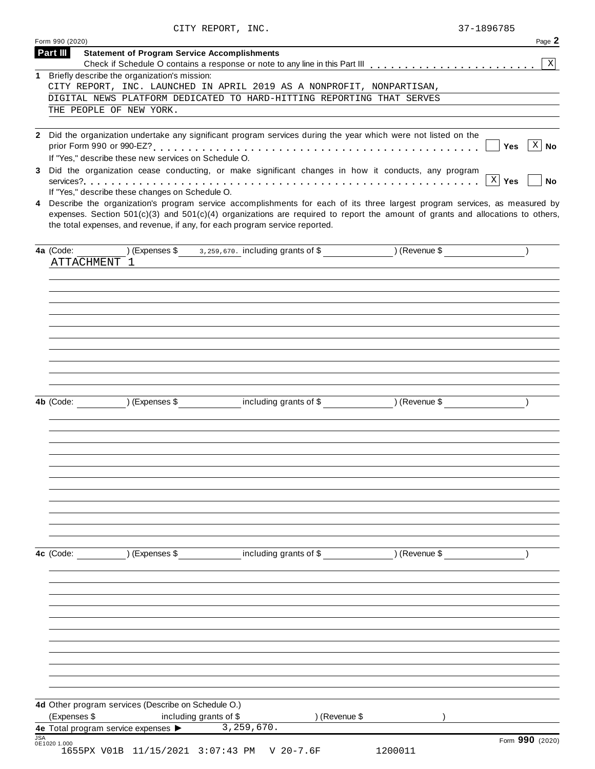| Part III<br><b>Statement of Program Service Accomplishments</b><br>1 Briefly describe the organization's mission:<br>CITY REPORT, INC. LAUNCHED IN APRIL 2019 AS A NONPROFIT, NONPARTISAN,<br>DIGITAL NEWS PLATFORM DEDICATED TO HARD-HITTING REPORTING THAT SERVES<br>THE PEOPLE OF NEW YORK.<br>2 Did the organization undertake any significant program services during the year which were not listed on the<br>If "Yes," describe these new services on Schedule O.<br>Did the organization cease conducting, or make significant changes in how it conducts, any program<br>3<br>X Yes<br>If "Yes," describe these changes on Schedule O.<br>4 Describe the organization's program service accomplishments for each of its three largest program services, as measured by<br>expenses. Section $501(c)(3)$ and $501(c)(4)$ organizations are required to report the amount of grants and allocations to others,<br>the total expenses, and revenue, if any, for each program service reported.<br>$(\text{Expenses }$ \$ 3,259,670. including grants of \$ ) (Revenue \$ )<br>4a (Code:<br>ATTACHMENT 1<br>4b (Code: ) (Expenses \$ including grants of \$ ) (Revenue \$<br>(Expenses \$ including grants of \$ ) (Revenue \$<br>4c (Code: |                 |
|--------------------------------------------------------------------------------------------------------------------------------------------------------------------------------------------------------------------------------------------------------------------------------------------------------------------------------------------------------------------------------------------------------------------------------------------------------------------------------------------------------------------------------------------------------------------------------------------------------------------------------------------------------------------------------------------------------------------------------------------------------------------------------------------------------------------------------------------------------------------------------------------------------------------------------------------------------------------------------------------------------------------------------------------------------------------------------------------------------------------------------------------------------------------------------------------------------------------------------------------------|-----------------|
|                                                                                                                                                                                                                                                                                                                                                                                                                                                                                                                                                                                                                                                                                                                                                                                                                                                                                                                                                                                                                                                                                                                                                                                                                                                  |                 |
|                                                                                                                                                                                                                                                                                                                                                                                                                                                                                                                                                                                                                                                                                                                                                                                                                                                                                                                                                                                                                                                                                                                                                                                                                                                  | $\mathbf{x}$    |
|                                                                                                                                                                                                                                                                                                                                                                                                                                                                                                                                                                                                                                                                                                                                                                                                                                                                                                                                                                                                                                                                                                                                                                                                                                                  |                 |
|                                                                                                                                                                                                                                                                                                                                                                                                                                                                                                                                                                                                                                                                                                                                                                                                                                                                                                                                                                                                                                                                                                                                                                                                                                                  |                 |
|                                                                                                                                                                                                                                                                                                                                                                                                                                                                                                                                                                                                                                                                                                                                                                                                                                                                                                                                                                                                                                                                                                                                                                                                                                                  |                 |
|                                                                                                                                                                                                                                                                                                                                                                                                                                                                                                                                                                                                                                                                                                                                                                                                                                                                                                                                                                                                                                                                                                                                                                                                                                                  |                 |
|                                                                                                                                                                                                                                                                                                                                                                                                                                                                                                                                                                                                                                                                                                                                                                                                                                                                                                                                                                                                                                                                                                                                                                                                                                                  | $ X $ No<br>Yes |
|                                                                                                                                                                                                                                                                                                                                                                                                                                                                                                                                                                                                                                                                                                                                                                                                                                                                                                                                                                                                                                                                                                                                                                                                                                                  | No              |
|                                                                                                                                                                                                                                                                                                                                                                                                                                                                                                                                                                                                                                                                                                                                                                                                                                                                                                                                                                                                                                                                                                                                                                                                                                                  |                 |
|                                                                                                                                                                                                                                                                                                                                                                                                                                                                                                                                                                                                                                                                                                                                                                                                                                                                                                                                                                                                                                                                                                                                                                                                                                                  |                 |
|                                                                                                                                                                                                                                                                                                                                                                                                                                                                                                                                                                                                                                                                                                                                                                                                                                                                                                                                                                                                                                                                                                                                                                                                                                                  |                 |
|                                                                                                                                                                                                                                                                                                                                                                                                                                                                                                                                                                                                                                                                                                                                                                                                                                                                                                                                                                                                                                                                                                                                                                                                                                                  |                 |
|                                                                                                                                                                                                                                                                                                                                                                                                                                                                                                                                                                                                                                                                                                                                                                                                                                                                                                                                                                                                                                                                                                                                                                                                                                                  |                 |
|                                                                                                                                                                                                                                                                                                                                                                                                                                                                                                                                                                                                                                                                                                                                                                                                                                                                                                                                                                                                                                                                                                                                                                                                                                                  |                 |
|                                                                                                                                                                                                                                                                                                                                                                                                                                                                                                                                                                                                                                                                                                                                                                                                                                                                                                                                                                                                                                                                                                                                                                                                                                                  |                 |
|                                                                                                                                                                                                                                                                                                                                                                                                                                                                                                                                                                                                                                                                                                                                                                                                                                                                                                                                                                                                                                                                                                                                                                                                                                                  |                 |
|                                                                                                                                                                                                                                                                                                                                                                                                                                                                                                                                                                                                                                                                                                                                                                                                                                                                                                                                                                                                                                                                                                                                                                                                                                                  |                 |
|                                                                                                                                                                                                                                                                                                                                                                                                                                                                                                                                                                                                                                                                                                                                                                                                                                                                                                                                                                                                                                                                                                                                                                                                                                                  |                 |
|                                                                                                                                                                                                                                                                                                                                                                                                                                                                                                                                                                                                                                                                                                                                                                                                                                                                                                                                                                                                                                                                                                                                                                                                                                                  |                 |
|                                                                                                                                                                                                                                                                                                                                                                                                                                                                                                                                                                                                                                                                                                                                                                                                                                                                                                                                                                                                                                                                                                                                                                                                                                                  |                 |
| 4d Other program services (Describe on Schedule O.)<br>(Expenses \$<br>including grants of \$<br>) (Revenue \$<br>3,259,670.<br>4e Total program service expenses >                                                                                                                                                                                                                                                                                                                                                                                                                                                                                                                                                                                                                                                                                                                                                                                                                                                                                                                                                                                                                                                                              |                 |
| <b>JSA</b><br>0E1020 1.000                                                                                                                                                                                                                                                                                                                                                                                                                                                                                                                                                                                                                                                                                                                                                                                                                                                                                                                                                                                                                                                                                                                                                                                                                       | Form 990 (2020) |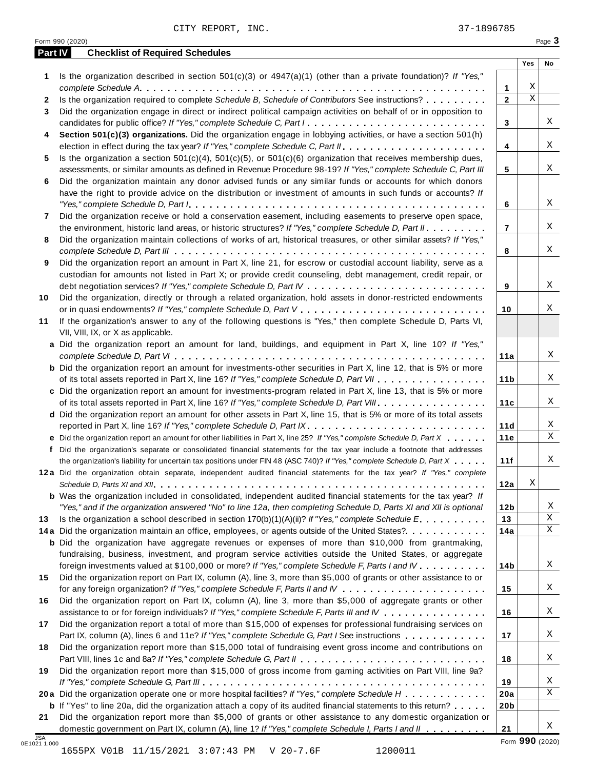| 1            | Is the organization described in section $501(c)(3)$ or $4947(a)(1)$ (other than a private foundation)? If "Yes,"                                                                                                               |                        | Yes                     | No |
|--------------|---------------------------------------------------------------------------------------------------------------------------------------------------------------------------------------------------------------------------------|------------------------|-------------------------|----|
|              |                                                                                                                                                                                                                                 | 1                      | Χ                       |    |
| $\mathbf{2}$ | Is the organization required to complete Schedule B, Schedule of Contributors See instructions?                                                                                                                                 | $\overline{2}$         | $\overline{\mathbf{x}}$ |    |
| 3            | Did the organization engage in direct or indirect political campaign activities on behalf of or in opposition to                                                                                                                |                        |                         |    |
|              |                                                                                                                                                                                                                                 | 3                      |                         |    |
| 4            | Section 501(c)(3) organizations. Did the organization engage in lobbying activities, or have a section 501(h)                                                                                                                   |                        |                         |    |
|              |                                                                                                                                                                                                                                 | 4                      |                         |    |
| 5.           | Is the organization a section $501(c)(4)$ , $501(c)(5)$ , or $501(c)(6)$ organization that receives membership dues,                                                                                                            |                        |                         |    |
|              | assessments, or similar amounts as defined in Revenue Procedure 98-19? If "Yes," complete Schedule C, Part III                                                                                                                  | 5                      |                         |    |
| 6            | Did the organization maintain any donor advised funds or any similar funds or accounts for which donors                                                                                                                         |                        |                         |    |
|              | have the right to provide advice on the distribution or investment of amounts in such funds or accounts? If                                                                                                                     |                        |                         |    |
|              |                                                                                                                                                                                                                                 | 6                      |                         |    |
| 7            | Did the organization receive or hold a conservation easement, including easements to preserve open space,                                                                                                                       |                        |                         |    |
|              | the environment, historic land areas, or historic structures? If "Yes," complete Schedule D, Part II.                                                                                                                           | 7                      |                         |    |
| 8            | Did the organization maintain collections of works of art, historical treasures, or other similar assets? If "Yes,"                                                                                                             |                        |                         |    |
|              |                                                                                                                                                                                                                                 | 8                      |                         |    |
| 9            | Did the organization report an amount in Part X, line 21, for escrow or custodial account liability, serve as a<br>custodian for amounts not listed in Part X; or provide credit counseling, debt management, credit repair, or |                        |                         |    |
|              |                                                                                                                                                                                                                                 | 9                      |                         |    |
| 10           | Did the organization, directly or through a related organization, hold assets in donor-restricted endowments                                                                                                                    |                        |                         |    |
|              |                                                                                                                                                                                                                                 | 10                     |                         |    |
| 11           | If the organization's answer to any of the following questions is "Yes," then complete Schedule D, Parts VI,                                                                                                                    |                        |                         |    |
|              | VII, VIII, IX, or X as applicable.                                                                                                                                                                                              |                        |                         |    |
|              | a Did the organization report an amount for land, buildings, and equipment in Part X, line 10? If "Yes,"                                                                                                                        |                        |                         |    |
|              |                                                                                                                                                                                                                                 | 11a                    |                         |    |
|              | <b>b</b> Did the organization report an amount for investments-other securities in Part X, line 12, that is 5% or more                                                                                                          |                        |                         |    |
|              | of its total assets reported in Part X, line 16? If "Yes," complete Schedule D, Part VII                                                                                                                                        | 11 <sub>b</sub>        |                         |    |
|              | c Did the organization report an amount for investments-program related in Part X, line 13, that is 5% or more                                                                                                                  |                        |                         |    |
|              | of its total assets reported in Part X, line 16? If "Yes," complete Schedule D, Part VIII                                                                                                                                       | 11c                    |                         |    |
|              | d Did the organization report an amount for other assets in Part X, line 15, that is 5% or more of its total assets                                                                                                             |                        |                         |    |
|              |                                                                                                                                                                                                                                 | 11d                    |                         |    |
|              | e Did the organization report an amount for other liabilities in Part X, line 25? If "Yes," complete Schedule D, Part X                                                                                                         | 11e                    |                         |    |
|              | f Did the organization's separate or consolidated financial statements for the tax year include a footnote that addresses                                                                                                       |                        |                         |    |
|              | the organization's liability for uncertain tax positions under FIN 48 (ASC 740)? If "Yes," complete Schedule D, Part X                                                                                                          | 11f                    |                         |    |
|              | 12a Did the organization obtain separate, independent audited financial statements for the tax year? If "Yes," complete                                                                                                         | 12a                    | Χ                       |    |
|              | <b>b</b> Was the organization included in consolidated, independent audited financial statements for the tax year? If                                                                                                           |                        |                         |    |
|              | "Yes," and if the organization answered "No" to line 12a, then completing Schedule D, Parts XI and XII is optional                                                                                                              | 12 <sub>b</sub>        |                         |    |
| 13           | Is the organization a school described in section $170(b)(1)(A)(ii)$ ? If "Yes," complete Schedule E                                                                                                                            | 13                     |                         |    |
|              | 14a Did the organization maintain an office, employees, or agents outside of the United States?.                                                                                                                                | 14a                    |                         |    |
|              | <b>b</b> Did the organization have aggregate revenues or expenses of more than \$10,000 from grantmaking,                                                                                                                       |                        |                         |    |
|              | fundraising, business, investment, and program service activities outside the United States, or aggregate                                                                                                                       |                        |                         |    |
|              | foreign investments valued at \$100,000 or more? If "Yes," complete Schedule F, Parts I and IV                                                                                                                                  | 14b                    |                         |    |
| 15           | Did the organization report on Part IX, column (A), line 3, more than \$5,000 of grants or other assistance to or                                                                                                               |                        |                         |    |
|              |                                                                                                                                                                                                                                 | 15                     |                         |    |
| 16           | Did the organization report on Part IX, column (A), line 3, more than \$5,000 of aggregate grants or other                                                                                                                      |                        |                         |    |
|              | assistance to or for foreign individuals? If "Yes," complete Schedule F, Parts III and IV                                                                                                                                       | 16                     |                         |    |
| 17           | Did the organization report a total of more than \$15,000 of expenses for professional fundraising services on                                                                                                                  |                        |                         |    |
|              | Part IX, column (A), lines 6 and 11e? If "Yes," complete Schedule G, Part I See instructions                                                                                                                                    | 17                     |                         |    |
| 18           | Did the organization report more than \$15,000 total of fundraising event gross income and contributions on                                                                                                                     |                        |                         |    |
|              |                                                                                                                                                                                                                                 | 18                     |                         |    |
| 19           | Did the organization report more than \$15,000 of gross income from gaming activities on Part VIII, line 9a?                                                                                                                    |                        |                         |    |
|              |                                                                                                                                                                                                                                 | 19                     |                         |    |
|              | 20a Did the organization operate one or more hospital facilities? If "Yes," complete Schedule H<br><b>b</b> If "Yes" to line 20a, did the organization attach a copy of its audited financial statements to this return?        | 20a<br>20 <sub>b</sub> |                         |    |
|              |                                                                                                                                                                                                                                 |                        |                         |    |
| 21           | Did the organization report more than \$5,000 of grants or other assistance to any domestic organization or                                                                                                                     |                        |                         |    |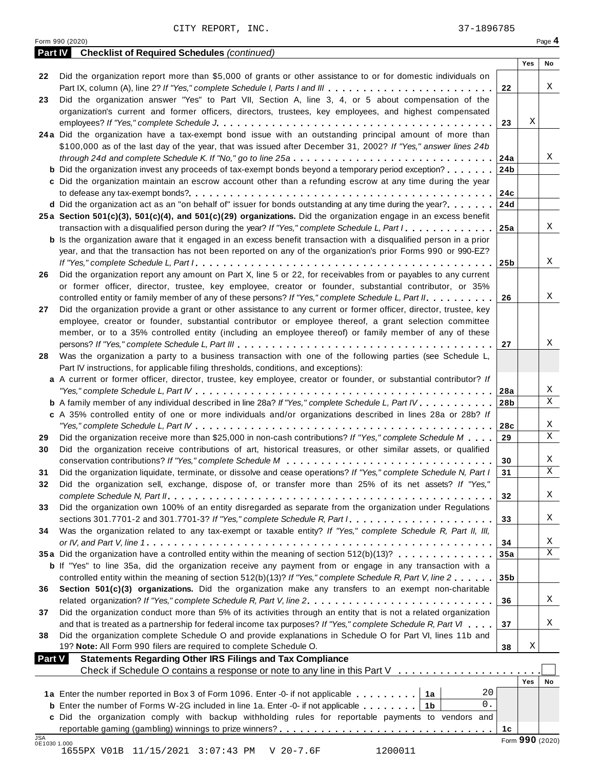Form <sup>990</sup> (2020) Page **4**

| Part IV                    | <b>Checklist of Required Schedules (continued)</b>                                                                                   |                 |                 |             |
|----------------------------|--------------------------------------------------------------------------------------------------------------------------------------|-----------------|-----------------|-------------|
|                            |                                                                                                                                      |                 | Yes             | No          |
| 22                         | Did the organization report more than \$5,000 of grants or other assistance to or for domestic individuals on                        |                 |                 |             |
|                            |                                                                                                                                      | 22              |                 | X           |
| 23                         | Did the organization answer "Yes" to Part VII, Section A, line 3, 4, or 5 about compensation of the                                  |                 |                 |             |
|                            | organization's current and former officers, directors, trustees, key employees, and highest compensated                              |                 | Χ               |             |
|                            | 24a Did the organization have a tax-exempt bond issue with an outstanding principal amount of more than                              | 23              |                 |             |
|                            | \$100,000 as of the last day of the year, that was issued after December 31, 2002? If "Yes," answer lines 24b                        |                 |                 |             |
|                            | through 24d and complete Schedule K. If "No," go to line 25a                                                                         | 24a             |                 | Χ           |
|                            | <b>b</b> Did the organization invest any proceeds of tax-exempt bonds beyond a temporary period exception?                           | 24 <sub>b</sub> |                 |             |
|                            | c Did the organization maintain an escrow account other than a refunding escrow at any time during the year                          |                 |                 |             |
|                            |                                                                                                                                      | 24c             |                 |             |
|                            | d Did the organization act as an "on behalf of" issuer for bonds outstanding at any time during the year?                            | 24d             |                 |             |
|                            | 25a Section 501(c)(3), 501(c)(4), and 501(c)(29) organizations. Did the organization engage in an excess benefit                     |                 |                 |             |
|                            | transaction with a disqualified person during the year? If "Yes," complete Schedule L, Part I                                        | 25a             |                 | X           |
|                            | <b>b</b> Is the organization aware that it engaged in an excess benefit transaction with a disqualified person in a prior            |                 |                 |             |
|                            | year, and that the transaction has not been reported on any of the organization's prior Forms 990 or 990-EZ?                         |                 |                 |             |
|                            |                                                                                                                                      | 25 <sub>b</sub> |                 | X           |
| 26                         | Did the organization report any amount on Part X, line 5 or 22, for receivables from or payables to any current                      |                 |                 |             |
|                            | or former officer, director, trustee, key employee, creator or founder, substantial contributor, or 35%                              |                 |                 |             |
|                            | controlled entity or family member of any of these persons? If "Yes," complete Schedule L, Part II.                                  | 26              |                 | X           |
| 27                         | Did the organization provide a grant or other assistance to any current or former officer, director, trustee, key                    |                 |                 |             |
|                            | employee, creator or founder, substantial contributor or employee thereof, a grant selection committee                               |                 |                 |             |
|                            | member, or to a 35% controlled entity (including an employee thereof) or family member of any of these                               |                 |                 |             |
|                            |                                                                                                                                      | 27              |                 | Χ           |
| 28                         | Was the organization a party to a business transaction with one of the following parties (see Schedule L,                            |                 |                 |             |
|                            | Part IV instructions, for applicable filing thresholds, conditions, and exceptions):                                                 |                 |                 |             |
|                            | a A current or former officer, director, trustee, key employee, creator or founder, or substantial contributor? If                   |                 |                 |             |
|                            |                                                                                                                                      | 28a             |                 | Χ           |
|                            | <b>b</b> A family member of any individual described in line 28a? If "Yes," complete Schedule L, Part IV.                            | 28b             |                 | X           |
|                            | c A 35% controlled entity of one or more individuals and/or organizations described in lines 28a or 28b? If                          |                 |                 |             |
|                            |                                                                                                                                      | 28c             |                 | X           |
| 29                         | Did the organization receive more than \$25,000 in non-cash contributions? If "Yes," complete Schedule M                             | 29              |                 | X           |
| 30                         | Did the organization receive contributions of art, historical treasures, or other similar assets, or qualified                       |                 |                 |             |
|                            |                                                                                                                                      | 30              |                 | Χ           |
| 31                         | Did the organization liquidate, terminate, or dissolve and cease operations? If "Yes," complete Schedule N, Part I                   | 31              |                 | Χ           |
| 32                         | Did the organization sell, exchange, dispose of, or transfer more than 25% of its net assets? If "Yes,"                              |                 |                 |             |
|                            |                                                                                                                                      | 32              |                 | Χ           |
| 33                         | Did the organization own 100% of an entity disregarded as separate from the organization under Regulations                           |                 |                 |             |
|                            | sections 301.7701-2 and 301.7701-3? If "Yes," complete Schedule R, Part /                                                            | 33              |                 | Χ           |
| 34                         | Was the organization related to any tax-exempt or taxable entity? If "Yes," complete Schedule R, Part II, III,                       |                 |                 |             |
|                            |                                                                                                                                      | 34              |                 | Χ           |
|                            | 35a Did the organization have a controlled entity within the meaning of section 512(b)(13)?                                          | 35a             |                 | $\mathbf X$ |
|                            | <b>b</b> If "Yes" to line 35a, did the organization receive any payment from or engage in any transaction with a                     |                 |                 |             |
|                            | controlled entity within the meaning of section 512(b)(13)? If "Yes," complete Schedule R, Part V, line 2                            | 35 <sub>b</sub> |                 |             |
| 36                         | Section 501(c)(3) organizations. Did the organization make any transfers to an exempt non-charitable                                 |                 |                 |             |
|                            | related organization? If "Yes," complete Schedule R, Part V, line 2.                                                                 | 36              |                 | X           |
| 37                         | Did the organization conduct more than 5% of its activities through an entity that is not a related organization                     |                 |                 |             |
|                            | and that is treated as a partnership for federal income tax purposes? If "Yes," complete Schedule R, Part VI                         | 37              |                 | Χ           |
| 38                         | Did the organization complete Schedule O and provide explanations in Schedule O for Part VI, lines 11b and                           |                 |                 |             |
|                            | 19? Note: All Form 990 filers are required to complete Schedule O.                                                                   | 38              | Χ               |             |
| <b>Part V</b>              | <b>Statements Regarding Other IRS Filings and Tax Compliance</b>                                                                     |                 |                 |             |
|                            | Check if Schedule O contains a response or note to any line in this Part V                                                           |                 |                 |             |
|                            |                                                                                                                                      |                 | <b>Yes</b>      | No          |
|                            | 20<br>1a Enter the number reported in Box 3 of Form 1096. Enter -0- if not applicable<br>1a                                          |                 |                 |             |
|                            | 0.<br><b>b</b> Enter the number of Forms W-2G included in line 1a. Enter -0- if not applicable $\dots \dots \dots$<br>1 <sub>b</sub> |                 |                 |             |
|                            | c Did the organization comply with backup withholding rules for reportable payments to vendors and                                   |                 |                 |             |
|                            |                                                                                                                                      | 1c              |                 |             |
| <b>JSA</b><br>0E1030 1.000 |                                                                                                                                      |                 | Form 990 (2020) |             |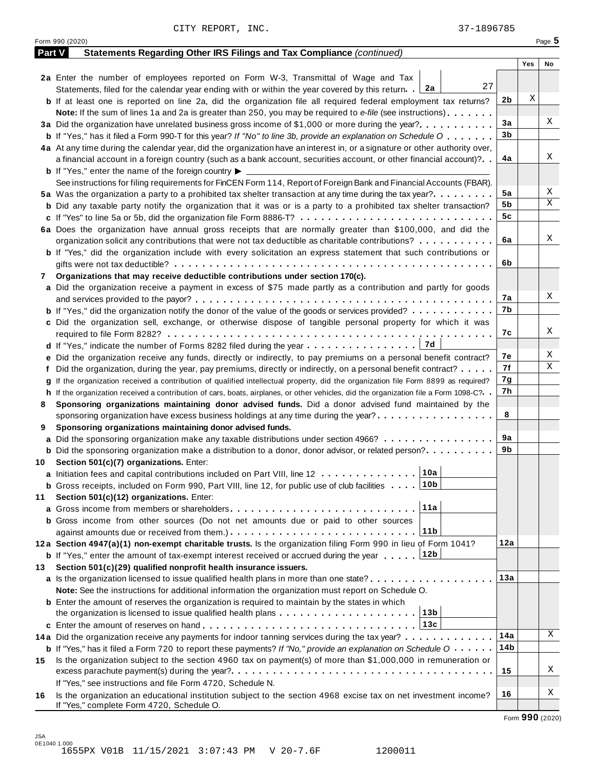|    | Form 990 (2020)                                                                                                                              |     |     | Page 5 |
|----|----------------------------------------------------------------------------------------------------------------------------------------------|-----|-----|--------|
|    | Part V<br><b>Statements Regarding Other IRS Filings and Tax Compliance (continued)</b>                                                       |     |     |        |
|    |                                                                                                                                              |     | Yes | No     |
|    | 2a Enter the number of employees reported on Form W-3, Transmittal of Wage and Tax                                                           |     |     |        |
|    | 27<br>Statements, filed for the calendar year ending with or within the year covered by this return. 2a                                      |     |     |        |
|    | <b>b</b> If at least one is reported on line 2a, did the organization file all required federal employment tax returns?                      | 2b  | Χ   |        |
|    | <b>Note:</b> If the sum of lines 1a and 2a is greater than 250, you may be required to e-file (see instructions).                            |     |     |        |
|    | 3a Did the organization have unrelated business gross income of \$1,000 or more during the year?                                             | 3a  |     | Χ      |
|    | <b>b</b> If "Yes," has it filed a Form 990-T for this year? If "No" to line 3b, provide an explanation on Schedule O                         | 3b  |     |        |
|    | 4a At any time during the calendar year, did the organization have an interest in, or a signature or other authority over,                   |     |     |        |
|    | a financial account in a foreign country (such as a bank account, securities account, or other financial account)?                           | 4a  |     | Χ      |
|    | <b>b</b> If "Yes," enter the name of the foreign country $\blacktriangleright$                                                               |     |     |        |
|    | See instructions for filing requirements for FinCEN Form 114, Report of Foreign Bank and Financial Accounts (FBAR).                          |     |     |        |
|    | 5a Was the organization a party to a prohibited tax shelter transaction at any time during the tax year?                                     | 5a  |     | Χ      |
|    | <b>b</b> Did any taxable party notify the organization that it was or is a party to a prohibited tax shelter transaction?                    | 5b  |     | Χ      |
|    |                                                                                                                                              | 5c  |     |        |
|    | 6a Does the organization have annual gross receipts that are normally greater than \$100,000, and did the                                    |     |     |        |
|    | organization solicit any contributions that were not tax deductible as charitable contributions?                                             | 6a  |     | Χ      |
|    |                                                                                                                                              |     |     |        |
|    | <b>b</b> If "Yes," did the organization include with every solicitation an express statement that such contributions or                      | 6b  |     |        |
|    |                                                                                                                                              |     |     |        |
| 7  | Organizations that may receive deductible contributions under section 170(c).                                                                |     |     |        |
|    | a Did the organization receive a payment in excess of \$75 made partly as a contribution and partly for goods                                |     |     | Χ      |
|    |                                                                                                                                              | 7a  |     |        |
|    | <b>b</b> If "Yes," did the organization notify the donor of the value of the goods or services provided?                                     | 7b  |     |        |
|    | c Did the organization sell, exchange, or otherwise dispose of tangible personal property for which it was                                   |     |     |        |
|    |                                                                                                                                              | 7с  |     | X      |
|    |                                                                                                                                              |     |     |        |
|    | e Did the organization receive any funds, directly or indirectly, to pay premiums on a personal benefit contract?                            | 7е  |     | Χ      |
|    | Did the organization, during the year, pay premiums, directly or indirectly, on a personal benefit contract?                                 | 7f  |     | Χ      |
|    | g If the organization received a contribution of qualified intellectual property, did the organization file Form 8899 as required?           | 7g  |     |        |
|    | h If the organization received a contribution of cars, boats, airplanes, or other vehicles, did the organization file a Form 1098-C?         | 7h  |     |        |
| 8  | Sponsoring organizations maintaining donor advised funds. Did a donor advised fund maintained by the                                         |     |     |        |
|    | sponsoring organization have excess business holdings at any time during the year?                                                           | 8   |     |        |
| 9  | Sponsoring organizations maintaining donor advised funds.                                                                                    |     |     |        |
|    | a Did the sponsoring organization make any taxable distributions under section 4966?                                                         | 9a  |     |        |
|    | <b>b</b> Did the sponsoring organization make a distribution to a donor, donor advisor, or related person?                                   | 9b  |     |        |
|    |                                                                                                                                              |     |     |        |
| 10 | Section 501(c)(7) organizations. Enter:<br> 10a                                                                                              |     |     |        |
|    | a Initiation fees and capital contributions included on Part VIII, line 12                                                                   |     |     |        |
|    | <b>b</b> Gross receipts, included on Form 990, Part VIII, line 12, for public use of club facilities 10b                                     |     |     |        |
| 11 | Section 501(c)(12) organizations. Enter:<br>11a                                                                                              |     |     |        |
|    |                                                                                                                                              |     |     |        |
|    | <b>b</b> Gross income from other sources (Do not net amounts due or paid to other sources                                                    |     |     |        |
|    | 11 <sub>b</sub>                                                                                                                              |     |     |        |
|    | 12a Section 4947(a)(1) non-exempt charitable trusts. Is the organization filing Form 990 in lieu of Form 1041?                               | 12a |     |        |
|    | <b>b</b> If "Yes," enter the amount of tax-exempt interest received or accrued during the year $\ldots$ [12b                                 |     |     |        |
| 13 | Section 501(c)(29) qualified nonprofit health insurance issuers.                                                                             |     |     |        |
|    | a Is the organization licensed to issue qualified health plans in more than one state?                                                       | 13а |     |        |
|    | Note: See the instructions for additional information the organization must report on Schedule O.                                            |     |     |        |
|    | <b>b</b> Enter the amount of reserves the organization is required to maintain by the states in which                                        |     |     |        |
|    |                                                                                                                                              |     |     |        |
|    |                                                                                                                                              |     |     |        |
|    | 14a Did the organization receive any payments for indoor tanning services during the tax year?                                               | 14a |     | Χ      |
|    | <b>b</b> If "Yes," has it filed a Form 720 to report these payments? If "No," provide an explanation on Schedule $0 \cdot \cdot \cdot \cdot$ | 14b |     |        |
| 15 | Is the organization subject to the section 4960 tax on payment(s) of more than \$1,000,000 in remuneration or                                |     |     |        |
|    |                                                                                                                                              | 15  |     | Χ      |
|    | If "Yes," see instructions and file Form 4720, Schedule N.                                                                                   |     |     |        |
|    |                                                                                                                                              |     |     |        |
| 16 | Is the organization an educational institution subject to the section 4968 excise tax on net investment income?                              | 16  |     | Χ      |

Form **990** (2020)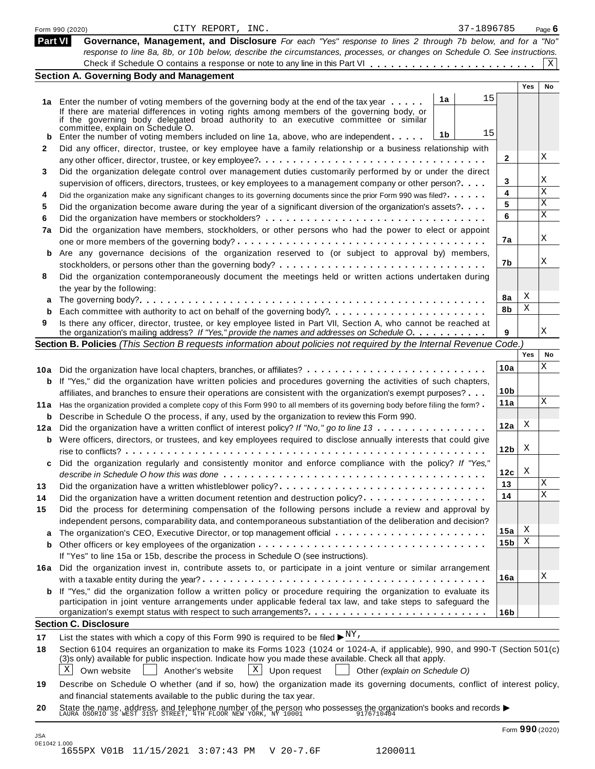|              | 37-1896785<br>CITY REPORT, INC.<br>Form 990 (2020)                                                                                                                                                                                                                                                                                                              |                 |            | Page $6$        |
|--------------|-----------------------------------------------------------------------------------------------------------------------------------------------------------------------------------------------------------------------------------------------------------------------------------------------------------------------------------------------------------------|-----------------|------------|-----------------|
| Part VI      | Governance, Management, and Disclosure For each "Yes" response to lines 2 through 7b below, and for a "No"<br>response to line 8a, 8b, or 10b below, describe the circumstances, processes, or changes on Schedule O. See instructions.                                                                                                                         |                 |            | $\mathbf{x}$    |
|              | <b>Section A. Governing Body and Management</b>                                                                                                                                                                                                                                                                                                                 |                 |            |                 |
|              |                                                                                                                                                                                                                                                                                                                                                                 |                 | <b>Yes</b> | No              |
|              | 15<br>1a                                                                                                                                                                                                                                                                                                                                                        |                 |            |                 |
|              | 1a Enter the number of voting members of the governing body at the end of the tax year<br>If there are material differences in voting rights among members of the governing body, or<br>if the governing body delegated broad authority to an executive committee or similar                                                                                    |                 |            |                 |
| b            | committée, explain on Schedule O.<br>15<br>1 <sub>b</sub><br>Enter the number of voting members included on line 1a, above, who are independent                                                                                                                                                                                                                 |                 |            |                 |
| $\mathbf{2}$ | Did any officer, director, trustee, or key employee have a family relationship or a business relationship with                                                                                                                                                                                                                                                  |                 |            | Χ               |
|              |                                                                                                                                                                                                                                                                                                                                                                 | $\mathbf{2}$    |            |                 |
| 3            | Did the organization delegate control over management duties customarily performed by or under the direct                                                                                                                                                                                                                                                       |                 |            | Χ               |
|              | supervision of officers, directors, trustees, or key employees to a management company or other person?                                                                                                                                                                                                                                                         | 3               |            | X               |
| 4            | Did the organization make any significant changes to its governing documents since the prior Form 990 was filed?                                                                                                                                                                                                                                                | 4               |            |                 |
| 5            | Did the organization become aware during the year of a significant diversion of the organization's assets?                                                                                                                                                                                                                                                      | 5               |            | X               |
| 6            |                                                                                                                                                                                                                                                                                                                                                                 | 6               |            | X               |
| 7a           | Did the organization have members, stockholders, or other persons who had the power to elect or appoint                                                                                                                                                                                                                                                         |                 |            |                 |
|              |                                                                                                                                                                                                                                                                                                                                                                 | 7a              |            | Χ               |
|              | b Are any governance decisions of the organization reserved to (or subject to approval by) members,                                                                                                                                                                                                                                                             |                 |            |                 |
|              |                                                                                                                                                                                                                                                                                                                                                                 | 7b              |            | Χ               |
| 8            | Did the organization contemporaneously document the meetings held or written actions undertaken during<br>the year by the following:                                                                                                                                                                                                                            |                 |            |                 |
| a            |                                                                                                                                                                                                                                                                                                                                                                 | 8a              | Χ          |                 |
| b            | Each committee with authority to act on behalf of the governing body?                                                                                                                                                                                                                                                                                           | 8b              | Χ          |                 |
| 9            | Is there any officer, director, trustee, or key employee listed in Part VII, Section A, who cannot be reached at                                                                                                                                                                                                                                                |                 |            |                 |
|              | the organization's mailing address? If "Yes," provide the names and addresses on Schedule O.                                                                                                                                                                                                                                                                    | 9               |            | X               |
|              | Section B. Policies (This Section B requests information about policies not required by the Internal Revenue Code.)                                                                                                                                                                                                                                             |                 |            |                 |
|              |                                                                                                                                                                                                                                                                                                                                                                 |                 | Yes        | No              |
|              |                                                                                                                                                                                                                                                                                                                                                                 | 10a             |            | X               |
|              | <b>b</b> If "Yes," did the organization have written policies and procedures governing the activities of such chapters,                                                                                                                                                                                                                                         |                 |            |                 |
|              | affiliates, and branches to ensure their operations are consistent with the organization's exempt purposes?                                                                                                                                                                                                                                                     | 10 <sub>b</sub> |            |                 |
|              | 11a Has the organization provided a complete copy of this Form 990 to all members of its governing body before filing the form?                                                                                                                                                                                                                                 | 11a             |            | X               |
|              | <b>b</b> Describe in Schedule O the process, if any, used by the organization to review this Form 990.                                                                                                                                                                                                                                                          |                 |            |                 |
|              | 12a Did the organization have a written conflict of interest policy? If "No," go to line 13                                                                                                                                                                                                                                                                     | 12a             | Χ          |                 |
|              | <b>b</b> Were officers, directors, or trustees, and key employees required to disclose annually interests that could give                                                                                                                                                                                                                                       |                 |            |                 |
|              |                                                                                                                                                                                                                                                                                                                                                                 | 12 <sub>b</sub> | X          |                 |
|              | Did the organization regularly and consistently monitor and enforce compliance with the policy? If "Yes,"                                                                                                                                                                                                                                                       |                 |            |                 |
|              |                                                                                                                                                                                                                                                                                                                                                                 | 12c             | X          |                 |
| 13           |                                                                                                                                                                                                                                                                                                                                                                 | 13              |            | Χ               |
| 14           | Did the organization have a written document retention and destruction policy?                                                                                                                                                                                                                                                                                  | 14              |            | X               |
| 15           | Did the process for determining compensation of the following persons include a review and approval by                                                                                                                                                                                                                                                          |                 |            |                 |
|              | independent persons, comparability data, and contemporaneous substantiation of the deliberation and decision?                                                                                                                                                                                                                                                   |                 |            |                 |
|              |                                                                                                                                                                                                                                                                                                                                                                 | 15a             | х          |                 |
| а            |                                                                                                                                                                                                                                                                                                                                                                 | 15 <sub>b</sub> | Χ          |                 |
| b            |                                                                                                                                                                                                                                                                                                                                                                 |                 |            |                 |
|              | If "Yes" to line 15a or 15b, describe the process in Schedule O (see instructions).                                                                                                                                                                                                                                                                             |                 |            |                 |
|              | 16a Did the organization invest in, contribute assets to, or participate in a joint venture or similar arrangement                                                                                                                                                                                                                                              | 16a             |            | Χ               |
|              |                                                                                                                                                                                                                                                                                                                                                                 |                 |            |                 |
|              | <b>b</b> If "Yes," did the organization follow a written policy or procedure requiring the organization to evaluate its<br>participation in joint venture arrangements under applicable federal tax law, and take steps to safeguard the                                                                                                                        |                 |            |                 |
|              |                                                                                                                                                                                                                                                                                                                                                                 | 16b             |            |                 |
|              | <b>Section C. Disclosure</b>                                                                                                                                                                                                                                                                                                                                    |                 |            |                 |
|              |                                                                                                                                                                                                                                                                                                                                                                 |                 |            |                 |
| 17<br>18     | List the states with which a copy of this Form 990 is required to be filed $\blacktriangleright^{\underline{NY}}$ .<br>Section 6104 requires an organization to make its Forms 1023 (1024 or 1024-A, if applicable), 990, and 990-T (Section 501(c)<br>(3)s only) available for public inspection. Indicate how you made these available. Check all that apply. |                 |            |                 |
|              | Χ<br>$X$ Upon request<br>Own website<br>Another's website<br>Other (explain on Schedule O)                                                                                                                                                                                                                                                                      |                 |            |                 |
| 19           | Describe on Schedule O whether (and if so, how) the organization made its governing documents, conflict of interest policy,<br>and financial statements available to the public during the tax year.                                                                                                                                                            |                 |            |                 |
| 20           | State the name, address, and telephone number of the person who possesses the organization's books and records<br>LAURA OSORIO 35 WEST 31ST STREET, 4TH FLOOR NEW YORK, NY 10001 9176710404                                                                                                                                                                     |                 |            |                 |
| JSA          |                                                                                                                                                                                                                                                                                                                                                                 |                 |            | Form 990 (2020) |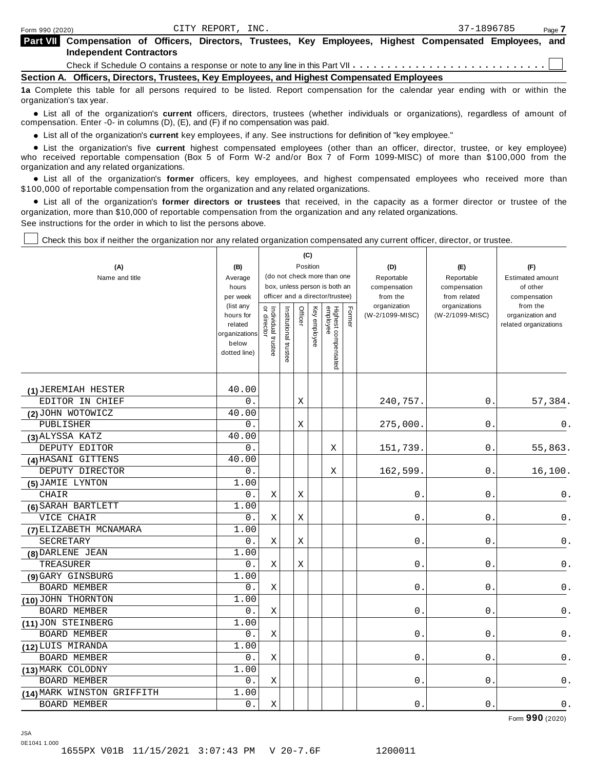**Compensation of Officers, Directors, Trustees, Key Employees, Highest Compensated Employees, and Part VII Independent Contractors**

Check if Schedule O contains a response or note to any line in this Part VII  $\cdots \cdots \cdots \cdots \cdots \cdots \cdots \cdots \cdots$ 

**Section A. Officers, Directors, Trustees, Key Employees, and Highest Compensated Employees**

**1a** Complete this table for all persons required to be listed. Report compensation for the calendar year ending with or within the organization's tax year.

anization's lax year.<br>● List all of the organization's **current** officers, directors, trustees (whether individuals or organizations), regardless of amount of<br>nnensation Enter -0- in columns (D) (E) and (E) if no compensa compensation. Enter -0- in columns (D), (E), and (F) if no compensation was paid.

• List all of the organization's current key employees, if any. See instructions for definition of "key employee."

■ List all of the organization's current key employees, if any. See instructions for definition of "key employee."<br>■ List the organization's five current highest compensated employees (other than an officer, director, tru who received reportable compensation (Box 5 of Form W-2 and/or Box 7 of Form 1099-MISC) of more than \$100,000 from the

organization and any related organizations.<br>• List all of the organization's **former** officers, key employees, and highest compensated employees who received more than<br>\$1.00.000 of reportable componention from the erganiza \$100,000 of reportable compensation from the organization and any related organizations.

% List all of the organization's **former directors or trustees** that received, in the capacity as a former director or trustee of the organization, more than \$10,000 of reportable compensation from the organization and any related organizations. See instructions for the order in which to list the persons above.

Т

Check this box if neither the organization nor any related organization compensated any current officer, director, or trustee.

Т

|                            |                                                                |                                                              |                       | (C)     |              |                                 |        |                          |                              |                                           |
|----------------------------|----------------------------------------------------------------|--------------------------------------------------------------|-----------------------|---------|--------------|---------------------------------|--------|--------------------------|------------------------------|-------------------------------------------|
| (A)                        | (B)                                                            |                                                              |                       |         | Position     |                                 |        | (D)                      | (E)                          | (F)                                       |
| Name and title             | Average                                                        | (do not check more than one<br>box, unless person is both an |                       |         |              |                                 |        | Reportable               | Reportable                   | <b>Estimated amount</b>                   |
|                            | hours<br>per week                                              |                                                              |                       |         |              | officer and a director/trustee) |        | compensation<br>from the | compensation<br>from related | of other                                  |
|                            | (list any                                                      |                                                              |                       |         |              |                                 |        | organization             | organizations                | compensation<br>from the                  |
|                            | hours for<br>related<br>organizations<br>below<br>dotted line) | Individual trustee<br>or director                            | Institutional trustee | Officer | Key employee | Highest compensated<br>employee | Former | (W-2/1099-MISC)          | (W-2/1099-MISC)              | organization and<br>related organizations |
| (1) JEREMIAH HESTER        | 40.00                                                          |                                                              |                       |         |              |                                 |        |                          |                              |                                           |
| EDITOR IN CHIEF            | 0.                                                             |                                                              |                       | Χ       |              |                                 |        | 240,757.                 | $0$ .                        | 57,384.                                   |
| (2) JOHN WOTOWICZ          | 40.00                                                          |                                                              |                       |         |              |                                 |        |                          |                              |                                           |
| PUBLISHER                  | 0.                                                             |                                                              |                       | X       |              |                                 |        | 275,000.                 | 0                            | 0.                                        |
| (3) ALYSSA KATZ            | 40.00                                                          |                                                              |                       |         |              |                                 |        |                          |                              |                                           |
| DEPUTY EDITOR              | 0.                                                             |                                                              |                       |         |              | X                               |        | 151,739                  | $0$ .                        | 55,863.                                   |
| (4) HASANI GITTENS         | 40.00                                                          |                                                              |                       |         |              |                                 |        |                          |                              |                                           |
| DEPUTY DIRECTOR            | 0.                                                             |                                                              |                       |         |              | Χ                               |        | 162,599.                 | $0$ .                        | 16,100.                                   |
| (5) JAMIE LYNTON           | 1.00                                                           |                                                              |                       |         |              |                                 |        |                          |                              |                                           |
| CHAIR                      | О.                                                             | Χ                                                            |                       | Χ       |              |                                 |        | 0                        | 0                            | 0.                                        |
| (6) SARAH BARTLETT         | 1.00                                                           |                                                              |                       |         |              |                                 |        |                          |                              |                                           |
| VICE CHAIR                 | О.                                                             | Χ                                                            |                       | Χ       |              |                                 |        | 0                        | 0                            | 0.                                        |
| (7) ELIZABETH MCNAMARA     | 1.00                                                           |                                                              |                       |         |              |                                 |        |                          |                              |                                           |
| SECRETARY                  | О.                                                             | Χ                                                            |                       | Χ       |              |                                 |        | 0                        | 0                            | 0.                                        |
| (8) DARLENE JEAN           | 1.00                                                           |                                                              |                       |         |              |                                 |        |                          |                              |                                           |
| TREASURER                  | О.                                                             | Χ                                                            |                       | X       |              |                                 |        | 0                        | 0                            | $\mathsf 0$ .                             |
| (9) GARY GINSBURG          | 1.00                                                           |                                                              |                       |         |              |                                 |        |                          |                              |                                           |
| <b>BOARD MEMBER</b>        | $0$ .                                                          | Χ                                                            |                       |         |              |                                 |        | 0                        | $\mathsf{O}$                 | $\mathsf 0$ .                             |
| (10) JOHN THORNTON         | 1.00                                                           |                                                              |                       |         |              |                                 |        |                          |                              |                                           |
| <b>BOARD MEMBER</b>        | $0$ .                                                          | Χ                                                            |                       |         |              |                                 |        | 0                        | 0                            | $0$ .                                     |
| (11) JON STEINBERG         | 1.00                                                           |                                                              |                       |         |              |                                 |        |                          |                              |                                           |
| <b>BOARD MEMBER</b>        | О.                                                             | Χ                                                            |                       |         |              |                                 |        | 0                        | 0                            | 0.                                        |
| (12) LUIS MIRANDA          | 1.00                                                           |                                                              |                       |         |              |                                 |        |                          |                              |                                           |
| BOARD MEMBER               | 0.                                                             | X                                                            |                       |         |              |                                 |        | 0                        | 0                            | $\mathsf 0$ .                             |
| (13) MARK COLODNY          | 1.00                                                           |                                                              |                       |         |              |                                 |        |                          |                              |                                           |
| BOARD MEMBER               | $0$ .                                                          | $\rm X$                                                      |                       |         |              |                                 |        | 0                        | 0                            | $\mathsf 0$ .                             |
| (14) MARK WINSTON GRIFFITH | 1.00                                                           |                                                              |                       |         |              |                                 |        |                          |                              |                                           |
| BOARD MEMBER               | $0$ .                                                          | Χ                                                            |                       |         |              |                                 |        | $0$ .                    | $\mathsf{O}$ .               | $\mathsf 0$ .                             |

Form **990** (2020)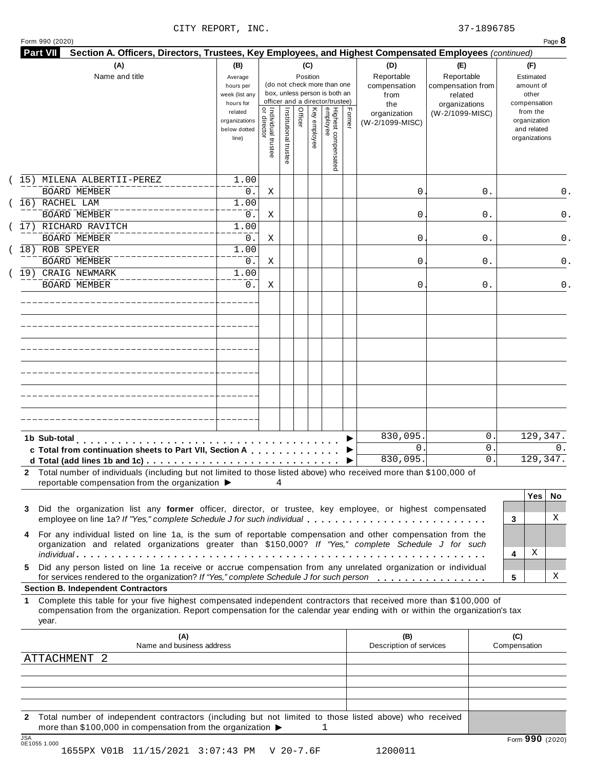| Form 990 (2020) |  |  |
|-----------------|--|--|

| 15) MILENA ALBERTII-PEREZ<br><b>BOARD MEMBER</b><br>16) RACHEL LAM<br><b>BOARD MEMBER</b><br>17) RICHARD RAVITCH<br>BOARD MEMBER<br>18) ROB SPEYER<br><b>BOARD MEMBER</b><br>19) CRAIG NEWMARK<br><b>BOARD MEMBER</b><br>1b Sub-total                          | related<br>organizations<br>below dotted<br>line)<br>1.00<br>$0$ .<br>1.00<br>0.<br>1.00<br>0.<br>1.00<br>0.<br>1.00<br>0. | Individual trustee<br>  or director<br>Χ<br>Χ<br>Χ<br>Χ<br>Χ | Institutional trustee | Officer | Key employee | Highest compensated<br>employee | Former | organization<br>(W-2/1099-MISC)<br>0<br>0<br>0<br>0<br>0 | (W-2/1099-MISC)<br>0.<br>0.<br>0.<br>0.<br>0. | from the<br>organization<br>and related<br>organizations<br>0.<br>0.<br>0.<br>0.<br>0. |
|----------------------------------------------------------------------------------------------------------------------------------------------------------------------------------------------------------------------------------------------------------------|----------------------------------------------------------------------------------------------------------------------------|--------------------------------------------------------------|-----------------------|---------|--------------|---------------------------------|--------|----------------------------------------------------------|-----------------------------------------------|----------------------------------------------------------------------------------------|
|                                                                                                                                                                                                                                                                |                                                                                                                            |                                                              |                       |         |              |                                 |        |                                                          |                                               |                                                                                        |
|                                                                                                                                                                                                                                                                |                                                                                                                            |                                                              |                       |         |              |                                 |        |                                                          |                                               |                                                                                        |
|                                                                                                                                                                                                                                                                |                                                                                                                            |                                                              |                       |         |              |                                 |        |                                                          |                                               |                                                                                        |
|                                                                                                                                                                                                                                                                |                                                                                                                            |                                                              |                       |         |              |                                 |        |                                                          |                                               |                                                                                        |
|                                                                                                                                                                                                                                                                |                                                                                                                            |                                                              |                       |         |              |                                 |        |                                                          |                                               |                                                                                        |
|                                                                                                                                                                                                                                                                |                                                                                                                            |                                                              |                       |         |              |                                 |        |                                                          |                                               |                                                                                        |
|                                                                                                                                                                                                                                                                |                                                                                                                            |                                                              |                       |         |              |                                 |        |                                                          |                                               |                                                                                        |
|                                                                                                                                                                                                                                                                |                                                                                                                            |                                                              |                       |         |              |                                 |        |                                                          |                                               |                                                                                        |
|                                                                                                                                                                                                                                                                |                                                                                                                            |                                                              |                       |         |              |                                 |        |                                                          |                                               |                                                                                        |
|                                                                                                                                                                                                                                                                |                                                                                                                            |                                                              |                       |         |              |                                 |        |                                                          |                                               |                                                                                        |
|                                                                                                                                                                                                                                                                |                                                                                                                            |                                                              |                       |         |              |                                 |        |                                                          |                                               |                                                                                        |
|                                                                                                                                                                                                                                                                |                                                                                                                            |                                                              |                       |         |              |                                 |        |                                                          |                                               |                                                                                        |
|                                                                                                                                                                                                                                                                |                                                                                                                            |                                                              |                       |         |              |                                 |        |                                                          |                                               |                                                                                        |
|                                                                                                                                                                                                                                                                |                                                                                                                            |                                                              |                       |         |              |                                 |        |                                                          |                                               |                                                                                        |
|                                                                                                                                                                                                                                                                |                                                                                                                            |                                                              |                       |         |              |                                 |        |                                                          |                                               |                                                                                        |
|                                                                                                                                                                                                                                                                |                                                                                                                            |                                                              |                       |         |              |                                 |        |                                                          |                                               |                                                                                        |
|                                                                                                                                                                                                                                                                |                                                                                                                            |                                                              |                       |         |              |                                 |        | 830,095.                                                 | 0                                             | 129, 347.                                                                              |
| c Total from continuation sheets to Part VII, Section A                                                                                                                                                                                                        |                                                                                                                            |                                                              |                       |         |              |                                 |        | $\mathbf{0}$ .                                           | 0                                             | 0.                                                                                     |
| 2 Total number of individuals (including but not limited to those listed above) who received more than \$100,000 of<br>reportable compensation from the organization ▶                                                                                         |                                                                                                                            |                                                              | 4                     |         |              |                                 |        | 830,095.                                                 | 0.                                            | 129,347.                                                                               |
| Did the organization list any former officer, director, or trustee, key employee, or highest compensated<br>3<br>employee on line 1a? If "Yes," complete Schedule J for such individual                                                                        |                                                                                                                            |                                                              |                       |         |              |                                 |        |                                                          |                                               | <b>Yes</b><br>No.<br>X                                                                 |
| For any individual listed on line 1a, is the sum of reportable compensation and other compensation from the<br>4                                                                                                                                               |                                                                                                                            |                                                              |                       |         |              |                                 |        |                                                          |                                               | 3                                                                                      |
| organization and related organizations greater than \$150,000? If "Yes," complete Schedule J for such                                                                                                                                                          |                                                                                                                            |                                                              |                       |         |              |                                 |        |                                                          |                                               |                                                                                        |
|                                                                                                                                                                                                                                                                |                                                                                                                            |                                                              |                       |         |              |                                 |        |                                                          |                                               | Χ<br>4                                                                                 |
| Did any person listed on line 1a receive or accrue compensation from any unrelated organization or individual<br>5.<br>for services rendered to the organization? If "Yes," complete Schedule J for such person                                                |                                                                                                                            |                                                              |                       |         |              |                                 |        |                                                          |                                               | Χ<br>5                                                                                 |
| <b>Section B. Independent Contractors</b>                                                                                                                                                                                                                      |                                                                                                                            |                                                              |                       |         |              |                                 |        |                                                          |                                               |                                                                                        |
| Complete this table for your five highest compensated independent contractors that received more than \$100,000 of<br>1<br>compensation from the organization. Report compensation for the calendar year ending with or within the organization's tax<br>year. |                                                                                                                            |                                                              |                       |         |              |                                 |        |                                                          |                                               |                                                                                        |
| (A)<br>Name and business address                                                                                                                                                                                                                               |                                                                                                                            |                                                              |                       |         |              |                                 |        | (B)<br>Description of services                           |                                               | (C)<br>Compensation                                                                    |
| <b>ATTACHMENT</b><br>- 2                                                                                                                                                                                                                                       |                                                                                                                            |                                                              |                       |         |              |                                 |        |                                                          |                                               |                                                                                        |
|                                                                                                                                                                                                                                                                |                                                                                                                            |                                                              |                       |         |              |                                 |        |                                                          |                                               |                                                                                        |
|                                                                                                                                                                                                                                                                |                                                                                                                            |                                                              |                       |         |              |                                 |        |                                                          |                                               |                                                                                        |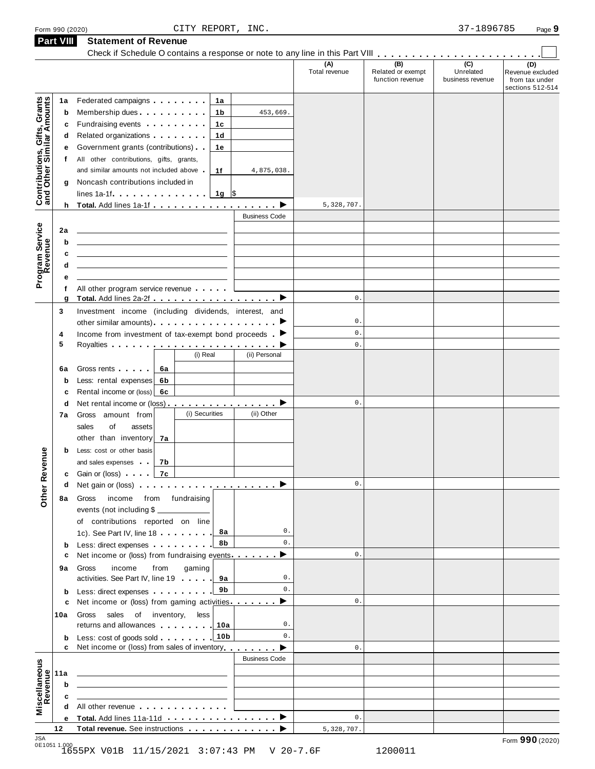|  | Form 990 (2020) |
|--|-----------------|

| <b>Part VIII</b> Statement of Revenue |  |
|---------------------------------------|--|
|                                       |  |

Statement of Revenue<br>Check if Schedule O contains a response or note to any line in this Part VIII **manual Check if Schedule O contains** 

|                                                           |        |                                                                                                                       | (A)<br>Total revenue | (B)<br>Related or exempt | (C)<br>Unrelated | (D)<br>Revenue excluded            |
|-----------------------------------------------------------|--------|-----------------------------------------------------------------------------------------------------------------------|----------------------|--------------------------|------------------|------------------------------------|
|                                                           |        |                                                                                                                       |                      | function revenue         | business revenue | from tax under<br>sections 512-514 |
|                                                           |        | Federated campaigns <b>Federated</b><br>1a                                                                            |                      |                          |                  |                                    |
|                                                           | 1а     | 1 <sub>b</sub><br>Membership dues <b>All Accords</b> Membership dues<br>453,669.                                      |                      |                          |                  |                                    |
| Contributions, Gifts, Grants<br>and Other Similar Amounts | b      |                                                                                                                       |                      |                          |                  |                                    |
|                                                           | c      | Fundraising events <b>Fundraising</b><br>1c                                                                           |                      |                          |                  |                                    |
|                                                           | d      | 1 <sub>d</sub><br>Related organizations <b>contains</b>                                                               |                      |                          |                  |                                    |
|                                                           | е      | Government grants (contributions)<br>1e                                                                               |                      |                          |                  |                                    |
|                                                           | f      | All other contributions, gifts, grants,                                                                               |                      |                          |                  |                                    |
|                                                           |        | and similar amounts not included above<br>1f<br>4,875,038.                                                            |                      |                          |                  |                                    |
|                                                           | g      | Noncash contributions included in                                                                                     |                      |                          |                  |                                    |
|                                                           |        | 1g ∣\$<br>lines $1a-1f$ , $\cdots$ , $\cdots$ , $\cdots$                                                              | 5,328,707.           |                          |                  |                                    |
|                                                           | h.     | Total. Add lines 1a-1f ▶<br><b>Business Code</b>                                                                      |                      |                          |                  |                                    |
|                                                           |        |                                                                                                                       |                      |                          |                  |                                    |
| Program Service<br>Revenue                                | 2a     |                                                                                                                       |                      |                          |                  |                                    |
|                                                           | b      | the control of the control of the control of the control of the control of                                            |                      |                          |                  |                                    |
|                                                           | c      | <u> 1989 - Johann Barn, amerikansk politiker (d. 1989)</u>                                                            |                      |                          |                  |                                    |
|                                                           | d      | <u> 1989 - Johann Stoff, fransk politik (d. 1989)</u>                                                                 |                      |                          |                  |                                    |
|                                                           | е      |                                                                                                                       |                      |                          |                  |                                    |
|                                                           | f      | All other program service revenue                                                                                     | $\mathbf{0}$ .       |                          |                  |                                    |
|                                                           | g      | Total. Add lines 2a-2f ▶                                                                                              |                      |                          |                  |                                    |
|                                                           | 3      | Investment income (including dividends, interest, and                                                                 | 0.                   |                          |                  |                                    |
|                                                           |        |                                                                                                                       | $\mathbf{0}$ .       |                          |                  |                                    |
|                                                           | 4<br>5 | Income from investment of tax-exempt bond proceeds $\blacksquare$                                                     | $\mathbf{0}$ .       |                          |                  |                                    |
|                                                           |        | (i) Real<br>(ii) Personal                                                                                             |                      |                          |                  |                                    |
|                                                           |        |                                                                                                                       |                      |                          |                  |                                    |
|                                                           | 6а     | Gross rents<br>6a                                                                                                     |                      |                          |                  |                                    |
|                                                           | b      | Less: rental expenses<br>6b                                                                                           |                      |                          |                  |                                    |
|                                                           | c      | Rental income or (loss)<br>6с                                                                                         | 0.                   |                          |                  |                                    |
|                                                           | d      | Net rental income or (loss) ▶<br>(i) Securities<br>(ii) Other<br>Gross amount from                                    |                      |                          |                  |                                    |
|                                                           | 7а     | of<br>sales<br>assets                                                                                                 |                      |                          |                  |                                    |
|                                                           |        | other than inventory                                                                                                  |                      |                          |                  |                                    |
|                                                           |        | 7a                                                                                                                    |                      |                          |                  |                                    |
| her Revenue                                               | b      | Less: cost or other basis<br>7b<br>and sales expenses                                                                 |                      |                          |                  |                                    |
|                                                           | c      | Gain or (loss)<br>7с                                                                                                  |                      |                          |                  |                                    |
|                                                           | d      |                                                                                                                       | $\mathbf 0$ .        |                          |                  |                                    |
|                                                           |        |                                                                                                                       |                      |                          |                  |                                    |
| ŏ                                                         | 8а     | Gross income from fundraising                                                                                         |                      |                          |                  |                                    |
|                                                           |        | events (not including \$                                                                                              |                      |                          |                  |                                    |
|                                                           |        | of contributions reported on line<br>$0$ .<br>8а                                                                      |                      |                          |                  |                                    |
|                                                           |        | 1c). See Part IV, line 18<br>0.<br>8b<br>Less: direct expenses                                                        |                      |                          |                  |                                    |
|                                                           | b<br>c | Net income or (loss) from fundraising events ▶                                                                        | 0.                   |                          |                  |                                    |
|                                                           | 9а     | Gross<br>income<br>from<br>gaming                                                                                     |                      |                          |                  |                                    |
|                                                           |        | activities. See Part IV, line 19 9a<br>0.                                                                             |                      |                          |                  |                                    |
|                                                           | b      | 0.<br>9 <sub>b</sub><br>Less: direct expenses                                                                         |                      |                          |                  |                                    |
|                                                           | c      | Net income or (loss) from gaming activities<br>▶                                                                      | 0.                   |                          |                  |                                    |
|                                                           | 10a    | sales of inventory,<br>less<br>Gross                                                                                  |                      |                          |                  |                                    |
|                                                           |        | returns and allowances 10<br>0.                                                                                       |                      |                          |                  |                                    |
|                                                           | b      | 0.<br>Less: cost of goods sold 10b                                                                                    |                      |                          |                  |                                    |
|                                                           | c      | Net income or (loss) from sales of inventory                                                                          | 0.                   |                          |                  |                                    |
|                                                           |        | <b>Business Code</b>                                                                                                  |                      |                          |                  |                                    |
|                                                           | 11a    | <u> 1989 - Johann Barbara, martin amerikan basal dan berasal dalam basal dalam basal dalam basal dalam basal dala</u> |                      |                          |                  |                                    |
|                                                           | b      | <u> 1989 - Johann Harry Harry Harry Harry Harry Harry Harry Harry Harry Harry Harry Harry Harry Harry Harry Harry</u> |                      |                          |                  |                                    |
| Miscellaneous<br>Revenue                                  | c      | <u> 1980 - Johann Barn, mars ann an t-Amhain an t-Amhain an t-Amhain an t-Amhain an t-Amhain an t-Amhain an t-Amh</u> |                      |                          |                  |                                    |
|                                                           | d      | All other revenue                                                                                                     |                      |                          |                  |                                    |
|                                                           | е      | Total. Add lines 11a-11d ▶                                                                                            | 0.                   |                          |                  |                                    |
|                                                           | 12     | Total revenue. See instructions D                                                                                     | 5,328,707.           |                          |                  |                                    |
| ICA                                                       |        |                                                                                                                       |                      |                          |                  |                                    |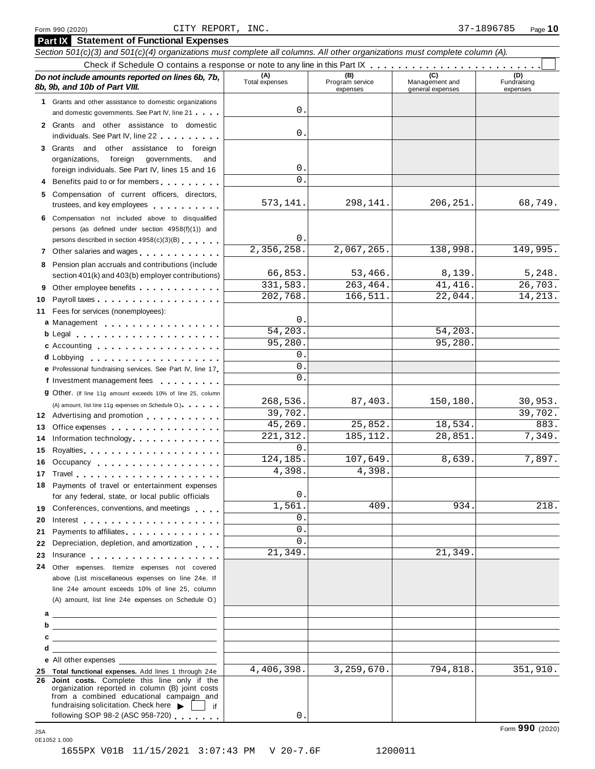**Part IX Statement of Functional Expenses** Section 501(c)(3) and 501(c)(4) organizations must complete all columns. All other organizations must complete column (A). Check if Schedule <sup>O</sup> contains <sup>a</sup> response or note to any line in this Part IX m m m m m m m m m m m m m m m m m m m m m m m m m *Do no* **(A) (B) (C) (D)** *t include amounts reported on lines 6b, 7b,* **8b, 9b, and 10b of Part VIII.** The construction of *B***, 9b, and 10b of Part VIII.** expenses Management and general expenses Fundraising expenses **1** Grants and other assistance to domestic organizations and domestic governments. See Part IV, line 21 m m m **2** Grants and other assistance to domestic individuals. See Part IV, line 22 **3** Grants and other assistance to foreign organizations, foreign governments, and foreign individuals. See Part IV, lines 15 and 16 **4** Benefits paid to or for members **5** Compensation of current officers, directors, trustees, and key employees **6** Compensation not included above to disqualified persons (as defined under section 4958(f)(1)) and persons described in section 4958(c)(3)(B) <sup>m</sup> <sup>m</sup> <sup>m</sup> <sup>m</sup> <sup>m</sup> <sup>m</sup> **<sup>7</sup>** Other salaries and wages <sup>m</sup> <sup>m</sup> <sup>m</sup> <sup>m</sup> <sup>m</sup> <sup>m</sup> <sup>m</sup> <sup>m</sup> <sup>m</sup> <sup>m</sup> <sup>m</sup> <sup>m</sup> **8** Pension plan accruals and contributions (include section 401(k) and 403(b) employer contributions) **9** Section 401(k) and 403(b) employer contributions<br>9 Other employee benefits 9 Other employee benefits **10** Payroll taxes **10** Fees for services (nonemployees): **11** A) amount, list line 11g expenses on Schedule O.)<br>**12** Advertising and promotion **manual 13** Office expenses **13** Office expenses<br>**14** Information technology............. **15 16** Occupancy m m m m m m m m m m m m m m m m m m **16** Occupancy ...................<br>17 Travel..................... **18** Payments of travel or entertainment expenses **19 19** Conferences, conventions, and meetings **endorship.**<br>20 Interest **manual meeting 21** 21 Payments to affiliates<br>22 Depreciation, depletion, and amortization <sub>1</sub> . . . **22** Depreciation, depletion, and amortization **manufation**<br>23 Insurance 24 Other expenses. Itemize expenses not covered | Fees for services (nonemployees):<br>**a** Management ..................<br>**b** Legal ......................... **cd** Lobbying m m m m m m m m m m m m m m m m m m m **e** Professional fundraising services. See Part IV, line <sup>17</sup> m **P** Professional fundraising services. See Part IV, line 17<br>**f** Investment management fees **g** Other. (If line 11g amount exceeds 10% of line 25, column Legal m m m m m m m m m m m m m m m m m m m m m Accounting m m m m m m m m m m m m m m m m m m (A) amount, list line 11g expenses on Schedule O.) means m m m m m m m m m m m m m m m m Royalties m m m m m m m m m m m m m m m m m m m m for any federal, state, or local public officials for any federal, state, or local public officials<br>Conferences, conventions, and meetings Payments to affiliates m m m m m m m m m m m m m m above (List miscellaneous expenses on line 24e. If line 24e amount exceeds 10% of line 25, column (A) amount, list line 24e expenses on Schedule O.) a<br>b \_\_ **c** —<br>**d e** All other expenses **25 Total functional expenses.** Add lines 1 through 24e **26 Joint costs.** Complete this line only if the organization reported in column (B) joint costs from a combined educational campaign and from a combined educational campaign and<br>fundraising solicitation. Check here  $\blacktriangleright$  if<br>following SOP 98-2 (ASC 958-720) 0. 0. 0.  $\cap$ 573,141. 298,141. 206,251. 68,749. 0. 2,356,258. 2,067,265. 138,998. 149,995. 66,853. 53,466. 8,139. 5,248. 331,583. 263,464. 41,416. 26,703. 202,768. 166,511. 22,044. 14,213.  $\Omega$ 54,203. 54,203. 95,280. 95,280. 0. 0.  $\overline{0}$ . 268,536. 87,403. 150,180. 30,953. 39,702. 39,702. 45,269. 25,852. 18,534. 883. 221,312. 185,112. 28,851. 7,349.  $\mathsf{O}$  . 124,185. 107,649. 8,639. 7,897. 4,398. 4,398. 0.  $1,561.$  409. 409. 409. 0.  $\overline{0}$ . 0. 21,349. 21,349. 4,406,398. 3,259,670. 794,818. 351,910.

0.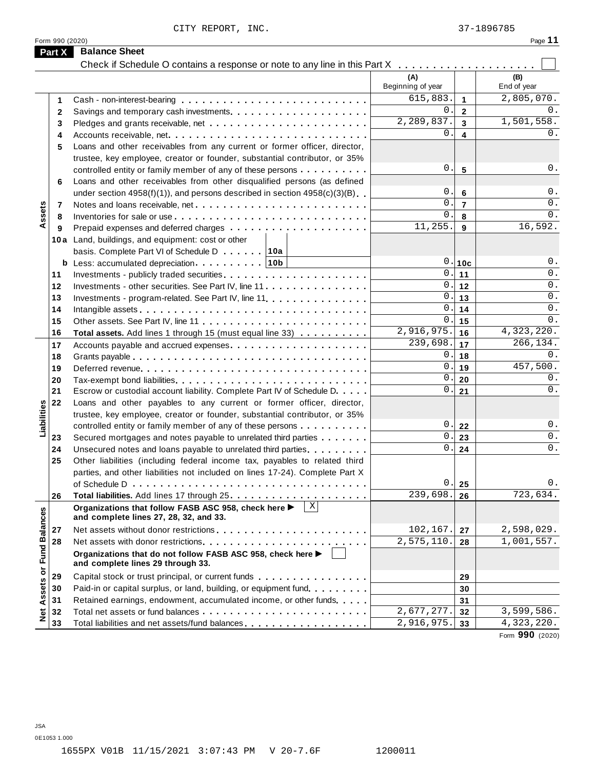|                      |                 | CITY REPORT, INC.                                                                                                       |                          |                         | 37-1896785               |
|----------------------|-----------------|-------------------------------------------------------------------------------------------------------------------------|--------------------------|-------------------------|--------------------------|
|                      | Form 990 (2020) | <b>Balance Sheet</b>                                                                                                    |                          |                         | Page 11                  |
|                      | Part X          | Check if Schedule O contains a response or note to any line in this Part X                                              |                          |                         |                          |
|                      |                 |                                                                                                                         |                          |                         |                          |
|                      |                 |                                                                                                                         | (A)<br>Beginning of year |                         | (B)<br>End of year       |
|                      | 1               |                                                                                                                         | 615,883.                 | $\mathbf{1}$            | 2,805,070.               |
|                      | $\mathbf{2}$    |                                                                                                                         | $\mathbf{0}$ .           | $\overline{2}$          | $0$ .                    |
|                      | 3               |                                                                                                                         | 2,289,837.               | $\overline{\mathbf{3}}$ | 1,501,558.               |
|                      | 4               | Accounts receivable, net                                                                                                | $\Omega$ .               | $\overline{\mathbf{4}}$ | 0.                       |
|                      | 5               | Loans and other receivables from any current or former officer, director,                                               |                          |                         |                          |
|                      |                 | trustee, key employee, creator or founder, substantial contributor, or 35%                                              |                          |                         |                          |
|                      |                 | controlled entity or family member of any of these persons                                                              | $\mathbf 0$ .            | 5                       | $0$ .                    |
|                      | 6               | Loans and other receivables from other disqualified persons (as defined                                                 |                          |                         |                          |
|                      |                 | under section $4958(f)(1)$ , and persons described in section $4958(c)(3)(B)$                                           | $\mathbf 0$ .            | $\bf 6$                 | 0.                       |
|                      | 7               |                                                                                                                         | $\mathbf{0}$ .           | $\overline{7}$          | $0$ .                    |
| Assets               | 8               |                                                                                                                         | $\mathbf{0}$ .           | 8                       | 0.                       |
|                      | 9               |                                                                                                                         | 11,255.                  | 9                       | 16,592.                  |
|                      |                 | 10a Land, buildings, and equipment: cost or other                                                                       |                          |                         |                          |
|                      |                 | basis. Complete Part VI of Schedule D 10a                                                                               |                          |                         |                          |
|                      |                 |                                                                                                                         | 0                        | 10c                     | $0$ .                    |
|                      | 11              |                                                                                                                         | 0.1                      | 11                      | 0.                       |
|                      | 12              | Investments - other securities. See Part IV, line 11                                                                    | 0.                       | 12                      | 0.                       |
|                      | 13              | Investments - program-related. See Part IV, line 11.                                                                    | 0.                       | 13                      | $0$ .                    |
|                      | 14              |                                                                                                                         | $\mathsf{O}$             | 14                      | $0$ .                    |
|                      | 15              |                                                                                                                         | 0.                       | 15                      | 0.                       |
|                      | 16              | Total assets. Add lines 1 through 15 (must equal line 33)                                                               | 2,916,975.               | 16                      | 4,323,220.               |
|                      | 17              |                                                                                                                         | 239,698.                 | 17                      | 266,134.                 |
|                      | 18              |                                                                                                                         | $\mathbf{0}$ .           | 18                      | 0.                       |
|                      | 19              |                                                                                                                         | 0.                       | 19                      | 457,500.                 |
|                      | 20              | Tax-exempt bond liabilities                                                                                             | 0.                       | 20                      | 0.                       |
|                      | 21              | Escrow or custodial account liability. Complete Part IV of Schedule D.                                                  | 0.                       | 21                      | $0$ .                    |
|                      | 22              | Loans and other payables to any current or former officer, director,                                                    |                          |                         |                          |
| Liabilities          |                 | trustee, key employee, creator or founder, substantial contributor, or 35%                                              |                          |                         |                          |
|                      |                 | controlled entity or family member of any of these persons                                                              | $\mathbf 0$ .            | 22                      | 0.                       |
|                      | 23              | Secured mortgages and notes payable to unrelated third parties                                                          | $0$ .                    | 23                      | 0.                       |
|                      | 24              | Unsecured notes and loans payable to unrelated third parties.                                                           | $\overline{0}$ .         | 24                      | $0$ .                    |
|                      | 25              | Other liabilities (including federal income tax, payables to related third                                              |                          |                         |                          |
|                      |                 | parties, and other liabilities not included on lines 17-24). Complete Part X                                            |                          |                         |                          |
|                      |                 | of Schedule D $\ldots \ldots \ldots \ldots \ldots \ldots \ldots \ldots \ldots \ldots$                                   | 0                        | 25                      | 0.                       |
|                      | 26              |                                                                                                                         | 239,698.                 | 26                      | $\overline{723,634}$ .   |
|                      |                 | X <br>Organizations that follow FASB ASC 958, check here ▶                                                              |                          |                         |                          |
|                      |                 | and complete lines 27, 28, 32, and 33.                                                                                  |                          |                         |                          |
|                      | 27              |                                                                                                                         | 102,167.<br>2,575,110.   | 27                      | 2,598,029.<br>1,001,557. |
|                      | 28              |                                                                                                                         |                          | 28                      |                          |
| <b>Fund Balances</b> |                 | Organizations that do not follow FASB ASC 958, check here ▶<br>and complete lines 29 through 33.                        |                          |                         |                          |
|                      |                 |                                                                                                                         |                          |                         |                          |
|                      | 29<br>30        | Capital stock or trust principal, or current funds<br>Paid-in or capital surplus, or land, building, or equipment fund. |                          | 29                      |                          |
| Assets or            | 31              | Retained earnings, endowment, accumulated income, or other funds                                                        |                          | 30<br>31                |                          |
|                      | 32              |                                                                                                                         | 2,677,277.               | 32                      | 3,599,586.               |
| <b>b</b> et          | 33              | Total liabilities and net assets/fund balances                                                                          | 2,916,975.               | 33                      | 4,323,220.               |
|                      |                 |                                                                                                                         |                          |                         |                          |

Form **990** (2020)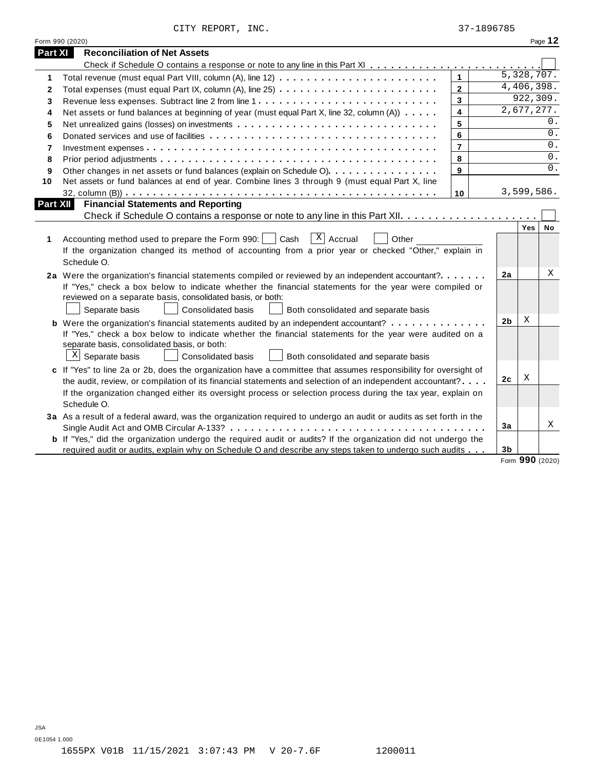|  | CITY REPORT, | INC. |
|--|--------------|------|
|--|--------------|------|

|              | Form 990 (2020)                                                                                                                                                                                                                                                                                                                                                                                                                                                  |                         |                      |  |               | Page 12 |
|--------------|------------------------------------------------------------------------------------------------------------------------------------------------------------------------------------------------------------------------------------------------------------------------------------------------------------------------------------------------------------------------------------------------------------------------------------------------------------------|-------------------------|----------------------|--|---------------|---------|
| Part XI      | <b>Reconciliation of Net Assets</b>                                                                                                                                                                                                                                                                                                                                                                                                                              |                         |                      |  |               |         |
|              |                                                                                                                                                                                                                                                                                                                                                                                                                                                                  |                         |                      |  |               |         |
| 1            |                                                                                                                                                                                                                                                                                                                                                                                                                                                                  | $\mathbf{1}$            |                      |  | 5,328,707.    |         |
| $\mathbf{2}$ | Total expenses (must equal Part IX, column (A), line 25)                                                                                                                                                                                                                                                                                                                                                                                                         | $\mathbf{2}$            |                      |  | 4,406,398.    |         |
| 3            |                                                                                                                                                                                                                                                                                                                                                                                                                                                                  | $\overline{3}$          |                      |  | 922, 309.     |         |
| 4            | Net assets or fund balances at beginning of year (must equal Part X, line 32, column (A))                                                                                                                                                                                                                                                                                                                                                                        | $\overline{\mathbf{4}}$ |                      |  | 2,677,277.    |         |
| 5            | Net unrealized gains (losses) on investments                                                                                                                                                                                                                                                                                                                                                                                                                     | 5                       |                      |  |               | 0.      |
| 6            |                                                                                                                                                                                                                                                                                                                                                                                                                                                                  | 6                       |                      |  |               | 0.      |
| 7            |                                                                                                                                                                                                                                                                                                                                                                                                                                                                  | $\overline{7}$          |                      |  |               | 0.      |
| 8            |                                                                                                                                                                                                                                                                                                                                                                                                                                                                  | 8                       |                      |  |               | 0.      |
| 9            | Other changes in net assets or fund balances (explain on Schedule O).                                                                                                                                                                                                                                                                                                                                                                                            | 9                       |                      |  |               | 0.      |
| 10           | Net assets or fund balances at end of year. Combine lines 3 through 9 (must equal Part X, line                                                                                                                                                                                                                                                                                                                                                                   |                         |                      |  |               |         |
|              |                                                                                                                                                                                                                                                                                                                                                                                                                                                                  | 10                      |                      |  | 3,599,586.    |         |
| Part XII     | <b>Financial Statements and Reporting</b>                                                                                                                                                                                                                                                                                                                                                                                                                        |                         |                      |  |               |         |
|              |                                                                                                                                                                                                                                                                                                                                                                                                                                                                  |                         |                      |  |               |         |
| 1            | $X$ Accrual<br>Accounting method used to prepare the Form 990:     Cash<br>Other<br>If the organization changed its method of accounting from a prior year or checked "Other," explain in<br>Schedule O.                                                                                                                                                                                                                                                         |                         |                      |  | Yes           | No      |
|              | 2a Were the organization's financial statements compiled or reviewed by an independent accountant?<br>If "Yes," check a box below to indicate whether the financial statements for the year were compiled or<br>reviewed on a separate basis, consolidated basis, or both:<br>Separate basis<br><b>Consolidated basis</b><br>Both consolidated and separate basis<br><b>b</b> Were the organization's financial statements audited by an independent accountant? |                         | 2a<br>2 <sub>b</sub> |  | Χ             | Χ       |
|              | If "Yes," check a box below to indicate whether the financial statements for the year were audited on a<br>separate basis, consolidated basis, or both:<br>$\mathbb{X}$ Separate basis<br><b>Consolidated basis</b><br>Both consolidated and separate basis                                                                                                                                                                                                      |                         |                      |  |               |         |
|              | c If "Yes" to line 2a or 2b, does the organization have a committee that assumes responsibility for oversight of                                                                                                                                                                                                                                                                                                                                                 |                         |                      |  | Χ             |         |
|              | the audit, review, or compilation of its financial statements and selection of an independent accountant?                                                                                                                                                                                                                                                                                                                                                        |                         | 2c                   |  |               |         |
|              | If the organization changed either its oversight process or selection process during the tax year, explain on<br>Schedule O.                                                                                                                                                                                                                                                                                                                                     |                         |                      |  |               |         |
|              | 3a As a result of a federal award, was the organization required to undergo an audit or audits as set forth in the                                                                                                                                                                                                                                                                                                                                               |                         |                      |  |               |         |
|              |                                                                                                                                                                                                                                                                                                                                                                                                                                                                  |                         | 3a                   |  |               | Χ       |
|              | <b>b</b> If "Yes," did the organization undergo the required audit or audits? If the organization did not undergo the                                                                                                                                                                                                                                                                                                                                            |                         |                      |  |               |         |
|              | required audit or audits, explain why on Schedule O and describe any steps taken to undergo such audits                                                                                                                                                                                                                                                                                                                                                          |                         | 3b                   |  | $\sim$ $\sim$ |         |

Form **990** (2020)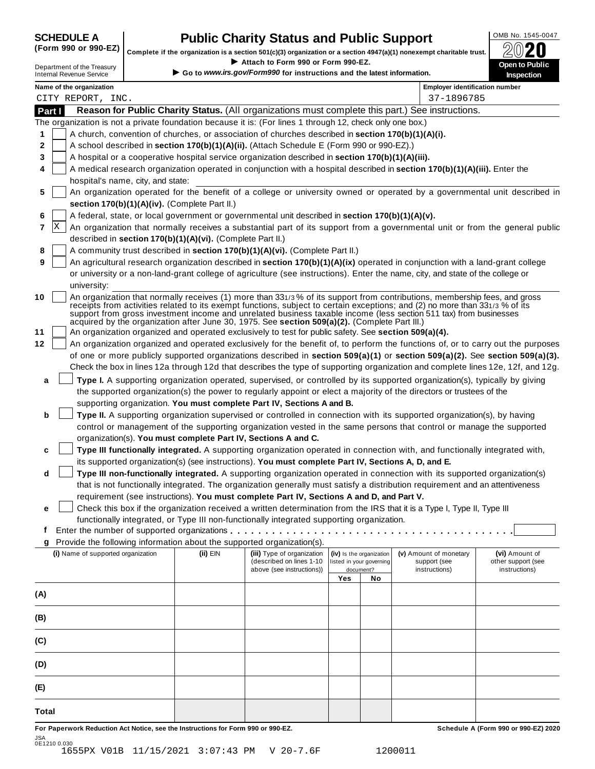| <b>SCHEDULE A</b> |   |
|-------------------|---|
|                   | - |

# **CHEDULE A Public Charity Status and Public Support**  $\frac{100\text{dB No. }1545-0047}{000\text{dB No.}}$

(Form 990 or 990-EZ) complete if the organization is a section 501(c)(3) organization or a section 4947(a)(1) nonexempt charitable trust.  $2020$ 

|                                                               |                                   |                                                            | Complete if the organization is a section 501(c)(3) organization or a section 4947(a)(1) nonexempt charitable trust. |                          |                          |                                                                                                                                                                                                                                                           | ZWŁU                                |
|---------------------------------------------------------------|-----------------------------------|------------------------------------------------------------|----------------------------------------------------------------------------------------------------------------------|--------------------------|--------------------------|-----------------------------------------------------------------------------------------------------------------------------------------------------------------------------------------------------------------------------------------------------------|-------------------------------------|
| Department of the Treasury<br><b>Internal Revenue Service</b> |                                   |                                                            | Attach to Form 990 or Form 990-EZ.<br>Go to www.irs.gov/Form990 for instructions and the latest information.         |                          |                          |                                                                                                                                                                                                                                                           | Open to Public<br><b>Inspection</b> |
| Name of the organization                                      |                                   |                                                            |                                                                                                                      |                          |                          | <b>Employer identification number</b>                                                                                                                                                                                                                     |                                     |
| CITY REPORT, INC.                                             |                                   |                                                            |                                                                                                                      |                          |                          | 37-1896785                                                                                                                                                                                                                                                |                                     |
| Part I                                                        |                                   |                                                            |                                                                                                                      |                          |                          | Reason for Public Charity Status. (All organizations must complete this part.) See instructions.                                                                                                                                                          |                                     |
|                                                               |                                   |                                                            | The organization is not a private foundation because it is: (For lines 1 through 12, check only one box.)            |                          |                          |                                                                                                                                                                                                                                                           |                                     |
| 1                                                             |                                   |                                                            | A church, convention of churches, or association of churches described in section 170(b)(1)(A)(i).                   |                          |                          |                                                                                                                                                                                                                                                           |                                     |
| 2                                                             |                                   |                                                            | A school described in section 170(b)(1)(A)(ii). (Attach Schedule E (Form 990 or 990-EZ).)                            |                          |                          |                                                                                                                                                                                                                                                           |                                     |
| 3                                                             |                                   |                                                            | A hospital or a cooperative hospital service organization described in section 170(b)(1)(A)(iii).                    |                          |                          |                                                                                                                                                                                                                                                           |                                     |
| 4                                                             |                                   |                                                            |                                                                                                                      |                          |                          | A medical research organization operated in conjunction with a hospital described in section 170(b)(1)(A)(iii). Enter the                                                                                                                                 |                                     |
|                                                               | hospital's name, city, and state: |                                                            |                                                                                                                      |                          |                          |                                                                                                                                                                                                                                                           |                                     |
| 5                                                             |                                   |                                                            |                                                                                                                      |                          |                          | An organization operated for the benefit of a college or university owned or operated by a governmental unit described in                                                                                                                                 |                                     |
|                                                               |                                   | section 170(b)(1)(A)(iv). (Complete Part II.)              |                                                                                                                      |                          |                          |                                                                                                                                                                                                                                                           |                                     |
| 6                                                             |                                   |                                                            | A federal, state, or local government or governmental unit described in section 170(b)(1)(A)(v).                     |                          |                          |                                                                                                                                                                                                                                                           |                                     |
| X<br>7                                                        |                                   |                                                            |                                                                                                                      |                          |                          | An organization that normally receives a substantial part of its support from a governmental unit or from the general public                                                                                                                              |                                     |
|                                                               |                                   | described in section 170(b)(1)(A)(vi). (Complete Part II.) |                                                                                                                      |                          |                          |                                                                                                                                                                                                                                                           |                                     |
| 8                                                             |                                   |                                                            | A community trust described in section 170(b)(1)(A)(vi). (Complete Part II.)                                         |                          |                          |                                                                                                                                                                                                                                                           |                                     |
| 9                                                             |                                   |                                                            |                                                                                                                      |                          |                          | An agricultural research organization described in section 170(b)(1)(A)(ix) operated in conjunction with a land-grant college                                                                                                                             |                                     |
|                                                               |                                   |                                                            |                                                                                                                      |                          |                          | or university or a non-land-grant college of agriculture (see instructions). Enter the name, city, and state of the college or                                                                                                                            |                                     |
| university:                                                   |                                   |                                                            |                                                                                                                      |                          |                          |                                                                                                                                                                                                                                                           |                                     |
| 10                                                            |                                   |                                                            |                                                                                                                      |                          |                          | An organization that normally receives (1) more than 331/3% of its support from contributions, membership fees, and gross<br>receipts from activities related to its exempt functions, subject to certain exceptions; and (2) no more than 331/3 % of its |                                     |
|                                                               |                                   |                                                            |                                                                                                                      |                          |                          | support from gross investment income and unrelated business taxable income (less section 511 tax) from businesses                                                                                                                                         |                                     |
| 11                                                            |                                   |                                                            | acquired by the organization after June 30, 1975. See section 509(a)(2). (Complete Part III.)                        |                          |                          |                                                                                                                                                                                                                                                           |                                     |
| 12                                                            |                                   |                                                            | An organization organized and operated exclusively to test for public safety. See section 509(a)(4).                 |                          |                          |                                                                                                                                                                                                                                                           |                                     |
|                                                               |                                   |                                                            |                                                                                                                      |                          |                          | An organization organized and operated exclusively for the benefit of, to perform the functions of, or to carry out the purposes                                                                                                                          |                                     |
|                                                               |                                   |                                                            |                                                                                                                      |                          |                          | of one or more publicly supported organizations described in section 509(a)(1) or section 509(a)(2). See section 509(a)(3).                                                                                                                               |                                     |
|                                                               |                                   |                                                            |                                                                                                                      |                          |                          | Check the box in lines 12a through 12d that describes the type of supporting organization and complete lines 12e, 12f, and 12g.                                                                                                                           |                                     |
| a                                                             |                                   |                                                            |                                                                                                                      |                          |                          | Type I. A supporting organization operated, supervised, or controlled by its supported organization(s), typically by giving                                                                                                                               |                                     |
|                                                               |                                   |                                                            |                                                                                                                      |                          |                          | the supported organization(s) the power to regularly appoint or elect a majority of the directors or trustees of the                                                                                                                                      |                                     |
|                                                               |                                   |                                                            | supporting organization. You must complete Part IV, Sections A and B.                                                |                          |                          |                                                                                                                                                                                                                                                           |                                     |
| b                                                             |                                   |                                                            |                                                                                                                      |                          |                          | Type II. A supporting organization supervised or controlled in connection with its supported organization(s), by having                                                                                                                                   |                                     |
|                                                               |                                   |                                                            |                                                                                                                      |                          |                          | control or management of the supporting organization vested in the same persons that control or manage the supported                                                                                                                                      |                                     |
|                                                               |                                   |                                                            | organization(s). You must complete Part IV, Sections A and C.                                                        |                          |                          |                                                                                                                                                                                                                                                           |                                     |
| c                                                             |                                   |                                                            |                                                                                                                      |                          |                          | Type III functionally integrated. A supporting organization operated in connection with, and functionally integrated with,                                                                                                                                |                                     |
|                                                               |                                   |                                                            | its supported organization(s) (see instructions). You must complete Part IV, Sections A, D, and E.                   |                          |                          |                                                                                                                                                                                                                                                           |                                     |
| d                                                             |                                   |                                                            |                                                                                                                      |                          |                          | Type III non-functionally integrated. A supporting organization operated in connection with its supported organization(s)                                                                                                                                 |                                     |
|                                                               |                                   |                                                            | requirement (see instructions). You must complete Part IV, Sections A and D, and Part V.                             |                          |                          | that is not functionally integrated. The organization generally must satisfy a distribution requirement and an attentiveness                                                                                                                              |                                     |
| е                                                             |                                   |                                                            |                                                                                                                      |                          |                          | Check this box if the organization received a written determination from the IRS that it is a Type I, Type II, Type III                                                                                                                                   |                                     |
|                                                               |                                   |                                                            | functionally integrated, or Type III non-functionally integrated supporting organization.                            |                          |                          |                                                                                                                                                                                                                                                           |                                     |
| f                                                             |                                   |                                                            |                                                                                                                      |                          |                          |                                                                                                                                                                                                                                                           |                                     |
| g                                                             |                                   |                                                            | Provide the following information about the supported organization(s).                                               |                          |                          |                                                                                                                                                                                                                                                           |                                     |
| (i) Name of supported organization                            |                                   | (ii) EIN                                                   | (iii) Type of organization                                                                                           |                          | (iv) Is the organization | (v) Amount of monetary                                                                                                                                                                                                                                    | (vi) Amount of                      |
|                                                               |                                   |                                                            | (described on lines 1-10                                                                                             | listed in your governing |                          | support (see                                                                                                                                                                                                                                              | other support (see                  |
|                                                               |                                   |                                                            | above (see instructions))                                                                                            | Yes                      | document?<br>No          | instructions)                                                                                                                                                                                                                                             | instructions)                       |
|                                                               |                                   |                                                            |                                                                                                                      |                          |                          |                                                                                                                                                                                                                                                           |                                     |
| (A)                                                           |                                   |                                                            |                                                                                                                      |                          |                          |                                                                                                                                                                                                                                                           |                                     |
|                                                               |                                   |                                                            |                                                                                                                      |                          |                          |                                                                                                                                                                                                                                                           |                                     |
| (B)                                                           |                                   |                                                            |                                                                                                                      |                          |                          |                                                                                                                                                                                                                                                           |                                     |
| (C)                                                           |                                   |                                                            |                                                                                                                      |                          |                          |                                                                                                                                                                                                                                                           |                                     |
|                                                               |                                   |                                                            |                                                                                                                      |                          |                          |                                                                                                                                                                                                                                                           |                                     |
| (D)                                                           |                                   |                                                            |                                                                                                                      |                          |                          |                                                                                                                                                                                                                                                           |                                     |
| (E)                                                           |                                   |                                                            |                                                                                                                      |                          |                          |                                                                                                                                                                                                                                                           |                                     |
|                                                               |                                   |                                                            |                                                                                                                      |                          |                          |                                                                                                                                                                                                                                                           |                                     |
| Total                                                         |                                   |                                                            |                                                                                                                      |                          |                          |                                                                                                                                                                                                                                                           |                                     |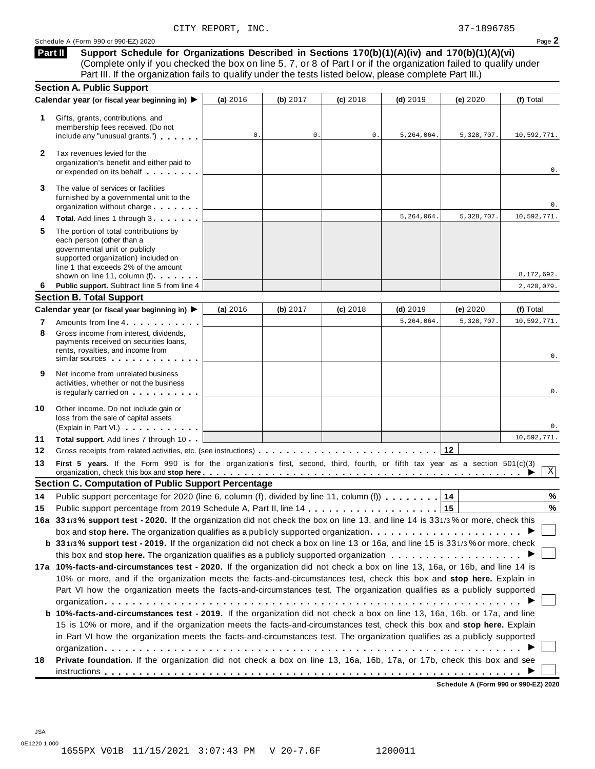#### Schedule <sup>A</sup> (Form <sup>990</sup> or 990-EZ) <sup>2020</sup> Page **2**

**Support Schedule for Organizations Described in Sections 170(b)(1)(A)(iv) and 170(b)(1)(A)(vi)** (Complete only if you checked the box on line 5, 7, or 8 of Part I or if the organization failed to qualify under Part III. If the organization fails to qualify under the tests listed below, please complete Part III.) **Part II**

|                                                                                                                                                                                                 | (a) 2016                                                                                                                                                          | (b) 2017                         | (c) 2018                                                   | $(d)$ 2019 | (e) 2020                                                                               | (f) Total                                                                                                                                                                                                                                                                                                                                                                                                                                                                                                                                                                                                                                                                                                                                                                                                                                                                                                                                                                                                                                                                                                                                                                                                                                                                                                                                                                                                                                                                                                                                                                                                                                                                               |
|-------------------------------------------------------------------------------------------------------------------------------------------------------------------------------------------------|-------------------------------------------------------------------------------------------------------------------------------------------------------------------|----------------------------------|------------------------------------------------------------|------------|----------------------------------------------------------------------------------------|-----------------------------------------------------------------------------------------------------------------------------------------------------------------------------------------------------------------------------------------------------------------------------------------------------------------------------------------------------------------------------------------------------------------------------------------------------------------------------------------------------------------------------------------------------------------------------------------------------------------------------------------------------------------------------------------------------------------------------------------------------------------------------------------------------------------------------------------------------------------------------------------------------------------------------------------------------------------------------------------------------------------------------------------------------------------------------------------------------------------------------------------------------------------------------------------------------------------------------------------------------------------------------------------------------------------------------------------------------------------------------------------------------------------------------------------------------------------------------------------------------------------------------------------------------------------------------------------------------------------------------------------------------------------------------------------|
| Gifts, grants, contributions, and<br>membership fees received. (Do not<br>include any "unusual grants.")                                                                                        | 0.                                                                                                                                                                | $0$ .                            | $0$ .                                                      | 5,264,064. | 5,328,707.                                                                             | 10,592,771.                                                                                                                                                                                                                                                                                                                                                                                                                                                                                                                                                                                                                                                                                                                                                                                                                                                                                                                                                                                                                                                                                                                                                                                                                                                                                                                                                                                                                                                                                                                                                                                                                                                                             |
| Tax revenues levied for the<br>organization's benefit and either paid to<br>or expended on its behalf                                                                                           |                                                                                                                                                                   |                                  |                                                            |            |                                                                                        | 0.                                                                                                                                                                                                                                                                                                                                                                                                                                                                                                                                                                                                                                                                                                                                                                                                                                                                                                                                                                                                                                                                                                                                                                                                                                                                                                                                                                                                                                                                                                                                                                                                                                                                                      |
| The value of services or facilities<br>furnished by a governmental unit to the<br>organization without charge                                                                                   |                                                                                                                                                                   |                                  |                                                            |            |                                                                                        | 0.                                                                                                                                                                                                                                                                                                                                                                                                                                                                                                                                                                                                                                                                                                                                                                                                                                                                                                                                                                                                                                                                                                                                                                                                                                                                                                                                                                                                                                                                                                                                                                                                                                                                                      |
| Total. Add lines 1 through 3                                                                                                                                                                    |                                                                                                                                                                   |                                  |                                                            | 5,264,064. | 5,328,707.                                                                             | 10,592,771.                                                                                                                                                                                                                                                                                                                                                                                                                                                                                                                                                                                                                                                                                                                                                                                                                                                                                                                                                                                                                                                                                                                                                                                                                                                                                                                                                                                                                                                                                                                                                                                                                                                                             |
| The portion of total contributions by<br>each person (other than a<br>governmental unit or publicly<br>supported organization) included on<br>line 1 that exceeds 2% of the amount              |                                                                                                                                                                   |                                  |                                                            |            |                                                                                        | 8,172,692.                                                                                                                                                                                                                                                                                                                                                                                                                                                                                                                                                                                                                                                                                                                                                                                                                                                                                                                                                                                                                                                                                                                                                                                                                                                                                                                                                                                                                                                                                                                                                                                                                                                                              |
| Public support. Subtract line 5 from line 4                                                                                                                                                     |                                                                                                                                                                   |                                  |                                                            |            |                                                                                        | 2,420,079.                                                                                                                                                                                                                                                                                                                                                                                                                                                                                                                                                                                                                                                                                                                                                                                                                                                                                                                                                                                                                                                                                                                                                                                                                                                                                                                                                                                                                                                                                                                                                                                                                                                                              |
|                                                                                                                                                                                                 |                                                                                                                                                                   |                                  |                                                            |            |                                                                                        |                                                                                                                                                                                                                                                                                                                                                                                                                                                                                                                                                                                                                                                                                                                                                                                                                                                                                                                                                                                                                                                                                                                                                                                                                                                                                                                                                                                                                                                                                                                                                                                                                                                                                         |
|                                                                                                                                                                                                 | (a) 2016                                                                                                                                                          | (b) 2017                         | $(c)$ 2018                                                 | $(d)$ 2019 | (e) 2020                                                                               | (f) Total                                                                                                                                                                                                                                                                                                                                                                                                                                                                                                                                                                                                                                                                                                                                                                                                                                                                                                                                                                                                                                                                                                                                                                                                                                                                                                                                                                                                                                                                                                                                                                                                                                                                               |
| Amounts from line 4                                                                                                                                                                             |                                                                                                                                                                   |                                  |                                                            | 5,264,064. | 5,328,707.                                                                             | 10,592,771.                                                                                                                                                                                                                                                                                                                                                                                                                                                                                                                                                                                                                                                                                                                                                                                                                                                                                                                                                                                                                                                                                                                                                                                                                                                                                                                                                                                                                                                                                                                                                                                                                                                                             |
| Gross income from interest, dividends,<br>payments received on securities loans,<br>rents, royalties, and income from<br>similar sources                                                        |                                                                                                                                                                   |                                  |                                                            |            |                                                                                        | 0.                                                                                                                                                                                                                                                                                                                                                                                                                                                                                                                                                                                                                                                                                                                                                                                                                                                                                                                                                                                                                                                                                                                                                                                                                                                                                                                                                                                                                                                                                                                                                                                                                                                                                      |
| Net income from unrelated business<br>activities, whether or not the business<br>is regularly carried on the control of the set of the set of the set of the set of the set of the set of the s |                                                                                                                                                                   |                                  |                                                            |            |                                                                                        | 0.                                                                                                                                                                                                                                                                                                                                                                                                                                                                                                                                                                                                                                                                                                                                                                                                                                                                                                                                                                                                                                                                                                                                                                                                                                                                                                                                                                                                                                                                                                                                                                                                                                                                                      |
| Other income. Do not include gain or<br>loss from the sale of capital assets<br>(Explain in Part VI.)                                                                                           |                                                                                                                                                                   |                                  |                                                            |            |                                                                                        | 0.                                                                                                                                                                                                                                                                                                                                                                                                                                                                                                                                                                                                                                                                                                                                                                                                                                                                                                                                                                                                                                                                                                                                                                                                                                                                                                                                                                                                                                                                                                                                                                                                                                                                                      |
| Total support. Add lines 7 through 10                                                                                                                                                           |                                                                                                                                                                   |                                  |                                                            |            |                                                                                        | 10,592,771.                                                                                                                                                                                                                                                                                                                                                                                                                                                                                                                                                                                                                                                                                                                                                                                                                                                                                                                                                                                                                                                                                                                                                                                                                                                                                                                                                                                                                                                                                                                                                                                                                                                                             |
|                                                                                                                                                                                                 |                                                                                                                                                                   |                                  |                                                            |            |                                                                                        |                                                                                                                                                                                                                                                                                                                                                                                                                                                                                                                                                                                                                                                                                                                                                                                                                                                                                                                                                                                                                                                                                                                                                                                                                                                                                                                                                                                                                                                                                                                                                                                                                                                                                         |
|                                                                                                                                                                                                 |                                                                                                                                                                   |                                  |                                                            |            |                                                                                        | $\mathbf X$                                                                                                                                                                                                                                                                                                                                                                                                                                                                                                                                                                                                                                                                                                                                                                                                                                                                                                                                                                                                                                                                                                                                                                                                                                                                                                                                                                                                                                                                                                                                                                                                                                                                             |
|                                                                                                                                                                                                 |                                                                                                                                                                   |                                  |                                                            |            |                                                                                        |                                                                                                                                                                                                                                                                                                                                                                                                                                                                                                                                                                                                                                                                                                                                                                                                                                                                                                                                                                                                                                                                                                                                                                                                                                                                                                                                                                                                                                                                                                                                                                                                                                                                                         |
|                                                                                                                                                                                                 |                                                                                                                                                                   |                                  |                                                            |            |                                                                                        | %                                                                                                                                                                                                                                                                                                                                                                                                                                                                                                                                                                                                                                                                                                                                                                                                                                                                                                                                                                                                                                                                                                                                                                                                                                                                                                                                                                                                                                                                                                                                                                                                                                                                                       |
|                                                                                                                                                                                                 |                                                                                                                                                                   |                                  |                                                            |            |                                                                                        | $\%$                                                                                                                                                                                                                                                                                                                                                                                                                                                                                                                                                                                                                                                                                                                                                                                                                                                                                                                                                                                                                                                                                                                                                                                                                                                                                                                                                                                                                                                                                                                                                                                                                                                                                    |
|                                                                                                                                                                                                 |                                                                                                                                                                   |                                  |                                                            |            |                                                                                        |                                                                                                                                                                                                                                                                                                                                                                                                                                                                                                                                                                                                                                                                                                                                                                                                                                                                                                                                                                                                                                                                                                                                                                                                                                                                                                                                                                                                                                                                                                                                                                                                                                                                                         |
|                                                                                                                                                                                                 |                                                                                                                                                                   |                                  |                                                            |            |                                                                                        |                                                                                                                                                                                                                                                                                                                                                                                                                                                                                                                                                                                                                                                                                                                                                                                                                                                                                                                                                                                                                                                                                                                                                                                                                                                                                                                                                                                                                                                                                                                                                                                                                                                                                         |
|                                                                                                                                                                                                 |                                                                                                                                                                   |                                  |                                                            |            |                                                                                        |                                                                                                                                                                                                                                                                                                                                                                                                                                                                                                                                                                                                                                                                                                                                                                                                                                                                                                                                                                                                                                                                                                                                                                                                                                                                                                                                                                                                                                                                                                                                                                                                                                                                                         |
|                                                                                                                                                                                                 |                                                                                                                                                                   |                                  |                                                            |            |                                                                                        |                                                                                                                                                                                                                                                                                                                                                                                                                                                                                                                                                                                                                                                                                                                                                                                                                                                                                                                                                                                                                                                                                                                                                                                                                                                                                                                                                                                                                                                                                                                                                                                                                                                                                         |
|                                                                                                                                                                                                 |                                                                                                                                                                   |                                  |                                                            |            |                                                                                        |                                                                                                                                                                                                                                                                                                                                                                                                                                                                                                                                                                                                                                                                                                                                                                                                                                                                                                                                                                                                                                                                                                                                                                                                                                                                                                                                                                                                                                                                                                                                                                                                                                                                                         |
|                                                                                                                                                                                                 |                                                                                                                                                                   |                                  |                                                            |            |                                                                                        |                                                                                                                                                                                                                                                                                                                                                                                                                                                                                                                                                                                                                                                                                                                                                                                                                                                                                                                                                                                                                                                                                                                                                                                                                                                                                                                                                                                                                                                                                                                                                                                                                                                                                         |
|                                                                                                                                                                                                 |                                                                                                                                                                   |                                  |                                                            |            |                                                                                        |                                                                                                                                                                                                                                                                                                                                                                                                                                                                                                                                                                                                                                                                                                                                                                                                                                                                                                                                                                                                                                                                                                                                                                                                                                                                                                                                                                                                                                                                                                                                                                                                                                                                                         |
|                                                                                                                                                                                                 |                                                                                                                                                                   |                                  |                                                            |            |                                                                                        |                                                                                                                                                                                                                                                                                                                                                                                                                                                                                                                                                                                                                                                                                                                                                                                                                                                                                                                                                                                                                                                                                                                                                                                                                                                                                                                                                                                                                                                                                                                                                                                                                                                                                         |
|                                                                                                                                                                                                 |                                                                                                                                                                   |                                  |                                                            |            |                                                                                        |                                                                                                                                                                                                                                                                                                                                                                                                                                                                                                                                                                                                                                                                                                                                                                                                                                                                                                                                                                                                                                                                                                                                                                                                                                                                                                                                                                                                                                                                                                                                                                                                                                                                                         |
|                                                                                                                                                                                                 |                                                                                                                                                                   |                                  |                                                            |            |                                                                                        |                                                                                                                                                                                                                                                                                                                                                                                                                                                                                                                                                                                                                                                                                                                                                                                                                                                                                                                                                                                                                                                                                                                                                                                                                                                                                                                                                                                                                                                                                                                                                                                                                                                                                         |
|                                                                                                                                                                                                 |                                                                                                                                                                   |                                  |                                                            |            |                                                                                        |                                                                                                                                                                                                                                                                                                                                                                                                                                                                                                                                                                                                                                                                                                                                                                                                                                                                                                                                                                                                                                                                                                                                                                                                                                                                                                                                                                                                                                                                                                                                                                                                                                                                                         |
|                                                                                                                                                                                                 |                                                                                                                                                                   |                                  |                                                            |            |                                                                                        |                                                                                                                                                                                                                                                                                                                                                                                                                                                                                                                                                                                                                                                                                                                                                                                                                                                                                                                                                                                                                                                                                                                                                                                                                                                                                                                                                                                                                                                                                                                                                                                                                                                                                         |
|                                                                                                                                                                                                 |                                                                                                                                                                   |                                  |                                                            |            |                                                                                        |                                                                                                                                                                                                                                                                                                                                                                                                                                                                                                                                                                                                                                                                                                                                                                                                                                                                                                                                                                                                                                                                                                                                                                                                                                                                                                                                                                                                                                                                                                                                                                                                                                                                                         |
|                                                                                                                                                                                                 | Calendar year (or fiscal year beginning in) ▶<br>shown on line 11, column (f)<br><b>Section B. Total Support</b><br>Calendar year (or fiscal year beginning in) ▶ | <b>Section A. Public Support</b> | <b>Section C. Computation of Public Support Percentage</b> |            | Public support percentage for 2020 (line 6, column (f), divided by line 11, column (f) | First 5 years. If the Form 990 is for the organization's first, second, third, fourth, or fifth tax year as a section 501(c)(3)<br>organization, check this box and stop here entitled and state in the set of the set of the set of the set of the set of the set of the set of the set of the set of the set of the set of the set of the set of the set of the<br>14<br>15<br>16a 331/3% support test - 2020. If the organization did not check the box on line 13, and line 14 is 331/3% or more, check this<br>box and stop here. The organization qualifies as a publicly supported organization $\ldots \ldots \ldots \ldots \ldots \ldots$<br>b 331/3% support test - 2019. If the organization did not check a box on line 13 or 16a, and line 15 is 331/3% or more, check<br>17a 10%-facts-and-circumstances test - 2020. If the organization did not check a box on line 13, 16a, or 16b, and line 14 is<br>10% or more, and if the organization meets the facts-and-circumstances test, check this box and stop here. Explain in<br>Part VI how the organization meets the facts-and-circumstances test. The organization qualifies as a publicly supported<br>b 10%-facts-and-circumstances test - 2019. If the organization did not check a box on line 13, 16a, 16b, or 17a, and line<br>15 is 10% or more, and if the organization meets the facts-and-circumstances test, check this box and stop here. Explain<br>in Part VI how the organization meets the facts-and-circumstances test. The organization qualifies as a publicly supported<br>Private foundation. If the organization did not check a box on line 13, 16a, 16b, 17a, or 17b, check this box and see |

**Schedule A (Form 990 or 990-EZ) 2020**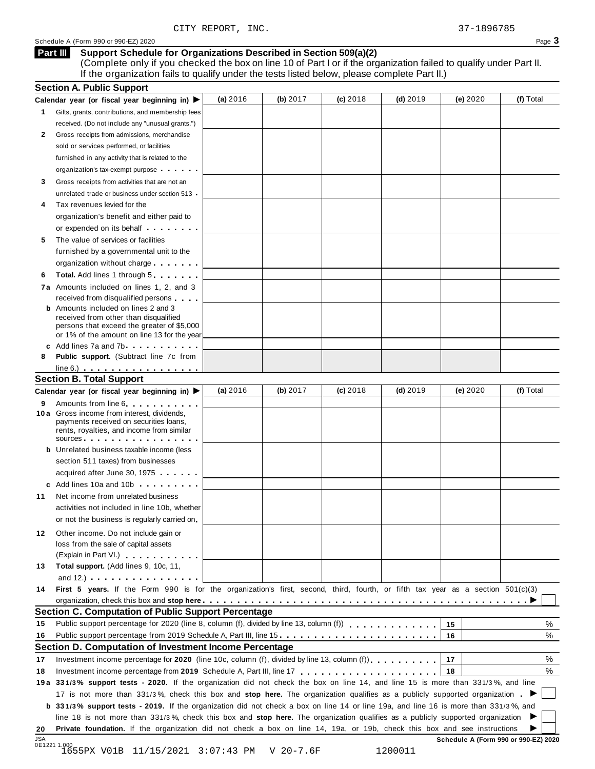(Complete only if you checked the box on line 10 of Part I or if the organization failed to qualify under Part II. If the organization fails to qualify under the tests listed below, please complete Part II.)

| <b>Section A. Public Support</b>                                                                                                                                                                                                     |            |            |            |            |          |           |
|--------------------------------------------------------------------------------------------------------------------------------------------------------------------------------------------------------------------------------------|------------|------------|------------|------------|----------|-----------|
| Calendar year (or fiscal year beginning in)                                                                                                                                                                                          | (a) $2016$ | (b) $2017$ | $(c)$ 2018 | $(d)$ 2019 | (e) 2020 | (f) Total |
| Gifts, grants, contributions, and membership fees<br>1                                                                                                                                                                               |            |            |            |            |          |           |
| received. (Do not include any "unusual grants.")                                                                                                                                                                                     |            |            |            |            |          |           |
| $\mathbf{2}$<br>Gross receipts from admissions, merchandise                                                                                                                                                                          |            |            |            |            |          |           |
| sold or services performed, or facilities                                                                                                                                                                                            |            |            |            |            |          |           |
| furnished in any activity that is related to the                                                                                                                                                                                     |            |            |            |            |          |           |
| organization's tax-exempt purpose                                                                                                                                                                                                    |            |            |            |            |          |           |
| Gross receipts from activities that are not an<br>3                                                                                                                                                                                  |            |            |            |            |          |           |
| unrelated trade or business under section 513                                                                                                                                                                                        |            |            |            |            |          |           |
| Tax revenues levied for the<br>4                                                                                                                                                                                                     |            |            |            |            |          |           |
| organization's benefit and either paid to                                                                                                                                                                                            |            |            |            |            |          |           |
| or expended on its behalf <b>contains the set of the set of the set of the set of the set of the set of the set of the set of the set of the set of the set of the set of the set of the set of the set of the set of the set of</b> |            |            |            |            |          |           |
| The value of services or facilities<br>5                                                                                                                                                                                             |            |            |            |            |          |           |
|                                                                                                                                                                                                                                      |            |            |            |            |          |           |
| furnished by a governmental unit to the                                                                                                                                                                                              |            |            |            |            |          |           |
| organization without charge                                                                                                                                                                                                          |            |            |            |            |          |           |
| <b>Total.</b> Add lines 1 through 5<br>6                                                                                                                                                                                             |            |            |            |            |          |           |
| 7a Amounts included on lines 1, 2, and 3                                                                                                                                                                                             |            |            |            |            |          |           |
| received from disqualified persons                                                                                                                                                                                                   |            |            |            |            |          |           |
| <b>b</b> Amounts included on lines 2 and 3<br>received from other than disqualified                                                                                                                                                  |            |            |            |            |          |           |
| persons that exceed the greater of \$5,000                                                                                                                                                                                           |            |            |            |            |          |           |
| or 1% of the amount on line 13 for the year                                                                                                                                                                                          |            |            |            |            |          |           |
| c Add lines 7a and 7b                                                                                                                                                                                                                |            |            |            |            |          |           |
| Public support. (Subtract line 7c from<br>8                                                                                                                                                                                          |            |            |            |            |          |           |
| $line 6.)$                                                                                                                                                                                                                           |            |            |            |            |          |           |
| <b>Section B. Total Support</b>                                                                                                                                                                                                      |            |            |            |            |          |           |
| Calendar year (or fiscal year beginning in)                                                                                                                                                                                          | (a) 2016   | (b) $2017$ | $(c)$ 2018 | $(d)$ 2019 | (e) 2020 | (f) Total |
| Amounts from line 6<br>9                                                                                                                                                                                                             |            |            |            |            |          |           |
| 10 a Gross income from interest, dividends,<br>payments received on securities loans,<br>rents, royalties, and income from similar                                                                                                   |            |            |            |            |          |           |
| sources                                                                                                                                                                                                                              |            |            |            |            |          |           |
| <b>b</b> Unrelated business taxable income (less                                                                                                                                                                                     |            |            |            |            |          |           |
| section 511 taxes) from businesses                                                                                                                                                                                                   |            |            |            |            |          |           |
| acquired after June 30, 1975                                                                                                                                                                                                         |            |            |            |            |          |           |
| c Add lines 10a and 10b                                                                                                                                                                                                              |            |            |            |            |          |           |
| Net income from unrelated business<br>11                                                                                                                                                                                             |            |            |            |            |          |           |
| activities not included in line 10b, whether                                                                                                                                                                                         |            |            |            |            |          |           |
| or not the business is regularly carried on.                                                                                                                                                                                         |            |            |            |            |          |           |
|                                                                                                                                                                                                                                      |            |            |            |            |          |           |
| Other income. Do not include gain or<br>12<br>loss from the sale of capital assets                                                                                                                                                   |            |            |            |            |          |           |
|                                                                                                                                                                                                                                      |            |            |            |            |          |           |
| (Explain in Part VI.)<br>Total support. (Add lines 9, 10c, 11,<br>13                                                                                                                                                                 |            |            |            |            |          |           |
| and 12.) $\ldots$ $\ldots$ $\ldots$ $\ldots$ $\ldots$                                                                                                                                                                                |            |            |            |            |          |           |
|                                                                                                                                                                                                                                      |            |            |            |            |          |           |
| First 5 years. If the Form 990 is for the organization's first, second, third, fourth, or fifth tax year as a section 501(c)(3)<br>14                                                                                                |            |            |            |            |          |           |
|                                                                                                                                                                                                                                      |            |            |            |            |          |           |
| <b>Section C. Computation of Public Support Percentage</b>                                                                                                                                                                           |            |            |            |            |          |           |
| 15                                                                                                                                                                                                                                   |            |            |            |            | 15       | %         |
| Public support percentage from 2019 Schedule A, Part III, line 15.<br>16                                                                                                                                                             |            |            |            |            | 16       | %         |
| Section D. Computation of Investment Income Percentage                                                                                                                                                                               |            |            |            |            |          |           |
| Investment income percentage for 2020 (line 10c, column (f), divided by line 13, column (f) $\ldots$ ,<br>17                                                                                                                         |            |            |            |            | 17       | %         |
| 18                                                                                                                                                                                                                                   |            |            |            |            | 18       | %         |
| 19a 331/3% support tests - 2020. If the organization did not check the box on line 14, and line 15 is more than 331/3%, and line                                                                                                     |            |            |            |            |          |           |
| 17 is not more than 331/3%, check this box and stop here. The organization qualifies as a publicly supported organization.                                                                                                           |            |            |            |            |          |           |
| b 331/3% support tests - 2019. If the organization did not check a box on line 14 or line 19a, and line 16 is more than 331/3%, and                                                                                                  |            |            |            |            |          |           |
|                                                                                                                                                                                                                                      |            |            |            |            |          |           |
| line 18 is not more than 331/3%, check this box and stop here. The organization qualifies as a publicly supported organization                                                                                                       |            |            |            |            |          |           |
| Private foundation. If the organization did not check a box on line 14, 19a, or 19b, check this box and see instructions<br>20                                                                                                       |            |            |            |            |          |           |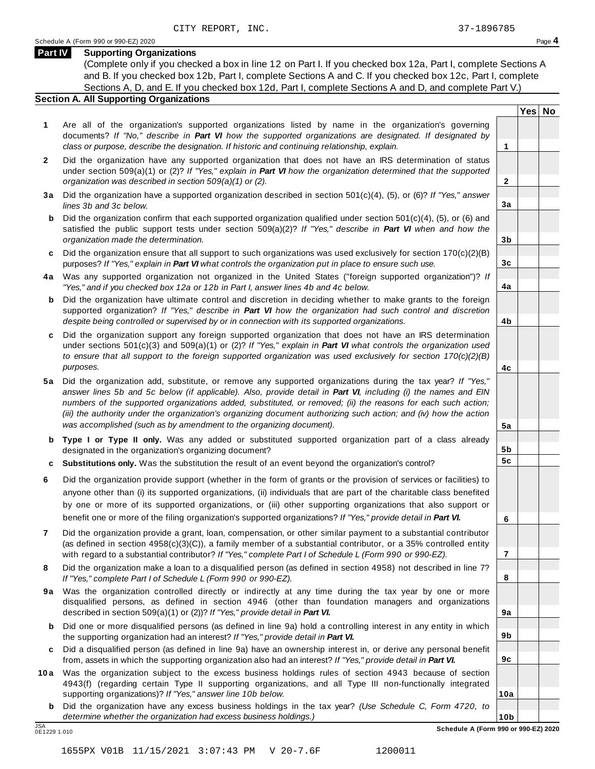#### **Part IV Supporting Organizations**

(Complete only if you checked a box in line 12 on Part I. If you checked box 12a, Part I, complete Sections A and B. If you checked box 12b, Part I, complete Sections A and C. If you checked box 12c, Part I, complete Sections A, D, and E. If you checked box 12d, Part I, complete Sections A and D, and complete Part V.)

#### **Section A. All Supporting Organizations**

- **1** Are all of the organization's supported organizations listed by name in the organization's governing documents? *If "No," describe in Part VI how the supported organizations are designated. If designated by class or purpose, describe the designation. If historic and continuing relationship, explain.* **1**
- **2** Did the organization have any supported organization that does not have an IRS determination of status under section 509(a)(1) or (2)? *If"Yes," explain in Part VI how the organization determined that the supported organization was described in section 509(a)(1) or (2).*
- **3 a** Did the organization have a supported organization described in section 501(c)(4), (5), or (6)? *If "Yes," answer lines 3b and 3c below.*
- **b** Did the organization confirm that each supported organization qualified under section 501(c)(4), (5), or (6) and | satisfied the public support tests under section 509(a)(2)? *If "Yes," describe in Part VI when and how the organization made the determination.*
- **c** Did the organization ensure that all support to such organizations was used exclusively for section 170(c)(2)(B) purposes? *If"Yes," explain in Part VI what controls the organization put in place to ensure such use.*
- **4 a** Was any supported organization not organized in the United States ("foreign supported organization")? *If "Yes," and if you checked box 12a or 12b in Part I, answer lines 4b and 4c below.*
- **b** Did the organization have ultimate control and discretion in deciding whether to make grants to the foreign | supported organization? *If "Yes," describe in Part VI how the organization had such control and discretion despite being controlled or supervised by or in connection with its supported organizations.*
- **c** Did the organization support any foreign supported organization that does not have an IRS determination | under sections 501(c)(3) and 509(a)(1) or (2)? *If "Yes," explain in Part VI what controls the organization used to ensure that all support to the foreign supported organization was used exclusively for section 170(c)(2)(B) purposes.*
- **5 a** Did the organization add, substitute, or remove any supported organizations during the tax year? *If "Yes,"* answer lines 5b and 5c below (if applicable). Also, provide detail in Part VI, including (i) the names and EIN *numbers of the supported organizations added, substituted, or removed; (ii) the reasons for each such action;* (iii) the authority under the organization's organizing document authorizing such action; and (iv) how the action *was accomplished (such as by amendment to the organizing document).*
- **b Type I or Type II only.** Was any added or substituted supported organization part of a class already designated in the organization's organizing document?
- **c Substitutions only.** Was the substitution the result of an event beyond the organization's control?
- **6** Did the organization provide support (whether in the form of grants or the provision of services or facilities) to anyone other than (i) its supported organizations, (ii) individuals that are part of the charitable class benefited by one or more of its supported organizations, or (iii) other supporting organizations that also support or benefit one or more of the filing organization's supported organizations? *If"Yes," provide detail in Part VI.*
- **7** Did the organization provide a grant, loan, compensation, or other similar payment to a substantial contributor (as defined in section 4958(c)(3)(C)), a family member of a substantial contributor, or a 35% controlled entity with regard to a substantial contributor? *If"Yes," complete Part I of Schedule L (Form 990 or 990-EZ).*
- **8** Did the organization make a loan to a disqualified person (as defined in section 4958) not described in line 7? *If "Yes," complete Part I of Schedule L (Form 990 or 990-EZ).*
- **9a** Was the organization controlled directly or indirectly at any time during the tax year by one or more | disqualified persons, as defined in section 4946 (other than foundation managers and organizations described in section 509(a)(1) or (2))? *If"Yes," provide detail in Part VI.*
- **b** Did one or more disqualified persons (as defined in line 9a) hold a controlling interest in any entity in which | the supporting organization had an interest? *If"Yes," provide detail in Part VI.*
- **c** Did a disqualified person (as defined in line 9a) have an ownership interest in, or derive any personal benefit from, assets in which the supporting organization also had an interest? *If"Yes," provide detail in Part VI.*
- **10a** Was the organization subject to the excess business holdings rules of section 4943 because of section | 4943(f) (regarding certain Type II supporting organizations, and all Type III non-functionally integrated supporting organizations)? *If"Yes," answer line 10b below.*
	- **b** Did the organization have any excess business holdings in the tax year? *(Use Schedule C, Form 4720, to determine whether the organization had excess business holdings.)*

0E1229 1.010

**10b** JSA **Schedule A (Form 990 or 990-EZ) 2020**

**Yes No**

**2**

**3a**

**3b**

**3c**

**4a**

**4b**

**4c**

**5a**

**5b 5c**

**6**

**7**

**8**

**9a**

**9b**

**9c**

**10a**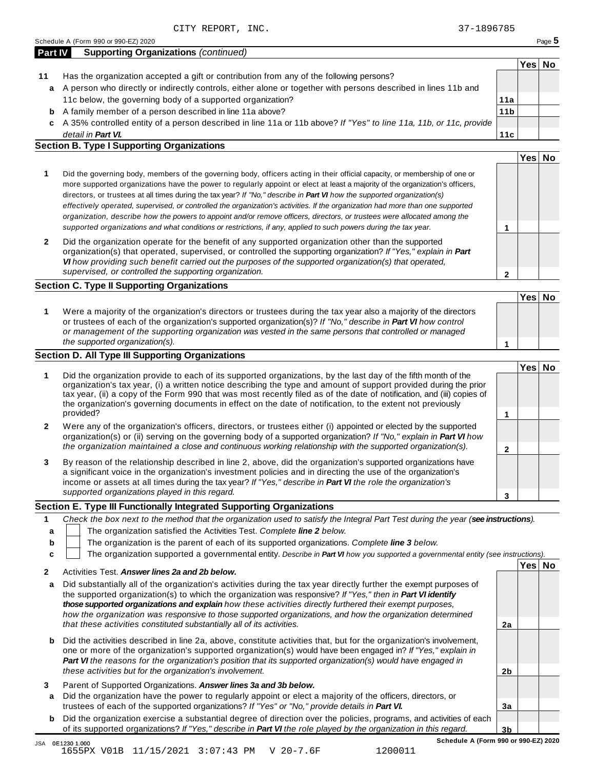#### **Section E. Type III Functionally Integrated Supporting Organizations**

|   | Check the box next to the method that the organization used to satisfy the Integral Part Test during the year (see instructions).                                                                                                                                                                                                                                                                                                                         |      |    |  |  |
|---|-----------------------------------------------------------------------------------------------------------------------------------------------------------------------------------------------------------------------------------------------------------------------------------------------------------------------------------------------------------------------------------------------------------------------------------------------------------|------|----|--|--|
| а | The organization satisfied the Activities Test. Complete line 2 below.                                                                                                                                                                                                                                                                                                                                                                                    |      |    |  |  |
| b | The organization is the parent of each of its supported organizations. Complete line 3 below.                                                                                                                                                                                                                                                                                                                                                             |      |    |  |  |
|   | The organization supported a governmental entity. Describe in Part VI how you supported a governmental entity (see instructions).                                                                                                                                                                                                                                                                                                                         |      |    |  |  |
|   | Activities Test. Answer lines 2a and 2b below.                                                                                                                                                                                                                                                                                                                                                                                                            | Yesl | No |  |  |
| a | Did substantially all of the organization's activities during the tax year directly further the exempt purposes of<br>the supported organization(s) to which the organization was responsive? If "Yes," then in Part VI identify<br>those supported organizations and explain how these activities directly furthered their exempt purposes.<br>how the organization was responsive to those supported organizations, and how the organization determined |      |    |  |  |

*that these activities constituted substantially all of its activities.* **2a**

- **a** Did the organization have the power to regularly appoint or elect a majority of the officers, directors, or trustees of each of the supported organizations? *If"Yes" or "No," provide details in Part VI.*
- **b** Did the organization exercise a substantial degree of direction over the policies, programs, and activities of each of its supported organizations? *If"Yes," describe in Part VI the role played by the organization in this regard.*

**3b Schedule A (Form 990 or 990-EZ) 2020**

**2b**

**3a**

# **Part IV Supporting Organizations** *(continued)*

- **11** Has the organization accepted a gift or contribution from any of the following persons? A person who directly or indirectly controls, either alone or together with persons described in lines 11b and **a** 11c below, the governing body of a supported organization? **11a 11b**
	- A family member of a person described in line 11a above? **b**
	- A 35% controlled entity of a person described in line 11a or 11b above? *If"Yes" to line 11a, 11b, or 11c, provide* **c** *detail in Part VI.*

# **Section B. Type I Supporting Organizations**

- **1 Yes No 1** Did the governing body, members of the governing body, officers acting in their official capacity, or membership of one or more supported organizations have the power to regularly appoint or elect at least a majority of the organization's officers, directors, or trustees at all times during the tax year? *If"No," describe in Part VI how the supported organization(s)* effectively operated, supervised, or controlled the organization's activities. If the organization had more than one supported organization, describe how the powers to appoint and/or remove officers, directors, or trustees were allocated among the supported organizations and what conditions or restrictions, if any, applied to such powers during the tax year.
- **2** Did the organization operate for the benefit of any supported organization other than the supported organization(s) that operated, supervised, or controlled the supporting organization? *If "Yes," explain in Part VI how providing such benefit carried out the purposes of the supported organization(s) that operated, supervised, or controlled the supporting organization.*

# **Section C. Type II Supporting Organizations**

**Yes No 1** Were a majority of the organization's directors or trustees during the tax year also a majority of the directors or trustees of each of the organization's supported organization(s)? *If"No," describe in Part VI how control or management of the supporting organization was vested in the same persons that controlled or managed the supported organization(s).*

## **Section D. All Type III Supporting Organizations**

|   |                                                                                                                                                                                                                                                                                                                                                                                                                                                                                          | Yes⊺ |  |
|---|------------------------------------------------------------------------------------------------------------------------------------------------------------------------------------------------------------------------------------------------------------------------------------------------------------------------------------------------------------------------------------------------------------------------------------------------------------------------------------------|------|--|
|   | Did the organization provide to each of its supported organizations, by the last day of the fifth month of the<br>organization's tax year, (i) a written notice describing the type and amount of support provided during the prior<br>tax year, (ii) a copy of the Form 990 that was most recently filed as of the date of notification, and (iii) copies of<br>the organization's governing documents in effect on the date of notification, to the extent not previously<br>provided? |      |  |
| 2 | Were any of the organization's officers, directors, or trustees either (i) appointed or elected by the supported<br>organization(s) or (ii) serving on the governing body of a supported organization? If "No," explain in Part VI how<br>the organization maintained a close and continuous working relationship with the supported organization(s).                                                                                                                                    |      |  |
| 3 | By reason of the relationship described in line 2, above, did the organization's supported organizations have<br>a significant voice in the organization's investment policies and in directing the use of the organization's<br>income or assets at all times during the tax year? If "Yes," describe in Part VI the role the organization's<br>supported organizations played in this regard.                                                                                          |      |  |

**11c**

**Yes No**

# **1**

**2**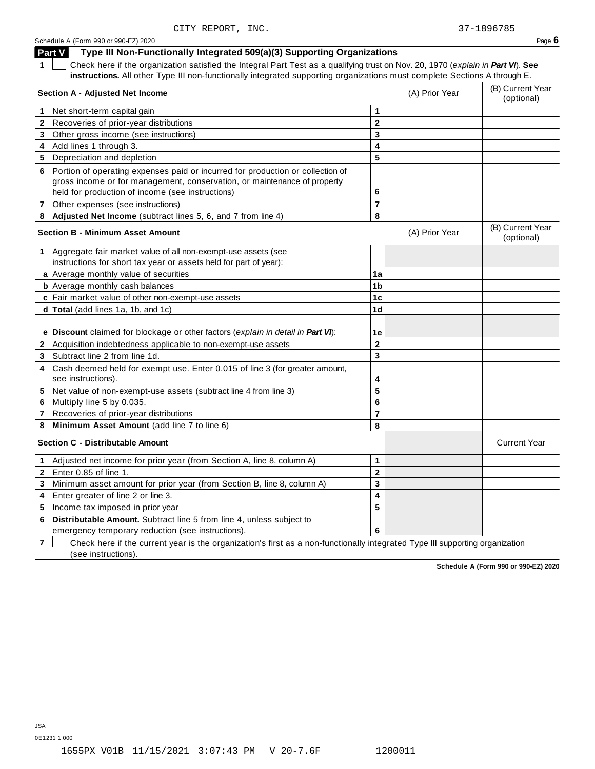| Check here if the organization satisfied the Integral Part Test as a qualifying trust on Nov. 20, 1970 (explain in Part VI). See<br>1<br>instructions. All other Type III non-functionally integrated supporting organizations must complete Sections A through E.<br>(B) Current Year<br>(A) Prior Year<br>Section A - Adjusted Net Income<br>(optional)<br>1<br>Net short-term capital gain<br>1.<br>$\mathbf 2$<br>Recoveries of prior-year distributions<br>2<br>3<br>Other gross income (see instructions)<br>3<br>4<br>Add lines 1 through 3.<br>4<br>5<br>5 Depreciation and depletion<br>6 Portion of operating expenses paid or incurred for production or collection of<br>gross income or for management, conservation, or maintenance of property<br>6<br>held for production of income (see instructions)<br>7<br>7 Other expenses (see instructions)<br>Adjusted Net Income (subtract lines 5, 6, and 7 from line 4)<br>8<br>8<br>(B) Current Year<br><b>Section B - Minimum Asset Amount</b><br>(A) Prior Year<br>(optional)<br>Aggregate fair market value of all non-exempt-use assets (see<br>1<br>instructions for short tax year or assets held for part of year):<br>1a<br>a Average monthly value of securities<br>1 <sub>b</sub><br><b>b</b> Average monthly cash balances<br>1 <sub>c</sub><br>c Fair market value of other non-exempt-use assets<br>d Total (add lines 1a, 1b, and 1c)<br>1 <sub>d</sub><br>e Discount claimed for blockage or other factors (explain in detail in Part VI):<br>1e<br>$\mathbf 2$<br>2 Acquisition indebtedness applicable to non-exempt-use assets<br>Subtract line 2 from line 1d.<br>3<br>3<br>Cash deemed held for exempt use. Enter 0.015 of line 3 (for greater amount,<br>4<br>see instructions).<br>4<br>5<br>Net value of non-exempt-use assets (subtract line 4 from line 3)<br>5<br>6<br>Multiply line 5 by 0.035.<br>6<br>Recoveries of prior-year distributions<br>7<br>7<br>Minimum Asset Amount (add line 7 to line 6)<br>8<br>8<br><b>Section C - Distributable Amount</b><br><b>Current Year</b><br>1<br>Adjusted net income for prior year (from Section A, line 8, column A)<br>$\mathbf{1}$<br>$\mathbf 2$<br>Enter 0.85 of line 1.<br>$\mathbf{2}$<br>3<br>Minimum asset amount for prior year (from Section B, line 8, column A)<br>3<br>4<br>Enter greater of line 2 or line 3.<br>4 |   | Ochedule A (I Onli 990 OF 990-LL) 2020<br>Part V Type III Non-Functionally Integrated 509(a)(3) Supporting Organizations |   | ı ayc v |
|----------------------------------------------------------------------------------------------------------------------------------------------------------------------------------------------------------------------------------------------------------------------------------------------------------------------------------------------------------------------------------------------------------------------------------------------------------------------------------------------------------------------------------------------------------------------------------------------------------------------------------------------------------------------------------------------------------------------------------------------------------------------------------------------------------------------------------------------------------------------------------------------------------------------------------------------------------------------------------------------------------------------------------------------------------------------------------------------------------------------------------------------------------------------------------------------------------------------------------------------------------------------------------------------------------------------------------------------------------------------------------------------------------------------------------------------------------------------------------------------------------------------------------------------------------------------------------------------------------------------------------------------------------------------------------------------------------------------------------------------------------------------------------------------------------------------------------------------------------------------------------------------------------------------------------------------------------------------------------------------------------------------------------------------------------------------------------------------------------------------------------------------------------------------------------------------------------------------------------------------------------------------------------------------------------------------------------------------------------------------|---|--------------------------------------------------------------------------------------------------------------------------|---|---------|
|                                                                                                                                                                                                                                                                                                                                                                                                                                                                                                                                                                                                                                                                                                                                                                                                                                                                                                                                                                                                                                                                                                                                                                                                                                                                                                                                                                                                                                                                                                                                                                                                                                                                                                                                                                                                                                                                                                                                                                                                                                                                                                                                                                                                                                                                                                                                                                      |   |                                                                                                                          |   |         |
|                                                                                                                                                                                                                                                                                                                                                                                                                                                                                                                                                                                                                                                                                                                                                                                                                                                                                                                                                                                                                                                                                                                                                                                                                                                                                                                                                                                                                                                                                                                                                                                                                                                                                                                                                                                                                                                                                                                                                                                                                                                                                                                                                                                                                                                                                                                                                                      |   |                                                                                                                          |   |         |
|                                                                                                                                                                                                                                                                                                                                                                                                                                                                                                                                                                                                                                                                                                                                                                                                                                                                                                                                                                                                                                                                                                                                                                                                                                                                                                                                                                                                                                                                                                                                                                                                                                                                                                                                                                                                                                                                                                                                                                                                                                                                                                                                                                                                                                                                                                                                                                      |   |                                                                                                                          |   |         |
|                                                                                                                                                                                                                                                                                                                                                                                                                                                                                                                                                                                                                                                                                                                                                                                                                                                                                                                                                                                                                                                                                                                                                                                                                                                                                                                                                                                                                                                                                                                                                                                                                                                                                                                                                                                                                                                                                                                                                                                                                                                                                                                                                                                                                                                                                                                                                                      |   |                                                                                                                          |   |         |
|                                                                                                                                                                                                                                                                                                                                                                                                                                                                                                                                                                                                                                                                                                                                                                                                                                                                                                                                                                                                                                                                                                                                                                                                                                                                                                                                                                                                                                                                                                                                                                                                                                                                                                                                                                                                                                                                                                                                                                                                                                                                                                                                                                                                                                                                                                                                                                      |   |                                                                                                                          |   |         |
|                                                                                                                                                                                                                                                                                                                                                                                                                                                                                                                                                                                                                                                                                                                                                                                                                                                                                                                                                                                                                                                                                                                                                                                                                                                                                                                                                                                                                                                                                                                                                                                                                                                                                                                                                                                                                                                                                                                                                                                                                                                                                                                                                                                                                                                                                                                                                                      |   |                                                                                                                          |   |         |
|                                                                                                                                                                                                                                                                                                                                                                                                                                                                                                                                                                                                                                                                                                                                                                                                                                                                                                                                                                                                                                                                                                                                                                                                                                                                                                                                                                                                                                                                                                                                                                                                                                                                                                                                                                                                                                                                                                                                                                                                                                                                                                                                                                                                                                                                                                                                                                      |   |                                                                                                                          |   |         |
|                                                                                                                                                                                                                                                                                                                                                                                                                                                                                                                                                                                                                                                                                                                                                                                                                                                                                                                                                                                                                                                                                                                                                                                                                                                                                                                                                                                                                                                                                                                                                                                                                                                                                                                                                                                                                                                                                                                                                                                                                                                                                                                                                                                                                                                                                                                                                                      |   |                                                                                                                          |   |         |
|                                                                                                                                                                                                                                                                                                                                                                                                                                                                                                                                                                                                                                                                                                                                                                                                                                                                                                                                                                                                                                                                                                                                                                                                                                                                                                                                                                                                                                                                                                                                                                                                                                                                                                                                                                                                                                                                                                                                                                                                                                                                                                                                                                                                                                                                                                                                                                      |   |                                                                                                                          |   |         |
|                                                                                                                                                                                                                                                                                                                                                                                                                                                                                                                                                                                                                                                                                                                                                                                                                                                                                                                                                                                                                                                                                                                                                                                                                                                                                                                                                                                                                                                                                                                                                                                                                                                                                                                                                                                                                                                                                                                                                                                                                                                                                                                                                                                                                                                                                                                                                                      |   |                                                                                                                          |   |         |
|                                                                                                                                                                                                                                                                                                                                                                                                                                                                                                                                                                                                                                                                                                                                                                                                                                                                                                                                                                                                                                                                                                                                                                                                                                                                                                                                                                                                                                                                                                                                                                                                                                                                                                                                                                                                                                                                                                                                                                                                                                                                                                                                                                                                                                                                                                                                                                      |   |                                                                                                                          |   |         |
|                                                                                                                                                                                                                                                                                                                                                                                                                                                                                                                                                                                                                                                                                                                                                                                                                                                                                                                                                                                                                                                                                                                                                                                                                                                                                                                                                                                                                                                                                                                                                                                                                                                                                                                                                                                                                                                                                                                                                                                                                                                                                                                                                                                                                                                                                                                                                                      |   |                                                                                                                          |   |         |
|                                                                                                                                                                                                                                                                                                                                                                                                                                                                                                                                                                                                                                                                                                                                                                                                                                                                                                                                                                                                                                                                                                                                                                                                                                                                                                                                                                                                                                                                                                                                                                                                                                                                                                                                                                                                                                                                                                                                                                                                                                                                                                                                                                                                                                                                                                                                                                      |   |                                                                                                                          |   |         |
|                                                                                                                                                                                                                                                                                                                                                                                                                                                                                                                                                                                                                                                                                                                                                                                                                                                                                                                                                                                                                                                                                                                                                                                                                                                                                                                                                                                                                                                                                                                                                                                                                                                                                                                                                                                                                                                                                                                                                                                                                                                                                                                                                                                                                                                                                                                                                                      |   |                                                                                                                          |   |         |
|                                                                                                                                                                                                                                                                                                                                                                                                                                                                                                                                                                                                                                                                                                                                                                                                                                                                                                                                                                                                                                                                                                                                                                                                                                                                                                                                                                                                                                                                                                                                                                                                                                                                                                                                                                                                                                                                                                                                                                                                                                                                                                                                                                                                                                                                                                                                                                      |   |                                                                                                                          |   |         |
|                                                                                                                                                                                                                                                                                                                                                                                                                                                                                                                                                                                                                                                                                                                                                                                                                                                                                                                                                                                                                                                                                                                                                                                                                                                                                                                                                                                                                                                                                                                                                                                                                                                                                                                                                                                                                                                                                                                                                                                                                                                                                                                                                                                                                                                                                                                                                                      |   |                                                                                                                          |   |         |
|                                                                                                                                                                                                                                                                                                                                                                                                                                                                                                                                                                                                                                                                                                                                                                                                                                                                                                                                                                                                                                                                                                                                                                                                                                                                                                                                                                                                                                                                                                                                                                                                                                                                                                                                                                                                                                                                                                                                                                                                                                                                                                                                                                                                                                                                                                                                                                      |   |                                                                                                                          |   |         |
|                                                                                                                                                                                                                                                                                                                                                                                                                                                                                                                                                                                                                                                                                                                                                                                                                                                                                                                                                                                                                                                                                                                                                                                                                                                                                                                                                                                                                                                                                                                                                                                                                                                                                                                                                                                                                                                                                                                                                                                                                                                                                                                                                                                                                                                                                                                                                                      |   |                                                                                                                          |   |         |
|                                                                                                                                                                                                                                                                                                                                                                                                                                                                                                                                                                                                                                                                                                                                                                                                                                                                                                                                                                                                                                                                                                                                                                                                                                                                                                                                                                                                                                                                                                                                                                                                                                                                                                                                                                                                                                                                                                                                                                                                                                                                                                                                                                                                                                                                                                                                                                      |   |                                                                                                                          |   |         |
|                                                                                                                                                                                                                                                                                                                                                                                                                                                                                                                                                                                                                                                                                                                                                                                                                                                                                                                                                                                                                                                                                                                                                                                                                                                                                                                                                                                                                                                                                                                                                                                                                                                                                                                                                                                                                                                                                                                                                                                                                                                                                                                                                                                                                                                                                                                                                                      |   |                                                                                                                          |   |         |
|                                                                                                                                                                                                                                                                                                                                                                                                                                                                                                                                                                                                                                                                                                                                                                                                                                                                                                                                                                                                                                                                                                                                                                                                                                                                                                                                                                                                                                                                                                                                                                                                                                                                                                                                                                                                                                                                                                                                                                                                                                                                                                                                                                                                                                                                                                                                                                      |   |                                                                                                                          |   |         |
|                                                                                                                                                                                                                                                                                                                                                                                                                                                                                                                                                                                                                                                                                                                                                                                                                                                                                                                                                                                                                                                                                                                                                                                                                                                                                                                                                                                                                                                                                                                                                                                                                                                                                                                                                                                                                                                                                                                                                                                                                                                                                                                                                                                                                                                                                                                                                                      |   |                                                                                                                          |   |         |
|                                                                                                                                                                                                                                                                                                                                                                                                                                                                                                                                                                                                                                                                                                                                                                                                                                                                                                                                                                                                                                                                                                                                                                                                                                                                                                                                                                                                                                                                                                                                                                                                                                                                                                                                                                                                                                                                                                                                                                                                                                                                                                                                                                                                                                                                                                                                                                      |   |                                                                                                                          |   |         |
|                                                                                                                                                                                                                                                                                                                                                                                                                                                                                                                                                                                                                                                                                                                                                                                                                                                                                                                                                                                                                                                                                                                                                                                                                                                                                                                                                                                                                                                                                                                                                                                                                                                                                                                                                                                                                                                                                                                                                                                                                                                                                                                                                                                                                                                                                                                                                                      |   |                                                                                                                          |   |         |
|                                                                                                                                                                                                                                                                                                                                                                                                                                                                                                                                                                                                                                                                                                                                                                                                                                                                                                                                                                                                                                                                                                                                                                                                                                                                                                                                                                                                                                                                                                                                                                                                                                                                                                                                                                                                                                                                                                                                                                                                                                                                                                                                                                                                                                                                                                                                                                      |   |                                                                                                                          |   |         |
|                                                                                                                                                                                                                                                                                                                                                                                                                                                                                                                                                                                                                                                                                                                                                                                                                                                                                                                                                                                                                                                                                                                                                                                                                                                                                                                                                                                                                                                                                                                                                                                                                                                                                                                                                                                                                                                                                                                                                                                                                                                                                                                                                                                                                                                                                                                                                                      |   |                                                                                                                          |   |         |
|                                                                                                                                                                                                                                                                                                                                                                                                                                                                                                                                                                                                                                                                                                                                                                                                                                                                                                                                                                                                                                                                                                                                                                                                                                                                                                                                                                                                                                                                                                                                                                                                                                                                                                                                                                                                                                                                                                                                                                                                                                                                                                                                                                                                                                                                                                                                                                      |   |                                                                                                                          |   |         |
|                                                                                                                                                                                                                                                                                                                                                                                                                                                                                                                                                                                                                                                                                                                                                                                                                                                                                                                                                                                                                                                                                                                                                                                                                                                                                                                                                                                                                                                                                                                                                                                                                                                                                                                                                                                                                                                                                                                                                                                                                                                                                                                                                                                                                                                                                                                                                                      |   |                                                                                                                          |   |         |
|                                                                                                                                                                                                                                                                                                                                                                                                                                                                                                                                                                                                                                                                                                                                                                                                                                                                                                                                                                                                                                                                                                                                                                                                                                                                                                                                                                                                                                                                                                                                                                                                                                                                                                                                                                                                                                                                                                                                                                                                                                                                                                                                                                                                                                                                                                                                                                      |   |                                                                                                                          |   |         |
|                                                                                                                                                                                                                                                                                                                                                                                                                                                                                                                                                                                                                                                                                                                                                                                                                                                                                                                                                                                                                                                                                                                                                                                                                                                                                                                                                                                                                                                                                                                                                                                                                                                                                                                                                                                                                                                                                                                                                                                                                                                                                                                                                                                                                                                                                                                                                                      |   |                                                                                                                          |   |         |
|                                                                                                                                                                                                                                                                                                                                                                                                                                                                                                                                                                                                                                                                                                                                                                                                                                                                                                                                                                                                                                                                                                                                                                                                                                                                                                                                                                                                                                                                                                                                                                                                                                                                                                                                                                                                                                                                                                                                                                                                                                                                                                                                                                                                                                                                                                                                                                      | 5 | Income tax imposed in prior year                                                                                         | 5 |         |
| Distributable Amount. Subtract line 5 from line 4, unless subject to<br>6<br>emergency temporary reduction (see instructions).<br>6                                                                                                                                                                                                                                                                                                                                                                                                                                                                                                                                                                                                                                                                                                                                                                                                                                                                                                                                                                                                                                                                                                                                                                                                                                                                                                                                                                                                                                                                                                                                                                                                                                                                                                                                                                                                                                                                                                                                                                                                                                                                                                                                                                                                                                  |   |                                                                                                                          |   |         |

**7**  $\Box$  Check here if the current year is the organization's first as a non-functionally integrated Type III supporting organization (see instructions).

**Schedule A (Form 990 or 990-EZ) 2020**

0E1231 1.000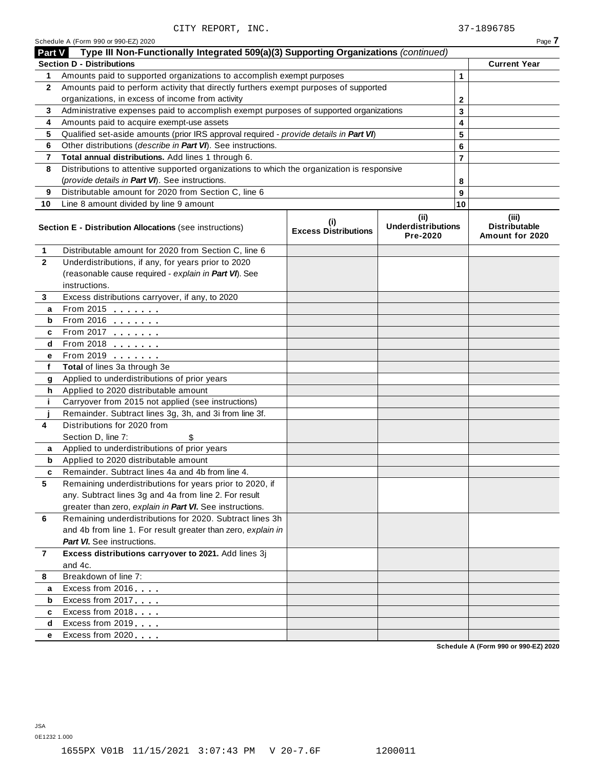| Schedule A (Form 990 or 990-EZ) 2020 | Page |
|--------------------------------------|------|
|                                      |      |

| Part V         | Type III Non-Functionally Integrated 509(a)(3) Supporting Organizations (continued)        |                                    |                                               |    |                                                  |
|----------------|--------------------------------------------------------------------------------------------|------------------------------------|-----------------------------------------------|----|--------------------------------------------------|
|                | <b>Section D - Distributions</b>                                                           |                                    |                                               |    | <b>Current Year</b>                              |
| 1              | Amounts paid to supported organizations to accomplish exempt purposes                      |                                    |                                               | 1  |                                                  |
| $\mathbf{2}$   | Amounts paid to perform activity that directly furthers exempt purposes of supported       |                                    |                                               |    |                                                  |
|                | organizations, in excess of income from activity                                           |                                    |                                               | 2  |                                                  |
| 3              | Administrative expenses paid to accomplish exempt purposes of supported organizations      |                                    |                                               | 3  |                                                  |
| 4              | Amounts paid to acquire exempt-use assets                                                  |                                    |                                               | 4  |                                                  |
| 5              | Qualified set-aside amounts (prior IRS approval required - provide details in Part VI)     |                                    |                                               | 5  |                                                  |
| 6              | Other distributions (describe in Part VI). See instructions.                               |                                    |                                               | 6  |                                                  |
| $\overline{7}$ | Total annual distributions. Add lines 1 through 6.                                         |                                    |                                               | 7  |                                                  |
| 8              | Distributions to attentive supported organizations to which the organization is responsive |                                    |                                               |    |                                                  |
|                | (provide details in Part VI). See instructions.                                            |                                    |                                               | 8  |                                                  |
| 9              | Distributable amount for 2020 from Section C, line 6                                       |                                    |                                               | 9  |                                                  |
| 10             | Line 8 amount divided by line 9 amount                                                     |                                    |                                               | 10 |                                                  |
|                | Section E - Distribution Allocations (see instructions)                                    | (i)<br><b>Excess Distributions</b> | (ii)<br><b>Underdistributions</b><br>Pre-2020 |    | (iii)<br><b>Distributable</b><br>Amount for 2020 |
| $\mathbf{1}$   | Distributable amount for 2020 from Section C, line 6                                       |                                    |                                               |    |                                                  |
| $\mathbf{2}$   | Underdistributions, if any, for years prior to 2020                                        |                                    |                                               |    |                                                  |
|                | (reasonable cause required - explain in Part VI). See                                      |                                    |                                               |    |                                                  |
|                | instructions.                                                                              |                                    |                                               |    |                                                  |
| 3              | Excess distributions carryover, if any, to 2020                                            |                                    |                                               |    |                                                  |
| a              | From 2015                                                                                  |                                    |                                               |    |                                                  |
| b              |                                                                                            |                                    |                                               |    |                                                  |
| c              | From 2017                                                                                  |                                    |                                               |    |                                                  |
| d              | From 2018                                                                                  |                                    |                                               |    |                                                  |
| е              |                                                                                            |                                    |                                               |    |                                                  |
| f              | Total of lines 3a through 3e                                                               |                                    |                                               |    |                                                  |
| g              | Applied to underdistributions of prior years                                               |                                    |                                               |    |                                                  |
| h.             | Applied to 2020 distributable amount                                                       |                                    |                                               |    |                                                  |
| j.             | Carryover from 2015 not applied (see instructions)                                         |                                    |                                               |    |                                                  |
|                | Remainder. Subtract lines 3g, 3h, and 3i from line 3f.                                     |                                    |                                               |    |                                                  |
| 4              | Distributions for 2020 from                                                                |                                    |                                               |    |                                                  |
|                | Section D, line 7:<br>\$                                                                   |                                    |                                               |    |                                                  |
| a              | Applied to underdistributions of prior years                                               |                                    |                                               |    |                                                  |
| b              | Applied to 2020 distributable amount                                                       |                                    |                                               |    |                                                  |
| c              | Remainder. Subtract lines 4a and 4b from line 4.                                           |                                    |                                               |    |                                                  |
| 5              | Remaining underdistributions for years prior to 2020, if                                   |                                    |                                               |    |                                                  |
|                | any. Subtract lines 3g and 4a from line 2. For result                                      |                                    |                                               |    |                                                  |
|                | greater than zero, explain in Part VI. See instructions.                                   |                                    |                                               |    |                                                  |
| 6              | Remaining underdistributions for 2020. Subtract lines 3h                                   |                                    |                                               |    |                                                  |
|                | and 4b from line 1. For result greater than zero, explain in                               |                                    |                                               |    |                                                  |
|                | Part VI. See instructions.                                                                 |                                    |                                               |    |                                                  |
| $\overline{7}$ | Excess distributions carryover to 2021. Add lines 3j                                       |                                    |                                               |    |                                                  |
|                | and 4c.                                                                                    |                                    |                                               |    |                                                  |
| 8              | Breakdown of line 7:                                                                       |                                    |                                               |    |                                                  |
| a              | Excess from 2016                                                                           |                                    |                                               |    |                                                  |
| b              | Excess from 2017                                                                           |                                    |                                               |    |                                                  |
| c              | Excess from 2018                                                                           |                                    |                                               |    |                                                  |
| d              | Excess from 2019                                                                           |                                    |                                               |    |                                                  |
| е              | Excess from 2020                                                                           |                                    |                                               |    |                                                  |

**Schedule A (Form 990 or 990-EZ) 2020**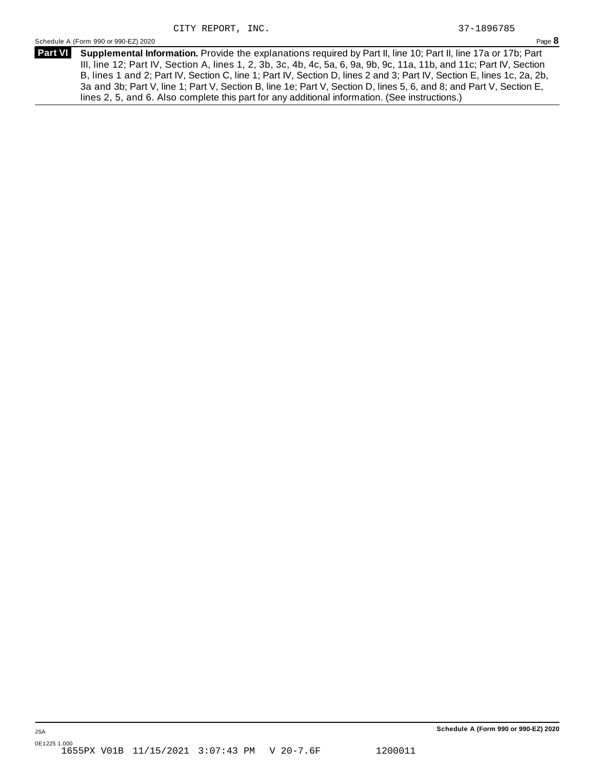**Supplemental Information.** Provide the explanations required by Part II, line 10; Part II, line 17a or 17b; Part **Part VI** III, line 12; Part IV, Section A, lines 1, 2, 3b, 3c, 4b, 4c, 5a, 6, 9a, 9b, 9c, 11a, 11b, and 11c; Part IV, Section B, lines 1 and 2; Part IV, Section C, line 1; Part IV, Section D, lines 2 and 3; Part IV, Section E, lines 1c, 2a, 2b, 3a and 3b; Part V, line 1; Part V, Section B, line 1e; Part V, Section D, lines 5, 6, and 8; and Part V, Section E, lines 2, 5, and 6. Also complete this part for any additional information. (See instructions.)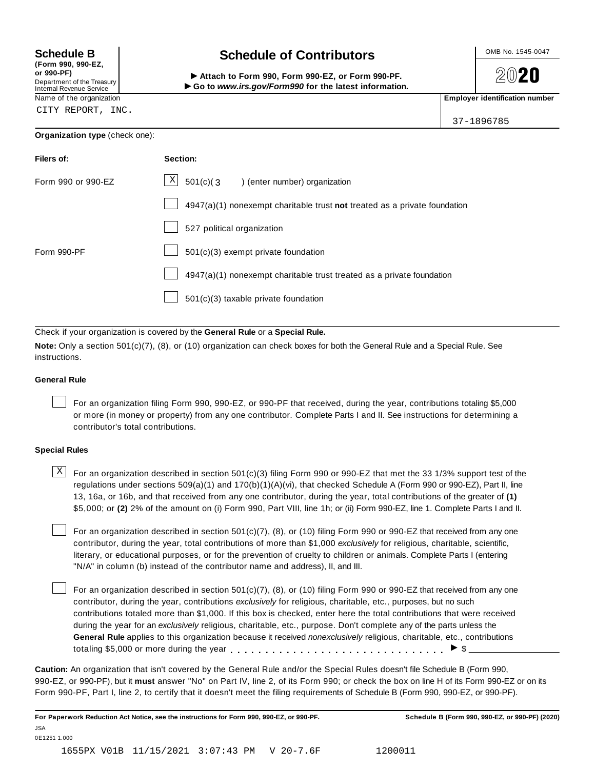# **(Form 990, 990-EZ,**

| (I VIIII JJV, JJV-L <i>L</i> ,  |  |
|---------------------------------|--|
| or 990-PF)                      |  |
| Department of the Treasury      |  |
| <b>Internal Revenue Service</b> |  |

# **Schedule B chedule of Contributors**

(Form 990, 990-EZ,<br>
or 990-PF,<br>
Department of the Treasury **COLOCY**<br>
Internal Revenue Service **COLOCY**<br>
Name of the organization<br>
Name of the organization

**2020** 

37-1896785

CITY REPORT, INC.

#### **Organization type** (check one):

| Filers of:         | Section:                                                                    |
|--------------------|-----------------------------------------------------------------------------|
| Form 990 or 990-EZ | $\mathbf{X}$<br>$501(c)$ (3<br>) (enter number) organization                |
|                    | $4947(a)(1)$ nonexempt charitable trust not treated as a private foundation |
|                    | 527 political organization                                                  |
| Form 990-PF        | $501(c)(3)$ exempt private foundation                                       |
|                    | 4947(a)(1) nonexempt charitable trust treated as a private foundation       |
|                    | $501(c)(3)$ taxable private foundation                                      |

Check if your organization is covered by the **General Rule** or a **Special Rule.**

**Note:** Only a section 501(c)(7), (8), or (10) organization can check boxes for both the General Rule and a Special Rule. See instructions.

#### **General Rule**

For an organization filing Form 990, 990-EZ, or 990-PF that received, during the year, contributions totaling \$5,000 or more (in money or property) from any one contributor. Complete Parts I and II. See instructions for determining a contributor's total contributions.

#### **Special Rules**

 $\text{X}$  For an organization described in section 501(c)(3) filing Form 990 or 990-EZ that met the 33 1/3% support test of the regulations under sections 509(a)(1) and 170(b)(1)(A)(vi), that checked Schedule A (Form 990 or 990-EZ), Part II, line 13, 16a, or 16b, and that received from any one contributor, during the year, total contributions of the greater of **(1)** \$5,000; or **(2)** 2% of the amount on (i) Form 990, Part VIII, line 1h; or (ii) Form 990-EZ, line 1. Complete Parts I and II.

For an organization described in section 501(c)(7), (8), or (10) filing Form 990 or 990-EZ that received from any one contributor, during the year, total contributions of more than \$1,000 *exclusively* for religious, charitable, scientific, literary, or educational purposes, or for the prevention of cruelty to children or animals. Complete Parts I (entering "N/A" in column (b) instead of the contributor name and address), II, and III.

For an organization described in section 501(c)(7), (8), or (10) filing Form 990 or 990-EZ that received from any one contributor, during the year, contributions *exclusively* for religious, charitable, etc., purposes, but no such contributions totaled more than \$1,000. If this box is checked, enter here the total contributions that were received during the year for an *exclusively* religious, charitable, etc., purpose. Don't complete any of the parts unless the **General Rule** applies to this organization because it received *nonexclusively* religious, charitable, etc., contributions totaling \$5,000 or more during the year  $\ldots \ldots \ldots \ldots \ldots \ldots \ldots \ldots \ldots \vdots$ 

**Caution:** An organization that isn't covered by the General Rule and/or the Special Rules doesn't file Schedule B (Form 990, 990-EZ, or 990-PF), but it **must** answer "No" on Part IV, line 2, of its Form 990; or check the box on line H of its Form 990-EZ or on its Form 990-PF, Part I, line 2, to certify that it doesn't meet the filing requirements of Schedule B (Form 990, 990-EZ, or 990-PF).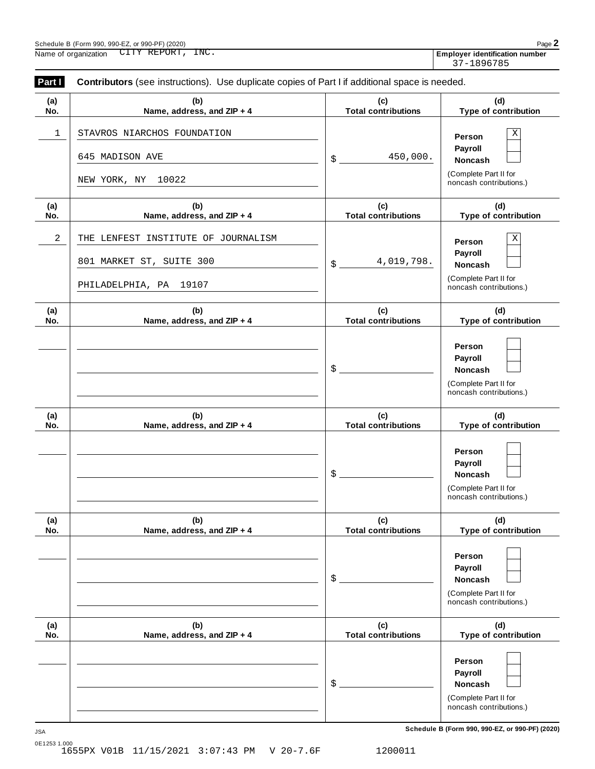| Part I     | Contributors (see instructions). Use duplicate copies of Part I if additional space is needed. |                                   |                                                                                         |
|------------|------------------------------------------------------------------------------------------------|-----------------------------------|-----------------------------------------------------------------------------------------|
| (a)<br>No. | (b)<br>Name, address, and ZIP + 4                                                              | (c)<br><b>Total contributions</b> | (d)<br>Type of contribution                                                             |
| 1          | STAVROS NIARCHOS FOUNDATION                                                                    |                                   | Χ<br>Person<br>Payroll                                                                  |
|            | 645 MADISON AVE                                                                                | 450,000.<br>\$                    | <b>Noncash</b>                                                                          |
|            | NEW YORK, NY 10022                                                                             |                                   | (Complete Part II for<br>noncash contributions.)                                        |
| (a)<br>No. | (b)<br>Name, address, and ZIP + 4                                                              | (c)<br><b>Total contributions</b> | (d)<br>Type of contribution                                                             |
| 2          | THE LENFEST INSTITUTE OF JOURNALISM                                                            |                                   | Χ<br>Person                                                                             |
|            | 801 MARKET ST, SUITE 300                                                                       | 4,019,798.<br>\$                  | Payroll<br>Noncash                                                                      |
|            | PHILADELPHIA, PA 19107                                                                         |                                   | (Complete Part II for<br>noncash contributions.)                                        |
| (a)<br>No. | (b)<br>Name, address, and ZIP + 4                                                              | (c)<br><b>Total contributions</b> | (d)<br>Type of contribution                                                             |
|            |                                                                                                | \$                                | Person<br>Payroll<br>Noncash                                                            |
|            |                                                                                                |                                   | (Complete Part II for<br>noncash contributions.)                                        |
| (a)<br>No. | (b)<br>Name, address, and ZIP + 4                                                              | (c)<br><b>Total contributions</b> | (d)<br>Type of contribution                                                             |
|            |                                                                                                | \$                                | Person<br>Payroll<br>Noncash<br>(Complete Part II for<br>noncash contributions.)        |
| (a)<br>No. | (b)<br>Name, address, and ZIP + 4                                                              | (c)<br><b>Total contributions</b> | (d)<br>Type of contribution                                                             |
|            |                                                                                                | \$                                | Person<br>Payroll<br><b>Noncash</b><br>(Complete Part II for<br>noncash contributions.) |
| (a)<br>No. | (b)<br>Name, address, and ZIP + 4                                                              | (c)<br><b>Total contributions</b> | (d)<br>Type of contribution                                                             |
|            |                                                                                                | \$                                | Person<br>Payroll<br>Noncash<br>(Complete Part II for<br>noncash contributions.)        |

**Schedule B (Form 990, 990-EZ, or 990-PF) (2020)** JSA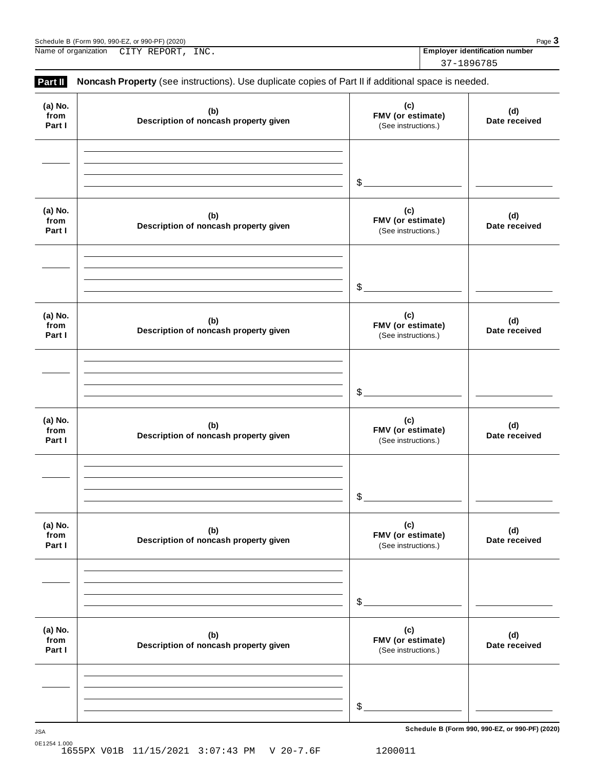| . or 990-PF $^{\circ}$<br>990, 990-EZ<br>(2020)<br>Schedule<br>.00<br>⁄ Form 99∪. | Page |
|-----------------------------------------------------------------------------------|------|
|                                                                                   |      |

Name of organization **Employer identification number** CITY REPORT, INC.

37-1896785

|                                              | Noncash Property (see instructions). Use duplicate copies of Part II if additional space is needed. |                      |
|----------------------------------------------|-----------------------------------------------------------------------------------------------------|----------------------|
| (b)<br>Description of noncash property given | (c)<br>FMV (or estimate)<br>(See instructions.)                                                     | (d)<br>Date received |
|                                              | \$                                                                                                  |                      |
| (b)<br>Description of noncash property given | (c)<br>FMV (or estimate)<br>(See instructions.)                                                     | (d)<br>Date received |
|                                              | \$                                                                                                  |                      |
| (b)<br>Description of noncash property given | (c)<br>FMV (or estimate)<br>(See instructions.)                                                     | (d)<br>Date received |
|                                              | \$                                                                                                  |                      |
| (b)<br>Description of noncash property given | (c)<br>FMV (or estimate)<br>(See instructions.)                                                     | (d)<br>Date received |
|                                              | \$                                                                                                  |                      |
| (b)<br>Description of noncash property given | (c)<br>FMV (or estimate)<br>(See instructions.)                                                     | (d)<br>Date received |
|                                              | \$                                                                                                  |                      |
| (b)<br>Description of noncash property given | (c)<br>FMV (or estimate)<br>(See instructions.)                                                     | (d)<br>Date received |
|                                              |                                                                                                     |                      |
|                                              |                                                                                                     |                      |

**Schedule B (Form 990, 990-EZ, or 990-PF) (2020)** JSA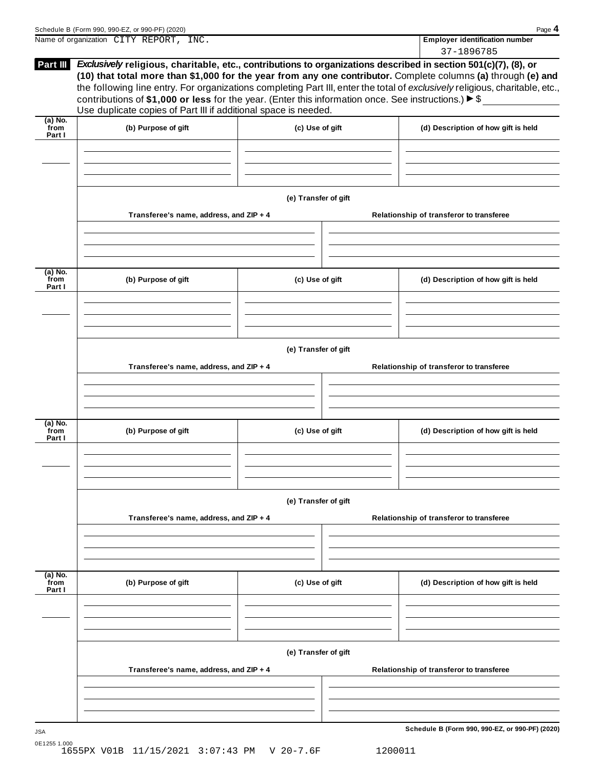|                    | Name of organization CITY REPORT, INC.                                                                                                                                                                                                                                                                                                                                                                                                                                                                                                                     |                      | <b>Employer identification number</b>    |
|--------------------|------------------------------------------------------------------------------------------------------------------------------------------------------------------------------------------------------------------------------------------------------------------------------------------------------------------------------------------------------------------------------------------------------------------------------------------------------------------------------------------------------------------------------------------------------------|----------------------|------------------------------------------|
|                    |                                                                                                                                                                                                                                                                                                                                                                                                                                                                                                                                                            |                      | 37-1896785                               |
| Part III           | Exclusively religious, charitable, etc., contributions to organizations described in section 501(c)(7), (8), or<br>(10) that total more than \$1,000 for the year from any one contributor. Complete columns (a) through (e) and<br>the following line entry. For organizations completing Part III, enter the total of exclusively religious, charitable, etc.,<br>contributions of \$1,000 or less for the year. (Enter this information once. See instructions.) $\triangleright$ \$<br>Use duplicate copies of Part III if additional space is needed. |                      |                                          |
| (a) No.<br>from    | (b) Purpose of gift                                                                                                                                                                                                                                                                                                                                                                                                                                                                                                                                        | (c) Use of gift      | (d) Description of how gift is held      |
| Part I             |                                                                                                                                                                                                                                                                                                                                                                                                                                                                                                                                                            |                      |                                          |
|                    | Transferee's name, address, and ZIP + 4                                                                                                                                                                                                                                                                                                                                                                                                                                                                                                                    | (e) Transfer of gift | Relationship of transferor to transferee |
| (a) No.<br>from    | (b) Purpose of gift                                                                                                                                                                                                                                                                                                                                                                                                                                                                                                                                        | (c) Use of gift      | (d) Description of how gift is held      |
| Part I             |                                                                                                                                                                                                                                                                                                                                                                                                                                                                                                                                                            |                      |                                          |
|                    | Transferee's name, address, and ZIP + 4                                                                                                                                                                                                                                                                                                                                                                                                                                                                                                                    | (e) Transfer of gift | Relationship of transferor to transferee |
| (a) No.<br>from    | (b) Purpose of gift                                                                                                                                                                                                                                                                                                                                                                                                                                                                                                                                        | (c) Use of gift      | (d) Description of how gift is held      |
| Part I             |                                                                                                                                                                                                                                                                                                                                                                                                                                                                                                                                                            |                      |                                          |
|                    |                                                                                                                                                                                                                                                                                                                                                                                                                                                                                                                                                            | (e) Transfer of gift |                                          |
|                    | Transferee's name, address, and ZIP + 4                                                                                                                                                                                                                                                                                                                                                                                                                                                                                                                    |                      | Relationship of transferor to transferee |
| $(a)$ No.<br>`from | (b) Purpose of gift                                                                                                                                                                                                                                                                                                                                                                                                                                                                                                                                        | (c) Use of gift      | (d) Description of how gift is held      |
|                    |                                                                                                                                                                                                                                                                                                                                                                                                                                                                                                                                                            |                      |                                          |
|                    |                                                                                                                                                                                                                                                                                                                                                                                                                                                                                                                                                            |                      |                                          |
|                    |                                                                                                                                                                                                                                                                                                                                                                                                                                                                                                                                                            | (e) Transfer of gift |                                          |
| Part I             | Transferee's name, address, and ZIP + 4                                                                                                                                                                                                                                                                                                                                                                                                                                                                                                                    |                      | Relationship of transferor to transferee |

Schedule B (Form 990, 990-EZ, or 990-PF) (2020)  $P_{\text{E}}(2)$  Page  $4$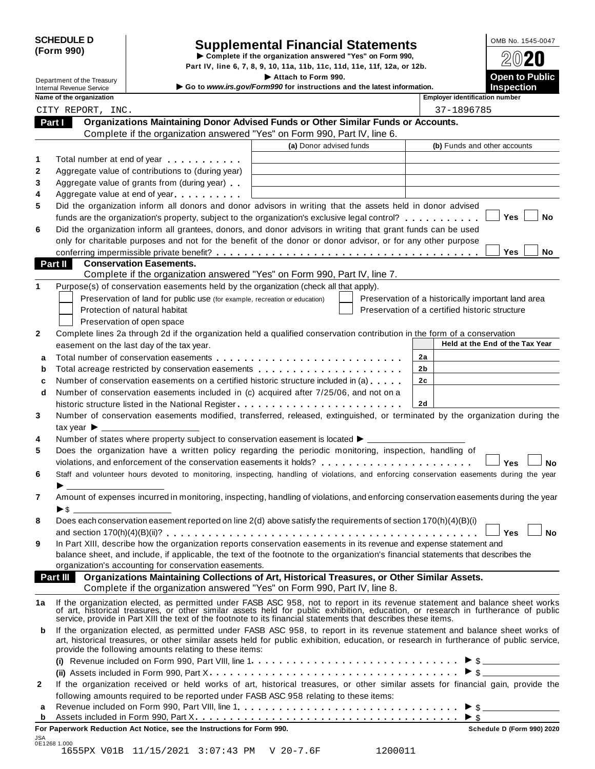| <b>SCHEDULE D</b> |  |
|-------------------|--|
| (Form 990)        |  |

| <b>SCHEDULE D</b><br>(Form 990) |                                                             |  | <b>Supplemental Financial Statements</b>                                                                                                                                                                                                                               |                                                                        |  |  |                |            | OMB No. 1545-0047                                          |  |  |
|---------------------------------|-------------------------------------------------------------|--|------------------------------------------------------------------------------------------------------------------------------------------------------------------------------------------------------------------------------------------------------------------------|------------------------------------------------------------------------|--|--|----------------|------------|------------------------------------------------------------|--|--|
|                                 |                                                             |  | Complete if the organization answered "Yes" on Form 990,<br>Part IV, line 6, 7, 8, 9, 10, 11a, 11b, 11c, 11d, 11e, 11f, 12a, or 12b.                                                                                                                                   |                                                                        |  |  |                | $20$ 20    |                                                            |  |  |
|                                 | Department of the Treasury                                  |  |                                                                                                                                                                                                                                                                        | Attach to Form 990.                                                    |  |  |                |            | Open to Public                                             |  |  |
|                                 | <b>Internal Revenue Service</b><br>Name of the organization |  |                                                                                                                                                                                                                                                                        | Go to www.irs.gov/Form990 for instructions and the latest information. |  |  |                |            | <b>Inspection</b><br><b>Employer identification number</b> |  |  |
|                                 | CITY REPORT, INC.                                           |  |                                                                                                                                                                                                                                                                        |                                                                        |  |  |                | 37-1896785 |                                                            |  |  |
| Part I                          |                                                             |  | Organizations Maintaining Donor Advised Funds or Other Similar Funds or Accounts.                                                                                                                                                                                      |                                                                        |  |  |                |            |                                                            |  |  |
|                                 |                                                             |  | Complete if the organization answered "Yes" on Form 990, Part IV, line 6.                                                                                                                                                                                              |                                                                        |  |  |                |            |                                                            |  |  |
|                                 |                                                             |  |                                                                                                                                                                                                                                                                        | (a) Donor advised funds                                                |  |  |                |            | (b) Funds and other accounts                               |  |  |
| 1                               |                                                             |  | Total number at end of year entitled as a set of the set of the set of the set of the set of the set of the set of the set of the set of the set of the set of the set of the set of the set of the set of the set of the set                                          |                                                                        |  |  |                |            |                                                            |  |  |
| $\mathbf{2}$                    |                                                             |  | Aggregate value of contributions to (during year)                                                                                                                                                                                                                      |                                                                        |  |  |                |            |                                                            |  |  |
| 3                               |                                                             |  | Aggregate value of grants from (during year)                                                                                                                                                                                                                           |                                                                        |  |  |                |            |                                                            |  |  |
| 4                               |                                                             |  | Aggregate value at end of year                                                                                                                                                                                                                                         |                                                                        |  |  |                |            |                                                            |  |  |
| 5                               |                                                             |  | Did the organization inform all donors and donor advisors in writing that the assets held in donor advised                                                                                                                                                             |                                                                        |  |  |                |            |                                                            |  |  |
|                                 |                                                             |  | funds are the organization's property, subject to the organization's exclusive legal control?                                                                                                                                                                          |                                                                        |  |  |                |            | <b>Yes</b><br>No                                           |  |  |
| 6                               |                                                             |  | Did the organization inform all grantees, donors, and donor advisors in writing that grant funds can be used                                                                                                                                                           |                                                                        |  |  |                |            |                                                            |  |  |
|                                 |                                                             |  | only for charitable purposes and not for the benefit of the donor or donor advisor, or for any other purpose                                                                                                                                                           |                                                                        |  |  |                |            |                                                            |  |  |
|                                 |                                                             |  |                                                                                                                                                                                                                                                                        |                                                                        |  |  |                |            | <b>Yes</b><br>No                                           |  |  |
| Part II                         |                                                             |  | <b>Conservation Easements.</b>                                                                                                                                                                                                                                         |                                                                        |  |  |                |            |                                                            |  |  |
|                                 |                                                             |  | Complete if the organization answered "Yes" on Form 990, Part IV, line 7.                                                                                                                                                                                              |                                                                        |  |  |                |            |                                                            |  |  |
| 1                               |                                                             |  | Purpose(s) of conservation easements held by the organization (check all that apply).                                                                                                                                                                                  |                                                                        |  |  |                |            |                                                            |  |  |
|                                 |                                                             |  | Preservation of land for public use (for example, recreation or education)                                                                                                                                                                                             |                                                                        |  |  |                |            | Preservation of a historically important land area         |  |  |
|                                 |                                                             |  | Protection of natural habitat                                                                                                                                                                                                                                          |                                                                        |  |  |                |            | Preservation of a certified historic structure             |  |  |
|                                 |                                                             |  | Preservation of open space                                                                                                                                                                                                                                             |                                                                        |  |  |                |            |                                                            |  |  |
| 2                               |                                                             |  | Complete lines 2a through 2d if the organization held a qualified conservation contribution in the form of a conservation                                                                                                                                              |                                                                        |  |  |                |            |                                                            |  |  |
|                                 |                                                             |  | easement on the last day of the tax year.                                                                                                                                                                                                                              |                                                                        |  |  |                |            | Held at the End of the Tax Year                            |  |  |
| a                               |                                                             |  |                                                                                                                                                                                                                                                                        |                                                                        |  |  | 2a             |            |                                                            |  |  |
| b                               |                                                             |  |                                                                                                                                                                                                                                                                        |                                                                        |  |  | 2b             |            |                                                            |  |  |
| c                               |                                                             |  | Number of conservation easements on a certified historic structure included in (a)                                                                                                                                                                                     |                                                                        |  |  | 2 <sub>c</sub> |            |                                                            |  |  |
| d                               |                                                             |  | Number of conservation easements included in (c) acquired after 7/25/06, and not on a                                                                                                                                                                                  |                                                                        |  |  |                |            |                                                            |  |  |
|                                 |                                                             |  | historic structure listed in the National Register                                                                                                                                                                                                                     |                                                                        |  |  | 2d             |            |                                                            |  |  |
| 3                               |                                                             |  | Number of conservation easements modified, transferred, released, extinguished, or terminated by the organization during the                                                                                                                                           |                                                                        |  |  |                |            |                                                            |  |  |
|                                 | tax year $\blacktriangleright$                              |  |                                                                                                                                                                                                                                                                        |                                                                        |  |  |                |            |                                                            |  |  |
| 4                               |                                                             |  | Number of states where property subject to conservation easement is located $\blacktriangleright$ ____                                                                                                                                                                 |                                                                        |  |  |                |            |                                                            |  |  |
| 5                               |                                                             |  | Does the organization have a written policy regarding the periodic monitoring, inspection, handling of                                                                                                                                                                 |                                                                        |  |  |                |            |                                                            |  |  |
|                                 |                                                             |  |                                                                                                                                                                                                                                                                        |                                                                        |  |  |                |            | <b>Yes</b><br>No                                           |  |  |
| 6                               |                                                             |  | Staff and volunteer hours devoted to monitoring, inspecting, handling of violations, and enforcing conservation easements during the year                                                                                                                              |                                                                        |  |  |                |            |                                                            |  |  |
| 7                               |                                                             |  | Amount of expenses incurred in monitoring, inspecting, handling of violations, and enforcing conservation easements during the year                                                                                                                                    |                                                                        |  |  |                |            |                                                            |  |  |
|                                 |                                                             |  |                                                                                                                                                                                                                                                                        |                                                                        |  |  |                |            |                                                            |  |  |
| 8                               | $\triangleright$ \$                                         |  | Does each conservation easement reported on line 2(d) above satisfy the requirements of section 170(h)(4)(B)(i)                                                                                                                                                        |                                                                        |  |  |                |            |                                                            |  |  |
|                                 |                                                             |  |                                                                                                                                                                                                                                                                        |                                                                        |  |  |                |            | Yes<br><b>No</b>                                           |  |  |
| 9                               |                                                             |  | In Part XIII, describe how the organization reports conservation easements in its revenue and expense statement and                                                                                                                                                    |                                                                        |  |  |                |            |                                                            |  |  |
|                                 |                                                             |  | balance sheet, and include, if applicable, the text of the footnote to the organization's financial statements that describes the                                                                                                                                      |                                                                        |  |  |                |            |                                                            |  |  |
|                                 |                                                             |  | organization's accounting for conservation easements.                                                                                                                                                                                                                  |                                                                        |  |  |                |            |                                                            |  |  |
|                                 | <b>Part III</b>                                             |  | Organizations Maintaining Collections of Art, Historical Treasures, or Other Similar Assets.                                                                                                                                                                           |                                                                        |  |  |                |            |                                                            |  |  |
|                                 |                                                             |  | Complete if the organization answered "Yes" on Form 990, Part IV, line 8.                                                                                                                                                                                              |                                                                        |  |  |                |            |                                                            |  |  |
| 1a                              |                                                             |  | If the organization elected, as permitted under FASB ASC 958, not to report in its revenue statement and balance sheet works of art, historical treasures, or other similar assets held for public exhibition, education, or r                                         |                                                                        |  |  |                |            |                                                            |  |  |
| b                               |                                                             |  | If the organization elected, as permitted under FASB ASC 958, to report in its revenue statement and balance sheet works of<br>art, historical treasures, or other similar assets held for public exhibition, education, or research in furtherance of public service, |                                                                        |  |  |                |            |                                                            |  |  |
|                                 |                                                             |  | provide the following amounts relating to these items:                                                                                                                                                                                                                 |                                                                        |  |  |                |            |                                                            |  |  |
|                                 |                                                             |  |                                                                                                                                                                                                                                                                        |                                                                        |  |  |                |            |                                                            |  |  |
|                                 |                                                             |  |                                                                                                                                                                                                                                                                        |                                                                        |  |  |                |            | $\triangleright$ \$                                        |  |  |
| $\mathbf{2}$                    |                                                             |  | If the organization received or held works of art, historical treasures, or other similar assets for financial gain, provide the                                                                                                                                       |                                                                        |  |  |                |            |                                                            |  |  |
|                                 |                                                             |  | following amounts required to be reported under FASB ASC 958 relating to these items:                                                                                                                                                                                  |                                                                        |  |  |                |            |                                                            |  |  |
| a                               |                                                             |  | the field of the Fame 000 Davis V                                                                                                                                                                                                                                      |                                                                        |  |  |                |            |                                                            |  |  |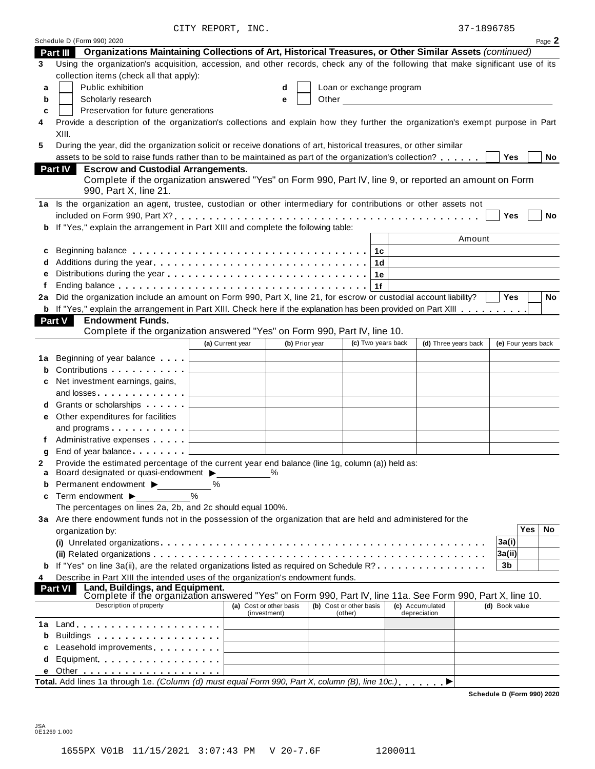CITY REPORT, INC.

|                   | Schedule D (Form 990) 2020                                                                                                                                      |                         |                |                                    |                          |                                                                                                                                                                                                                                      |                     |                   | Page 2    |
|-------------------|-----------------------------------------------------------------------------------------------------------------------------------------------------------------|-------------------------|----------------|------------------------------------|--------------------------|--------------------------------------------------------------------------------------------------------------------------------------------------------------------------------------------------------------------------------------|---------------------|-------------------|-----------|
|                   | Part III Organizations Maintaining Collections of Art, Historical Treasures, or Other Similar Assets (continued)                                                |                         |                |                                    |                          |                                                                                                                                                                                                                                      |                     |                   |           |
| 3                 | Using the organization's acquisition, accession, and other records, check any of the following that make significant use of its                                 |                         |                |                                    |                          |                                                                                                                                                                                                                                      |                     |                   |           |
|                   | collection items (check all that apply):                                                                                                                        |                         |                |                                    |                          |                                                                                                                                                                                                                                      |                     |                   |           |
| a                 | Public exhibition                                                                                                                                               |                         | d              |                                    | Loan or exchange program |                                                                                                                                                                                                                                      |                     |                   |           |
| b                 | Scholarly research                                                                                                                                              |                         | е              |                                    |                          | Other <u>the contract of the contract of the contract of the contract of the contract of the contract of the contract of the contract of the contract of the contract of the contract of the contract of the contract of the con</u> |                     |                   |           |
| c                 | Preservation for future generations                                                                                                                             |                         |                |                                    |                          |                                                                                                                                                                                                                                      |                     |                   |           |
| 4                 | Provide a description of the organization's collections and explain how they further the organization's exempt purpose in Part                                  |                         |                |                                    |                          |                                                                                                                                                                                                                                      |                     |                   |           |
|                   | XIII.                                                                                                                                                           |                         |                |                                    |                          |                                                                                                                                                                                                                                      |                     |                   |           |
| 5                 | During the year, did the organization solicit or receive donations of art, historical treasures, or other similar                                               |                         |                |                                    |                          |                                                                                                                                                                                                                                      |                     |                   |           |
|                   | assets to be sold to raise funds rather than to be maintained as part of the organization's collection?                                                         |                         |                |                                    |                          |                                                                                                                                                                                                                                      | Yes                 |                   | No        |
|                   | <b>Escrow and Custodial Arrangements.</b><br><b>Part IV</b>                                                                                                     |                         |                |                                    |                          |                                                                                                                                                                                                                                      |                     |                   |           |
|                   | Complete if the organization answered "Yes" on Form 990, Part IV, line 9, or reported an amount on Form                                                         |                         |                |                                    |                          |                                                                                                                                                                                                                                      |                     |                   |           |
|                   | 990, Part X, line 21.                                                                                                                                           |                         |                |                                    |                          |                                                                                                                                                                                                                                      |                     |                   |           |
|                   | 1a Is the organization an agent, trustee, custodian or other intermediary for contributions or other assets not                                                 |                         |                |                                    |                          |                                                                                                                                                                                                                                      |                     |                   |           |
|                   |                                                                                                                                                                 |                         |                |                                    |                          |                                                                                                                                                                                                                                      | Yes                 |                   | No        |
| b                 | If "Yes," explain the arrangement in Part XIII and complete the following table:                                                                                |                         |                |                                    |                          |                                                                                                                                                                                                                                      |                     |                   |           |
|                   |                                                                                                                                                                 |                         |                |                                    |                          | Amount                                                                                                                                                                                                                               |                     |                   |           |
| c                 | Beginning balance enterpreteration of the contract of the contract of the contract of the contract of the contr                                                 |                         |                |                                    | 1с                       |                                                                                                                                                                                                                                      |                     |                   |           |
| d                 |                                                                                                                                                                 |                         |                |                                    | 1d                       |                                                                                                                                                                                                                                      |                     |                   |           |
| е                 |                                                                                                                                                                 |                         |                |                                    | 1е                       |                                                                                                                                                                                                                                      |                     |                   |           |
| f                 |                                                                                                                                                                 |                         |                |                                    | 1f                       |                                                                                                                                                                                                                                      |                     |                   |           |
| 2a                | Did the organization include an amount on Form 990, Part X, line 21, for escrow or custodial account liability?                                                 |                         |                |                                    |                          |                                                                                                                                                                                                                                      | <b>Yes</b>          |                   | <b>No</b> |
|                   | <b>b</b> If "Yes," explain the arrangement in Part XIII. Check here if the explanation has been provided on Part XIII                                           |                         |                |                                    |                          |                                                                                                                                                                                                                                      |                     |                   |           |
|                   | <b>Endowment Funds.</b><br>Part V                                                                                                                               |                         |                |                                    |                          |                                                                                                                                                                                                                                      |                     |                   |           |
|                   | Complete if the organization answered "Yes" on Form 990, Part IV, line 10.                                                                                      |                         |                |                                    |                          |                                                                                                                                                                                                                                      |                     |                   |           |
|                   |                                                                                                                                                                 | (a) Current year        | (b) Prior year |                                    | (c) Two years back       | (d) Three years back                                                                                                                                                                                                                 | (e) Four years back |                   |           |
| 1a                | Beginning of year balance                                                                                                                                       |                         |                |                                    |                          |                                                                                                                                                                                                                                      |                     |                   |           |
| b                 | Contributions <b>Contributions</b>                                                                                                                              |                         |                |                                    |                          |                                                                                                                                                                                                                                      |                     |                   |           |
|                   | Net investment earnings, gains,                                                                                                                                 |                         |                |                                    |                          |                                                                                                                                                                                                                                      |                     |                   |           |
|                   | and losses                                                                                                                                                      |                         |                |                                    |                          |                                                                                                                                                                                                                                      |                     |                   |           |
|                   | Grants or scholarships <b>State of State State</b>                                                                                                              |                         |                |                                    |                          |                                                                                                                                                                                                                                      |                     |                   |           |
|                   | Other expenditures for facilities                                                                                                                               |                         |                |                                    |                          |                                                                                                                                                                                                                                      |                     |                   |           |
|                   | and programs                                                                                                                                                    |                         |                |                                    |                          |                                                                                                                                                                                                                                      |                     |                   |           |
| f                 | Administrative expenses                                                                                                                                         |                         |                |                                    |                          |                                                                                                                                                                                                                                      |                     |                   |           |
|                   | End of year balance                                                                                                                                             |                         |                |                                    |                          |                                                                                                                                                                                                                                      |                     |                   |           |
| g<br>$\mathbf{2}$ | Provide the estimated percentage of the current year end balance (line 1g, column (a)) held as:                                                                 |                         |                |                                    |                          |                                                                                                                                                                                                                                      |                     |                   |           |
| a                 | Board designated or quasi-endowment >                                                                                                                           |                         | %              |                                    |                          |                                                                                                                                                                                                                                      |                     |                   |           |
| b                 | Permanent endowment >                                                                                                                                           | %                       |                |                                    |                          |                                                                                                                                                                                                                                      |                     |                   |           |
| c                 | Term endowment >                                                                                                                                                | $\frac{0}{6}$           |                |                                    |                          |                                                                                                                                                                                                                                      |                     |                   |           |
|                   | The percentages on lines 2a, 2b, and 2c should equal 100%.                                                                                                      |                         |                |                                    |                          |                                                                                                                                                                                                                                      |                     |                   |           |
|                   | 3a Are there endowment funds not in the possession of the organization that are held and administered for the                                                   |                         |                |                                    |                          |                                                                                                                                                                                                                                      |                     |                   |           |
|                   | organization by:                                                                                                                                                |                         |                |                                    |                          |                                                                                                                                                                                                                                      |                     | $\overline{Y}$ es | No        |
|                   |                                                                                                                                                                 |                         |                |                                    |                          |                                                                                                                                                                                                                                      | 3a(i)               |                   |           |
|                   |                                                                                                                                                                 |                         |                |                                    |                          |                                                                                                                                                                                                                                      | 3a(ii)              |                   |           |
| b                 | If "Yes" on line 3a(ii), are the related organizations listed as required on Schedule R?                                                                        |                         |                |                                    |                          |                                                                                                                                                                                                                                      | 3 <sub>b</sub>      |                   |           |
| 4                 | Describe in Part XIII the intended uses of the organization's endowment funds.                                                                                  |                         |                |                                    |                          |                                                                                                                                                                                                                                      |                     |                   |           |
|                   | Land, Buildings, and Equipment.<br>Complete if the organization answered "Yes" on Form 990, Part IV, line 11a. See Form 990, Part X, line 10.<br><b>Part VI</b> |                         |                |                                    |                          |                                                                                                                                                                                                                                      |                     |                   |           |
|                   |                                                                                                                                                                 |                         |                |                                    |                          |                                                                                                                                                                                                                                      |                     |                   |           |
|                   | Description of property                                                                                                                                         | (a) Cost or other basis | (investment)   | (b) Cost or other basis<br>(other) |                          | (c) Accumulated<br>depreciation                                                                                                                                                                                                      | (d) Book value      |                   |           |
| 1a                |                                                                                                                                                                 |                         |                |                                    |                          |                                                                                                                                                                                                                                      |                     |                   |           |
| b                 |                                                                                                                                                                 |                         |                |                                    |                          |                                                                                                                                                                                                                                      |                     |                   |           |
| c                 | Leasehold improvements entitled and the set of the set of the set of the set of the set of the set of the set o                                                 |                         |                |                                    |                          |                                                                                                                                                                                                                                      |                     |                   |           |
| d                 | Equipment                                                                                                                                                       |                         |                |                                    |                          |                                                                                                                                                                                                                                      |                     |                   |           |
| е                 |                                                                                                                                                                 |                         |                |                                    |                          |                                                                                                                                                                                                                                      |                     |                   |           |
|                   | Total. Add lines 1a through 1e. (Column (d) must equal Form 990, Part X, column (B), line 10c.)                                                                 |                         |                |                                    |                          |                                                                                                                                                                                                                                      |                     |                   |           |
|                   |                                                                                                                                                                 |                         |                |                                    |                          |                                                                                                                                                                                                                                      |                     |                   |           |

**Schedule D (Form 990) 2020**

JSA 0E1269 1.000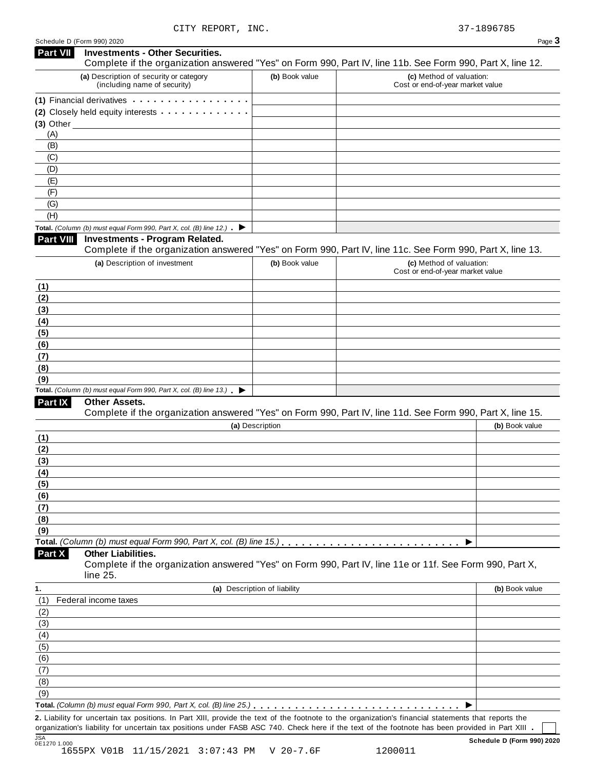| Schedule D (Form 990) 2020                                                                                                                                                                                                                                                                               |                              |                                                                                                            | Page 3 |
|----------------------------------------------------------------------------------------------------------------------------------------------------------------------------------------------------------------------------------------------------------------------------------------------------------|------------------------------|------------------------------------------------------------------------------------------------------------|--------|
| <b>Investments - Other Securities.</b><br>Part VII                                                                                                                                                                                                                                                       |                              | Complete if the organization answered "Yes" on Form 990, Part IV, line 11b. See Form 990, Part X, line 12. |        |
| (a) Description of security or category<br>(including name of security)                                                                                                                                                                                                                                  | (b) Book value               | (c) Method of valuation:<br>Cost or end-of-year market value                                               |        |
| (1) Financial derivatives <b>All Accords</b> Fig. 2.1 <b>Contracts</b> Fig. 2.1 <b>Contracts</b> Fig. 2.1 <b>Contracts</b> Fig. 2.1 <b>Contracts</b> Fig. 2.1 <b>Contracts</b> Fig. 2.1 <b>Contracts</b> Fig. 2.1 <b>Contracts</b> Fig. 2.1 <b>Contracts</b> Fig. 2.1 <b>Cont</b>                        |                              |                                                                                                            |        |
| (2) Closely held equity interests                                                                                                                                                                                                                                                                        |                              |                                                                                                            |        |
| $(3)$ Other $(3)$                                                                                                                                                                                                                                                                                        |                              |                                                                                                            |        |
| (A)                                                                                                                                                                                                                                                                                                      |                              |                                                                                                            |        |
| (B)                                                                                                                                                                                                                                                                                                      |                              |                                                                                                            |        |
| (C)                                                                                                                                                                                                                                                                                                      |                              |                                                                                                            |        |
| (D)                                                                                                                                                                                                                                                                                                      |                              |                                                                                                            |        |
| (E)                                                                                                                                                                                                                                                                                                      |                              |                                                                                                            |        |
| (F)                                                                                                                                                                                                                                                                                                      |                              |                                                                                                            |        |
| (G)                                                                                                                                                                                                                                                                                                      |                              |                                                                                                            |        |
| (H)                                                                                                                                                                                                                                                                                                      |                              |                                                                                                            |        |
| Total. (Column (b) must equal Form 990, Part X, col. (B) line 12.) $\blacktriangleright$                                                                                                                                                                                                                 |                              |                                                                                                            |        |
| <b>Investments - Program Related.</b><br><b>Part VIII</b>                                                                                                                                                                                                                                                |                              | Complete if the organization answered "Yes" on Form 990, Part IV, line 11c. See Form 990, Part X, line 13. |        |
| (a) Description of investment                                                                                                                                                                                                                                                                            | (b) Book value               | (c) Method of valuation:                                                                                   |        |
|                                                                                                                                                                                                                                                                                                          |                              | Cost or end-of-year market value                                                                           |        |
| (1)                                                                                                                                                                                                                                                                                                      |                              |                                                                                                            |        |
| (2)                                                                                                                                                                                                                                                                                                      |                              |                                                                                                            |        |
| (3)                                                                                                                                                                                                                                                                                                      |                              |                                                                                                            |        |
| (4)                                                                                                                                                                                                                                                                                                      |                              |                                                                                                            |        |
| (5)                                                                                                                                                                                                                                                                                                      |                              |                                                                                                            |        |
| (6)                                                                                                                                                                                                                                                                                                      |                              |                                                                                                            |        |
| (7)                                                                                                                                                                                                                                                                                                      |                              |                                                                                                            |        |
| (8)                                                                                                                                                                                                                                                                                                      |                              |                                                                                                            |        |
| (9)                                                                                                                                                                                                                                                                                                      |                              |                                                                                                            |        |
| Total. (Column (b) must equal Form 990, Part X, col. (B) line 13.) $\blacktriangleright$                                                                                                                                                                                                                 |                              |                                                                                                            |        |
| <b>Part IX</b><br><b>Other Assets.</b>                                                                                                                                                                                                                                                                   |                              |                                                                                                            |        |
|                                                                                                                                                                                                                                                                                                          |                              | Complete if the organization answered "Yes" on Form 990, Part IV, line 11d. See Form 990, Part X, line 15. |        |
|                                                                                                                                                                                                                                                                                                          | (a) Description              | (b) Book value                                                                                             |        |
| (1)                                                                                                                                                                                                                                                                                                      |                              |                                                                                                            |        |
| (2)                                                                                                                                                                                                                                                                                                      |                              |                                                                                                            |        |
| (3)                                                                                                                                                                                                                                                                                                      |                              |                                                                                                            |        |
| (4)                                                                                                                                                                                                                                                                                                      |                              |                                                                                                            |        |
| (5)                                                                                                                                                                                                                                                                                                      |                              |                                                                                                            |        |
| (6)                                                                                                                                                                                                                                                                                                      |                              |                                                                                                            |        |
| (7)                                                                                                                                                                                                                                                                                                      |                              |                                                                                                            |        |
| (8)                                                                                                                                                                                                                                                                                                      |                              |                                                                                                            |        |
| (9)                                                                                                                                                                                                                                                                                                      |                              |                                                                                                            |        |
| Total. (Column (b) must equal Form 990, Part X, col. (B) line 15.)                                                                                                                                                                                                                                       |                              |                                                                                                            |        |
| <b>Other Liabilities.</b><br><b>Part X</b>                                                                                                                                                                                                                                                               |                              |                                                                                                            |        |
| line 25.                                                                                                                                                                                                                                                                                                 |                              | Complete if the organization answered "Yes" on Form 990, Part IV, line 11e or 11f. See Form 990, Part X,   |        |
| 1.                                                                                                                                                                                                                                                                                                       | (a) Description of liability | (b) Book value                                                                                             |        |
| Federal income taxes<br>(1)                                                                                                                                                                                                                                                                              |                              |                                                                                                            |        |
| (2)                                                                                                                                                                                                                                                                                                      |                              |                                                                                                            |        |
| (3)                                                                                                                                                                                                                                                                                                      |                              |                                                                                                            |        |
| (4)                                                                                                                                                                                                                                                                                                      |                              |                                                                                                            |        |
| (5)                                                                                                                                                                                                                                                                                                      |                              |                                                                                                            |        |
| (6)                                                                                                                                                                                                                                                                                                      |                              |                                                                                                            |        |
| (7)                                                                                                                                                                                                                                                                                                      |                              |                                                                                                            |        |
| (8)                                                                                                                                                                                                                                                                                                      |                              |                                                                                                            |        |
| (9)                                                                                                                                                                                                                                                                                                      |                              |                                                                                                            |        |
|                                                                                                                                                                                                                                                                                                          |                              |                                                                                                            |        |
|                                                                                                                                                                                                                                                                                                          |                              |                                                                                                            |        |
| 2. Liability for uncertain tax positions. In Part XIII, provide the text of the footnote to the organization's financial statements that reports the<br>organization's liability for uncertain tax positions under FASB ASC 740. Check here if the text of the footnote has been provided in Part XIII . |                              |                                                                                                            |        |
|                                                                                                                                                                                                                                                                                                          |                              |                                                                                                            |        |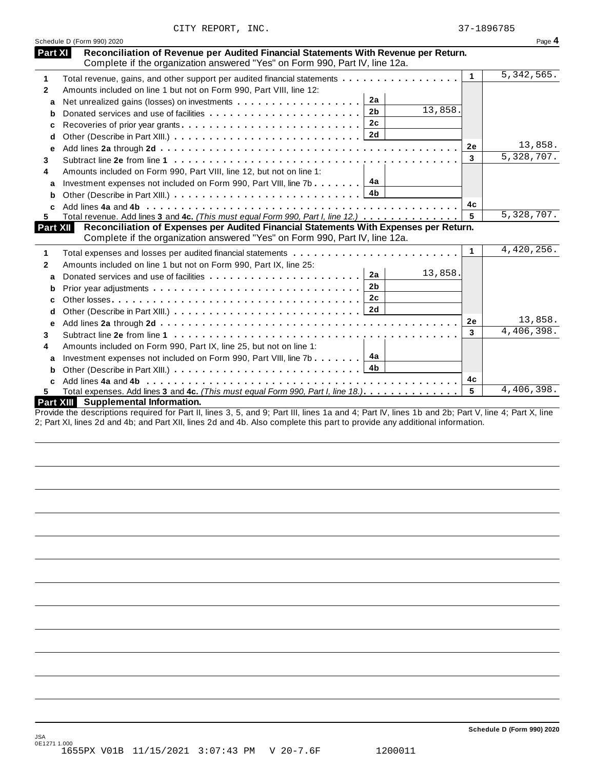|  | CITY REPORT, | INC. |
|--|--------------|------|
|--|--------------|------|

| Part XI      | Schedule D (Form 990) 2020                                                                                                                                         |              | Page 4       |
|--------------|--------------------------------------------------------------------------------------------------------------------------------------------------------------------|--------------|--------------|
|              | Reconciliation of Revenue per Audited Financial Statements With Revenue per Return.<br>Complete if the organization answered "Yes" on Form 990, Part IV, line 12a. |              |              |
| 1            | Total revenue, gains, and other support per audited financial statements                                                                                           | $\mathbf{1}$ | 5, 342, 565. |
| $\mathbf{2}$ | Amounts included on line 1 but not on Form 990, Part VIII, line 12:                                                                                                |              |              |
| a            | 2a                                                                                                                                                                 |              |              |
| b            | 13,858.<br>2 <sub>b</sub><br>Donated services and use of facilities                                                                                                |              |              |
| c            | 2 <sub>c</sub><br>Recoveries of prior year grants                                                                                                                  |              |              |
| d            |                                                                                                                                                                    |              |              |
| e            |                                                                                                                                                                    | 2e           | 13,858.      |
| 3            |                                                                                                                                                                    | 3            | 5,328,707.   |
| 4            | Amounts included on Form 990, Part VIII, line 12, but not on line 1:                                                                                               |              |              |
| a            | 4а<br>Investment expenses not included on Form 990, Part VIII, line 7b                                                                                             |              |              |
| b            | 4b                                                                                                                                                                 |              |              |
|              |                                                                                                                                                                    | 4c           |              |
| 5.           | Total revenue. Add lines 3 and 4c. (This must equal Form 990, Part I, line 12.)                                                                                    | 5            | 5,328,707.   |
| Part XII     | Reconciliation of Expenses per Audited Financial Statements With Expenses per Return.                                                                              |              |              |
|              | Complete if the organization answered "Yes" on Form 990, Part IV, line 12a.                                                                                        |              |              |
| 1            |                                                                                                                                                                    | 1            | 4,420,256.   |
| 2            | Amounts included on line 1 but not on Form 990, Part IX, line 25:                                                                                                  |              |              |
| a            | 13,858.<br>2a                                                                                                                                                      |              |              |
| b            | 2 <sub>b</sub>                                                                                                                                                     |              |              |
| c            | 2c                                                                                                                                                                 |              |              |
| d            | 2d                                                                                                                                                                 |              |              |
| е            |                                                                                                                                                                    | 2e           | 13,858.      |
| 3            |                                                                                                                                                                    | 3            | 4,406,398.   |
| 4            |                                                                                                                                                                    |              |              |
| a            | Amounts included on Form 990, Part IX, line 25, but not on line 1:<br>4a<br>Investment expenses not included on Form 990, Part VIII, line 7b                       |              |              |
| b            | 4b                                                                                                                                                                 |              |              |
| C            |                                                                                                                                                                    | 4с           |              |
| 5.           | Total expenses. Add lines 3 and 4c. (This must equal Form 990, Part I, line 18.)                                                                                   | 5            | 4,406,398.   |

Provide the descriptions required for Part II, lines 3, 5, and 9; Part III, lines 1a and 4; Part IV, lines 1b and 2b; Part V, line 4; Part X, line 2; Part XI, lines 2d and 4b; and Part XII, lines 2d and 4b. Also complete this part to provide any additional information.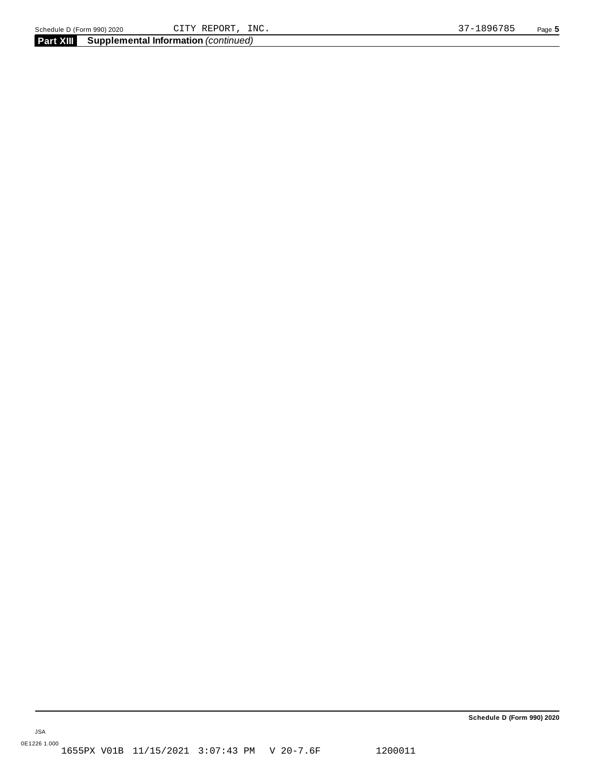**Part XIII Supplemental Information** *(continued)*

**Schedule D (Form 990) 2020**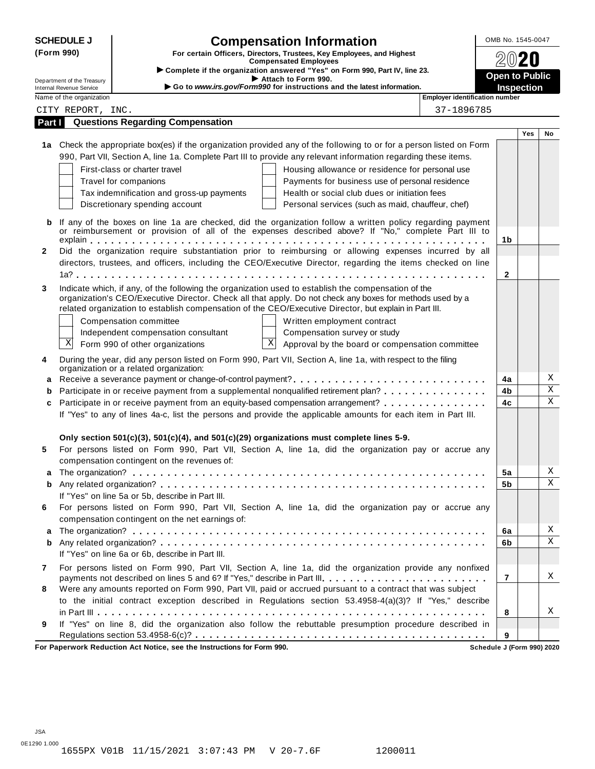|                | <b>SCHEDULE J</b>                                                                                                                                       | <b>Compensation Information</b>                                                                                                                                                                                     | OMB No. 1545-0047                          |     |              |
|----------------|---------------------------------------------------------------------------------------------------------------------------------------------------------|---------------------------------------------------------------------------------------------------------------------------------------------------------------------------------------------------------------------|--------------------------------------------|-----|--------------|
|                | (Form 990)                                                                                                                                              | For certain Officers, Directors, Trustees, Key Employees, and Highest                                                                                                                                               |                                            |     |              |
|                |                                                                                                                                                         | <b>Compensated Employees</b><br>> Complete if the organization answered "Yes" on Form 990, Part IV, line 23.                                                                                                        |                                            |     |              |
|                | Attach to Form 990.<br>Department of the Treasury<br>Go to www.irs.gov/Form990 for instructions and the latest information.<br>Internal Revenue Service |                                                                                                                                                                                                                     | <b>Open to Public</b><br><b>Inspection</b> |     |              |
|                | Employer identification number<br>Name of the organization                                                                                              |                                                                                                                                                                                                                     |                                            |     |              |
|                | CITY REPORT, INC.                                                                                                                                       | 37-1896785                                                                                                                                                                                                          |                                            |     |              |
| Part I         |                                                                                                                                                         | <b>Questions Regarding Compensation</b>                                                                                                                                                                             |                                            |     |              |
|                |                                                                                                                                                         |                                                                                                                                                                                                                     |                                            | Yes | No           |
|                |                                                                                                                                                         | 1a Check the appropriate box(es) if the organization provided any of the following to or for a person listed on Form                                                                                                |                                            |     |              |
|                |                                                                                                                                                         | 990, Part VII, Section A, line 1a. Complete Part III to provide any relevant information regarding these items.                                                                                                     |                                            |     |              |
|                |                                                                                                                                                         | First-class or charter travel<br>Housing allowance or residence for personal use                                                                                                                                    |                                            |     |              |
|                |                                                                                                                                                         | Travel for companions<br>Payments for business use of personal residence                                                                                                                                            |                                            |     |              |
|                |                                                                                                                                                         | Tax indemnification and gross-up payments<br>Health or social club dues or initiation fees                                                                                                                          |                                            |     |              |
|                |                                                                                                                                                         | Discretionary spending account<br>Personal services (such as maid, chauffeur, chef)                                                                                                                                 |                                            |     |              |
| b              |                                                                                                                                                         | If any of the boxes on line 1a are checked, did the organization follow a written policy regarding payment                                                                                                          |                                            |     |              |
|                |                                                                                                                                                         | or reimbursement or provision of all of the expenses described above? If "No," complete Part III to                                                                                                                 |                                            |     |              |
|                |                                                                                                                                                         |                                                                                                                                                                                                                     | 1b                                         |     |              |
| 2              |                                                                                                                                                         | Did the organization require substantiation prior to reimbursing or allowing expenses incurred by all                                                                                                               |                                            |     |              |
|                |                                                                                                                                                         | directors, trustees, and officers, including the CEO/Executive Director, regarding the items checked on line                                                                                                        |                                            |     |              |
|                |                                                                                                                                                         |                                                                                                                                                                                                                     | $\mathbf{2}$                               |     |              |
| 3              |                                                                                                                                                         | Indicate which, if any, of the following the organization used to establish the compensation of the                                                                                                                 |                                            |     |              |
|                |                                                                                                                                                         | organization's CEO/Executive Director. Check all that apply. Do not check any boxes for methods used by a<br>related organization to establish compensation of the CEO/Executive Director, but explain in Part III. |                                            |     |              |
|                |                                                                                                                                                         | Written employment contract                                                                                                                                                                                         |                                            |     |              |
|                |                                                                                                                                                         | Compensation committee<br>Independent compensation consultant<br>Compensation survey or study                                                                                                                       |                                            |     |              |
|                | Χ                                                                                                                                                       | $\mathbf X$<br>Form 990 of other organizations<br>Approval by the board or compensation committee                                                                                                                   |                                            |     |              |
|                |                                                                                                                                                         |                                                                                                                                                                                                                     |                                            |     |              |
| 4              |                                                                                                                                                         | During the year, did any person listed on Form 990, Part VII, Section A, line 1a, with respect to the filing<br>organization or a related organization:                                                             |                                            |     |              |
| a              |                                                                                                                                                         |                                                                                                                                                                                                                     | 4a                                         |     | Χ            |
| b              |                                                                                                                                                         | Participate in or receive payment from a supplemental nonqualified retirement plan?                                                                                                                                 | 4b                                         |     | $\mathbf X$  |
| c              |                                                                                                                                                         | Participate in or receive payment from an equity-based compensation arrangement?                                                                                                                                    | 4c                                         |     | $\mathbf X$  |
|                |                                                                                                                                                         | If "Yes" to any of lines 4a-c, list the persons and provide the applicable amounts for each item in Part III.                                                                                                       |                                            |     |              |
|                |                                                                                                                                                         |                                                                                                                                                                                                                     |                                            |     |              |
|                |                                                                                                                                                         | Only section 501(c)(3), 501(c)(4), and 501(c)(29) organizations must complete lines 5-9.                                                                                                                            |                                            |     |              |
| 5              |                                                                                                                                                         | For persons listed on Form 990, Part VII, Section A, line 1a, did the organization pay or accrue any                                                                                                                |                                            |     |              |
|                |                                                                                                                                                         | compensation contingent on the revenues of:                                                                                                                                                                         |                                            |     |              |
|                |                                                                                                                                                         |                                                                                                                                                                                                                     | 5a                                         |     | Χ            |
| b              |                                                                                                                                                         |                                                                                                                                                                                                                     | 5b                                         |     | $\mathbf{X}$ |
|                |                                                                                                                                                         | If "Yes" on line 5a or 5b, describe in Part III.                                                                                                                                                                    |                                            |     |              |
| 6              |                                                                                                                                                         | For persons listed on Form 990, Part VII, Section A, line 1a, did the organization pay or accrue any                                                                                                                |                                            |     |              |
|                |                                                                                                                                                         | compensation contingent on the net earnings of:                                                                                                                                                                     |                                            |     |              |
| a              |                                                                                                                                                         |                                                                                                                                                                                                                     | 6a                                         |     | Χ            |
| b              |                                                                                                                                                         |                                                                                                                                                                                                                     | 6b                                         |     | X            |
|                |                                                                                                                                                         | If "Yes" on line 6a or 6b, describe in Part III.                                                                                                                                                                    |                                            |     |              |
| $\overline{7}$ |                                                                                                                                                         | For persons listed on Form 990, Part VII, Section A, line 1a, did the organization provide any nonfixed                                                                                                             |                                            |     |              |
|                |                                                                                                                                                         | payments not described on lines 5 and 6? If "Yes," describe in Part III.                                                                                                                                            | $\overline{7}$                             |     | Χ            |
| 8              |                                                                                                                                                         | Were any amounts reported on Form 990, Part VII, paid or accrued pursuant to a contract that was subject                                                                                                            |                                            |     |              |
|                |                                                                                                                                                         | to the initial contract exception described in Regulations section 53.4958-4(a)(3)? If "Yes," describe                                                                                                              |                                            |     |              |
|                |                                                                                                                                                         |                                                                                                                                                                                                                     | 8                                          |     | Χ            |
| 9              |                                                                                                                                                         | If "Yes" on line 8, did the organization also follow the rebuttable presumption procedure described in                                                                                                              |                                            |     |              |
|                |                                                                                                                                                         |                                                                                                                                                                                                                     | 9                                          |     |              |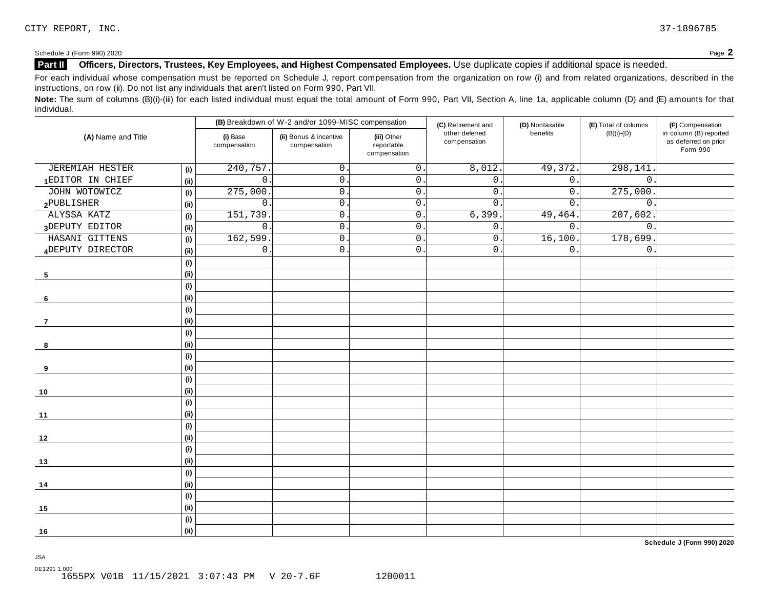Schedule <sup>J</sup> (Form 990) <sup>2020</sup> Page **2**

#### **Part II Officers, Directors, Trustees, Key Employees, and Highest Compensated Employees.** Use duplicate copies ifadditional space is needed.

For each individual whose compensation must be reported on Schedule J, report compensation from the organization on row (i) and from related organizations, described in the instructions, on row (ii). Do not list any individuals that aren't listed on Form 990, Part VII.

Note: The sum of columns (B)(i)-(iii) for each listed individual must equal the total amount of Form 990, Part VII, Section A, line 1a, applicable column (D) and (E) amounts for that individual.

|                        |                              | (B) Breakdown of W-2 and/or 1099-MISC compensation |                                        |                                           | (C) Retirement and             | (D) Nontaxable   | (E) Total of columns | (F) Compensation                                           |
|------------------------|------------------------------|----------------------------------------------------|----------------------------------------|-------------------------------------------|--------------------------------|------------------|----------------------|------------------------------------------------------------|
| (A) Name and Title     |                              | (i) Base<br>compensation                           | (ii) Bonus & incentive<br>compensation | (iii) Other<br>reportable<br>compensation | other deferred<br>compensation | benefits         | $(B)(i)-(D)$         | in column (B) reported<br>as deferred on prior<br>Form 990 |
| <b>JEREMIAH HESTER</b> | (i)                          | 240,757.                                           | $\mathsf{O}$ .                         | $\overline{0}$ .                          | 8,012.                         | 49,372.          | 298,141              |                                                            |
| 1EDITOR IN CHIEF       | (i)                          | $\mathbf 0$                                        | $\mathbf 0$ .                          | $\overline{0}$ .                          | 0.                             | $0$ .            | $\mathbf{0}$ .       |                                                            |
| JOHN WOTOWICZ          | (i)                          | 275,000                                            | $\mathsf{O}$ .                         | $\mathsf 0$ .                             | $\mathsf{O}$ .                 | 0.               | 275,000              |                                                            |
| 2PUBLISHER             | (i)                          | $\mathsf{O}$                                       | $\mathbf 0$ .                          | 0.                                        | $\mathsf{O}$ .                 | 0.               | $\mathbf 0$ .        |                                                            |
| ALYSSA KATZ            | (i)                          | 151,739                                            | $\mathsf{O}$ .                         | $0$ .                                     | 6,399                          | 49,464.          | 207,602.             |                                                            |
| 3DEPUTY EDITOR         | (i)                          | $\mathsf{O}$                                       | $\mathsf{O}$ .                         | $0$ .                                     | $\mathsf{O}$ .                 | $\overline{0}$ . | $\mathsf{O}$ .       |                                                            |
| HASANI GITTENS         | (i)                          | 162,599                                            | $\mathbf 0$                            | 0.                                        | $0$ .                          | 16,100.          | 178,699.             |                                                            |
| 4DEPUTY DIRECTOR       | (i)                          | 0                                                  | $\mathbf 0$                            | 0.                                        | $\mathbf{0}$                   | $0$ .            | $\mathbf 0$ .        |                                                            |
|                        | (i)                          |                                                    |                                        |                                           |                                |                  |                      |                                                            |
| 5                      | (i)                          |                                                    |                                        |                                           |                                |                  |                      |                                                            |
|                        | (i)                          |                                                    |                                        |                                           |                                |                  |                      |                                                            |
| 6                      | (i)                          |                                                    |                                        |                                           |                                |                  |                      |                                                            |
|                        | (i)                          |                                                    |                                        |                                           |                                |                  |                      |                                                            |
| $\overline{7}$         | (i)                          |                                                    |                                        |                                           |                                |                  |                      |                                                            |
|                        | (i)                          |                                                    |                                        |                                           |                                |                  |                      |                                                            |
| 8                      | (i)                          |                                                    |                                        |                                           |                                |                  |                      |                                                            |
|                        | (i)                          |                                                    |                                        |                                           |                                |                  |                      |                                                            |
| 9                      | (i)                          |                                                    |                                        |                                           |                                |                  |                      |                                                            |
|                        | (i)                          |                                                    |                                        |                                           |                                |                  |                      |                                                            |
| 10                     | (i)                          |                                                    |                                        |                                           |                                |                  |                      |                                                            |
|                        | (i)                          |                                                    |                                        |                                           |                                |                  |                      |                                                            |
| 11                     | (i)                          |                                                    |                                        |                                           |                                |                  |                      |                                                            |
|                        | (i)                          |                                                    |                                        |                                           |                                |                  |                      |                                                            |
| 12                     | (i)                          |                                                    |                                        |                                           |                                |                  |                      |                                                            |
|                        | (i)                          |                                                    |                                        |                                           |                                |                  |                      |                                                            |
| 13                     | (i)                          |                                                    |                                        |                                           |                                |                  |                      |                                                            |
|                        | $\qquad \qquad \textbf{(i)}$ |                                                    |                                        |                                           |                                |                  |                      |                                                            |
| 14                     | (i)                          |                                                    |                                        |                                           |                                |                  |                      |                                                            |
|                        | (i)                          |                                                    |                                        |                                           |                                |                  |                      |                                                            |
| 15                     | (i)                          |                                                    |                                        |                                           |                                |                  |                      |                                                            |
|                        | (i)                          |                                                    |                                        |                                           |                                |                  |                      |                                                            |
| 16                     | (i)                          |                                                    |                                        |                                           |                                |                  |                      |                                                            |

**Schedule J (Form 990) 2020**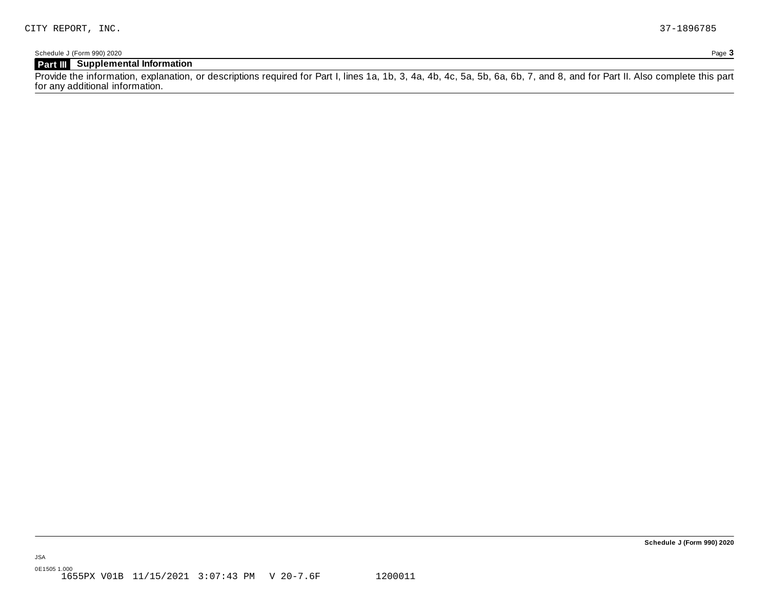Schedule J (Form 990) 2020 Page **3**

#### **Part III Supplemental Information**

Provide the information, explanation, or descriptions required for Part I, lines 1a, 1b, 3, 4a, 4b, 4c, 5a, 5b, 6a, 6b, 7, and 8, and for Part II. Also complete this part for any additional information.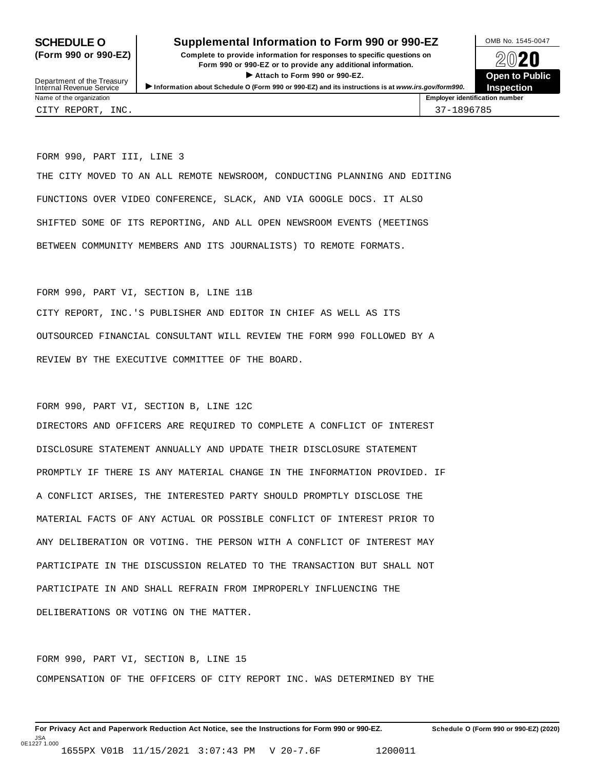#### **SCHEDULE O** Supplemental Information to Form 990 or 990-EZ DMB No. 1545-0047

**(Form 990 or 990-EZ) Complete to provide information for responses to specific questions on** plete to provide information for responses to specific questions on  $\bigotimes_{\mathbb{Z}}\mathbb{Q}$  20 **EVECT**<br>
Attach to Form 990 or 990-EZ.<br>
and the Communication of the Communication of the Communication of the Communication of the Communication of the Communication of the Communication of the Communication of the Commu Department of the Treasury <br>Depen to Public<br>Name of the organization<br>Name of the organization<br>Name of the organization<br>Name of the organization<br>Name of the organization<br>Name of the organization<br>Name of the organization<br>Na



Department of the Treasury<br>Internal Revenue Service CITY REPORT, INC. 37-1896785

FORM 990, PART III, LINE 3

THE CITY MOVED TO AN ALL REMOTE NEWSROOM, CONDUCTING PLANNING AND EDITING FUNCTIONS OVER VIDEO CONFERENCE, SLACK, AND VIA GOOGLE DOCS. IT ALSO SHIFTED SOME OF ITS REPORTING, AND ALL OPEN NEWSROOM EVENTS (MEETINGS BETWEEN COMMUNITY MEMBERS AND ITS JOURNALISTS) TO REMOTE FORMATS.

#### FORM 990, PART VI, SECTION B, LINE 11B

CITY REPORT, INC.'S PUBLISHER AND EDITOR IN CHIEF AS WELL AS ITS OUTSOURCED FINANCIAL CONSULTANT WILL REVIEW THE FORM 990 FOLLOWED BY A REVIEW BY THE EXECUTIVE COMMITTEE OF THE BOARD.

```
FORM 990, PART VI, SECTION B, LINE 12C
```
DIRECTORS AND OFFICERS ARE REQUIRED TO COMPLETE A CONFLICT OF INTEREST DISCLOSURE STATEMENT ANNUALLY AND UPDATE THEIR DISCLOSURE STATEMENT PROMPTLY IF THERE IS ANY MATERIAL CHANGE IN THE INFORMATION PROVIDED. IF A CONFLICT ARISES, THE INTERESTED PARTY SHOULD PROMPTLY DISCLOSE THE MATERIAL FACTS OF ANY ACTUAL OR POSSIBLE CONFLICT OF INTEREST PRIOR TO ANY DELIBERATION OR VOTING. THE PERSON WITH A CONFLICT OF INTEREST MAY PARTICIPATE IN THE DISCUSSION RELATED TO THE TRANSACTION BUT SHALL NOT PARTICIPATE IN AND SHALL REFRAIN FROM IMPROPERLY INFLUENCING THE DELIBERATIONS OR VOTING ON THE MATTER.

FORM 990, PART VI, SECTION B, LINE 15 COMPENSATION OF THE OFFICERS OF CITY REPORT INC. WAS DETERMINED BY THE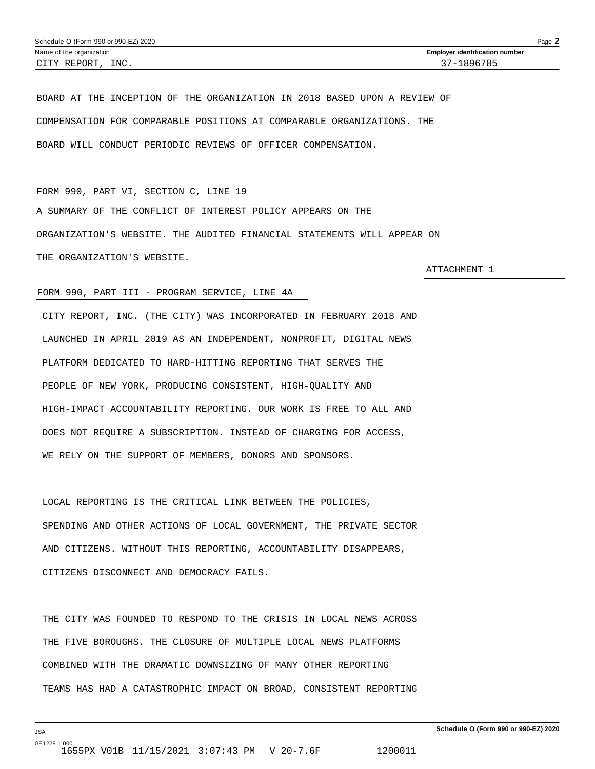<span id="page-37-0"></span>BOARD AT THE INCEPTION OF THE ORGANIZATION IN 2018 BASED UPON A REVIEW OF COMPENSATION FOR COMPARABLE POSITIONS AT COMPARABLE ORGANIZATIONS. THE BOARD WILL CONDUCT PERIODIC REVIEWS OF OFFICER COMPENSATION.

FORM 990, PART VI, SECTION C, LINE 19 A SUMMARY OF THE CONFLICT OF INTEREST POLICY APPEARS ON THE ORGANIZATION'S WEBSITE. THE AUDITED FINANCIAL STATEMENTS WILL APPEAR ON THE ORGANIZATION'S WEBSITE.

ATTACHMENT 1

#### FORM 990, PART III - PROGRAM SERVICE, LINE 4A

CITY REPORT, INC. (THE CITY) WAS INCORPORATED IN FEBRUARY 2018 AND LAUNCHED IN APRIL 2019 AS AN INDEPENDENT, NONPROFIT, DIGITAL NEWS PLATFORM DEDICATED TO HARD-HITTING REPORTING THAT SERVES THE PEOPLE OF NEW YORK, PRODUCING CONSISTENT, HIGH-QUALITY AND HIGH-IMPACT ACCOUNTABILITY REPORTING. OUR WORK IS FREE TO ALL AND DOES NOT REQUIRE A SUBSCRIPTION. INSTEAD OF CHARGING FOR ACCESS, WE RELY ON THE SUPPORT OF MEMBERS, DONORS AND SPONSORS.

LOCAL REPORTING IS THE CRITICAL LINK BETWEEN THE POLICIES, SPENDING AND OTHER ACTIONS OF LOCAL GOVERNMENT, THE PRIVATE SECTOR AND CITIZENS. WITHOUT THIS REPORTING, ACCOUNTABILITY DISAPPEARS, CITIZENS DISCONNECT AND DEMOCRACY FAILS.

THE CITY WAS FOUNDED TO RESPOND TO THE CRISIS IN LOCAL NEWS ACROSS THE FIVE BOROUGHS. THE CLOSURE OF MULTIPLE LOCAL NEWS PLATFORMS COMBINED WITH THE DRAMATIC DOWNSIZING OF MANY OTHER REPORTING TEAMS HAS HAD A CATASTROPHIC IMPACT ON BROAD, CONSISTENT REPORTING

JSA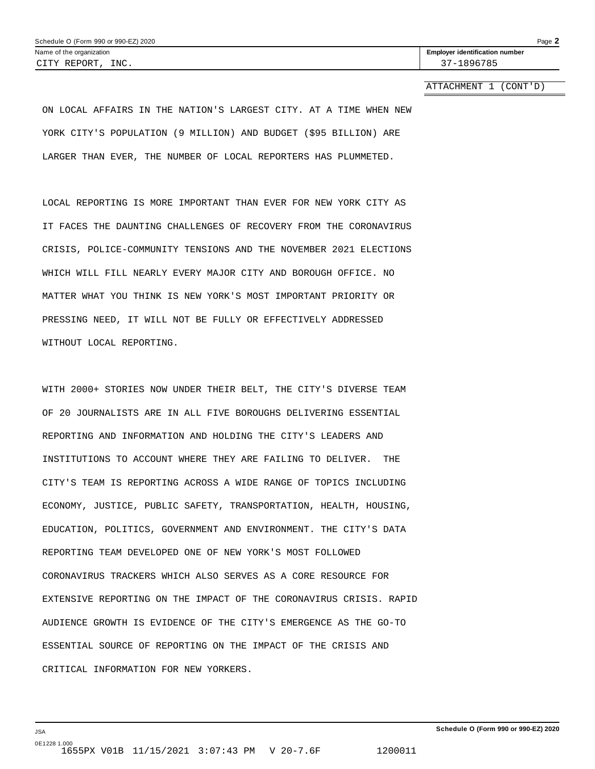ATTACHMENT 1 (CONT'D)

ON LOCAL AFFAIRS IN THE NATION'S LARGEST CITY. AT A TIME WHEN NEW YORK CITY'S POPULATION (9 MILLION) AND BUDGET (\$95 BILLION) ARE LARGER THAN EVER, THE NUMBER OF LOCAL REPORTERS HAS PLUMMETED.

LOCAL REPORTING IS MORE IMPORTANT THAN EVER FOR NEW YORK CITY AS IT FACES THE DAUNTING CHALLENGES OF RECOVERY FROM THE CORONAVIRUS CRISIS, POLICE-COMMUNITY TENSIONS AND THE NOVEMBER 2021 ELECTIONS WHICH WILL FILL NEARLY EVERY MAJOR CITY AND BOROUGH OFFICE. NO MATTER WHAT YOU THINK IS NEW YORK'S MOST IMPORTANT PRIORITY OR PRESSING NEED, IT WILL NOT BE FULLY OR EFFECTIVELY ADDRESSED WITHOUT LOCAL REPORTING.

WITH 2000+ STORIES NOW UNDER THEIR BELT, THE CITY'S DIVERSE TEAM OF 20 JOURNALISTS ARE IN ALL FIVE BOROUGHS DELIVERING ESSENTIAL REPORTING AND INFORMATION AND HOLDING THE CITY'S LEADERS AND INSTITUTIONS TO ACCOUNT WHERE THEY ARE FAILING TO DELIVER. THE CITY'S TEAM IS REPORTING ACROSS A WIDE RANGE OF TOPICS INCLUDING ECONOMY, JUSTICE, PUBLIC SAFETY, TRANSPORTATION, HEALTH, HOUSING, EDUCATION, POLITICS, GOVERNMENT AND ENVIRONMENT. THE CITY'S DATA REPORTING TEAM DEVELOPED ONE OF NEW YORK'S MOST FOLLOWED CORONAVIRUS TRACKERS WHICH ALSO SERVES AS A CORE RESOURCE FOR EXTENSIVE REPORTING ON THE IMPACT OF THE CORONAVIRUS CRISIS. RAPID AUDIENCE GROWTH IS EVIDENCE OF THE CITY'S EMERGENCE AS THE GO-TO ESSENTIAL SOURCE OF REPORTING ON THE IMPACT OF THE CRISIS AND CRITICAL INFORMATION FOR NEW YORKERS.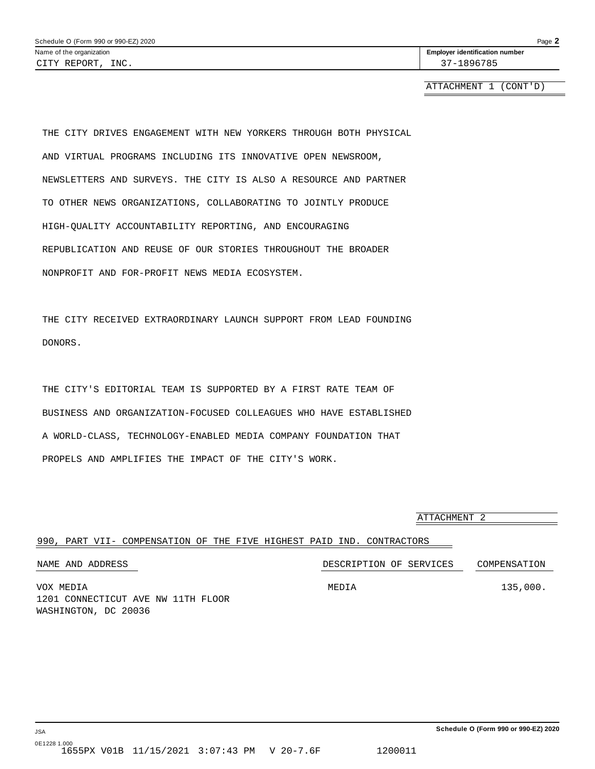ATTACHMENT 1 (CONT'D)

<span id="page-39-0"></span>THE CITY DRIVES ENGAGEMENT WITH NEW YORKERS THROUGH BOTH PHYSICAL AND VIRTUAL PROGRAMS INCLUDING ITS INNOVATIVE OPEN NEWSROOM, NEWSLETTERS AND SURVEYS. THE CITY IS ALSO A RESOURCE AND PARTNER TO OTHER NEWS ORGANIZATIONS, COLLABORATING TO JOINTLY PRODUCE HIGH-QUALITY ACCOUNTABILITY REPORTING, AND ENCOURAGING REPUBLICATION AND REUSE OF OUR STORIES THROUGHOUT THE BROADER NONPROFIT AND FOR-PROFIT NEWS MEDIA ECOSYSTEM.

THE CITY RECEIVED EXTRAORDINARY LAUNCH SUPPORT FROM LEAD FOUNDING DONORS.

THE CITY'S EDITORIAL TEAM IS SUPPORTED BY A FIRST RATE TEAM OF BUSINESS AND ORGANIZATION-FOCUSED COLLEAGUES WHO HAVE ESTABLISHED A WORLD-CLASS, TECHNOLOGY-ENABLED MEDIA COMPANY FOUNDATION THAT PROPELS AND AMPLIFIES THE IMPACT OF THE CITY'S WORK.

|                                                                       | ATTACHMENT 2            |              |
|-----------------------------------------------------------------------|-------------------------|--------------|
| 990, PART VII- COMPENSATION OF THE FIVE HIGHEST PAID IND. CONTRACTORS |                         |              |
| NAME AND ADDRESS                                                      | DESCRIPTION OF SERVICES | COMPENSATION |
| VOX MEDIA                                                             | MEDIA                   | 135,000.     |

JSA

WASHINGTON, DC 20036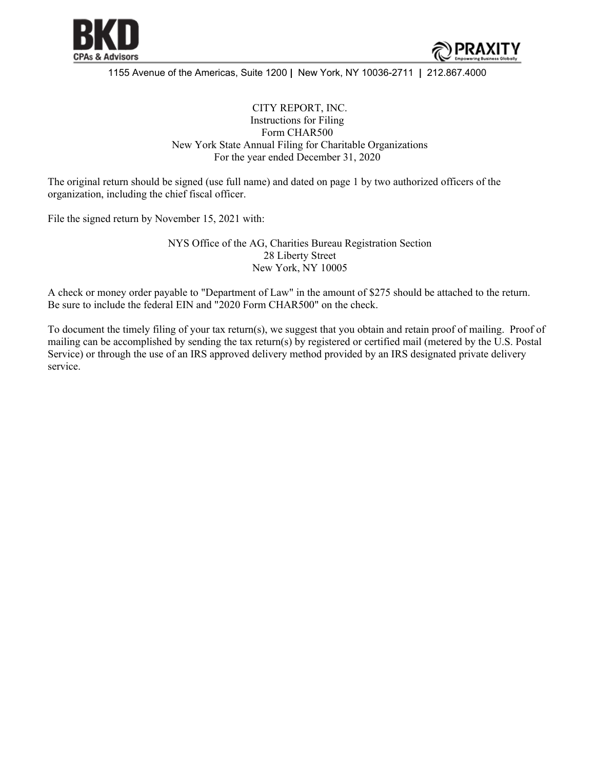



1155 Avenue of the Americas, Suite 1200 **|** New York, NY 10036-2711 **|**  212.867.4000

### CITY REPORT, INC. Instructions for Filing Form CHAR500 New York State Annual Filing for Charitable Organizations For the year ended December 31, 2020

The original return should be signed (use full name) and dated on page 1 by two authorized officers of the organization, including the chief fiscal officer.

File the signed return by November 15, 2021 with:

 NYS Office of the AG, Charities Bureau Registration Section 28 Liberty Street New York, NY 10005

A check or money order payable to "Department of Law" in the amount of \$275 should be attached to the return. Be sure to include the federal EIN and "2020 Form CHAR500" on the check.

To document the timely filing of your tax return(s), we suggest that you obtain and retain proof of mailing. Proof of mailing can be accomplished by sending the tax return(s) by registered or certified mail (metered by the U.S. Postal Service) or through the use of an IRS approved delivery method provided by an IRS designated private delivery service.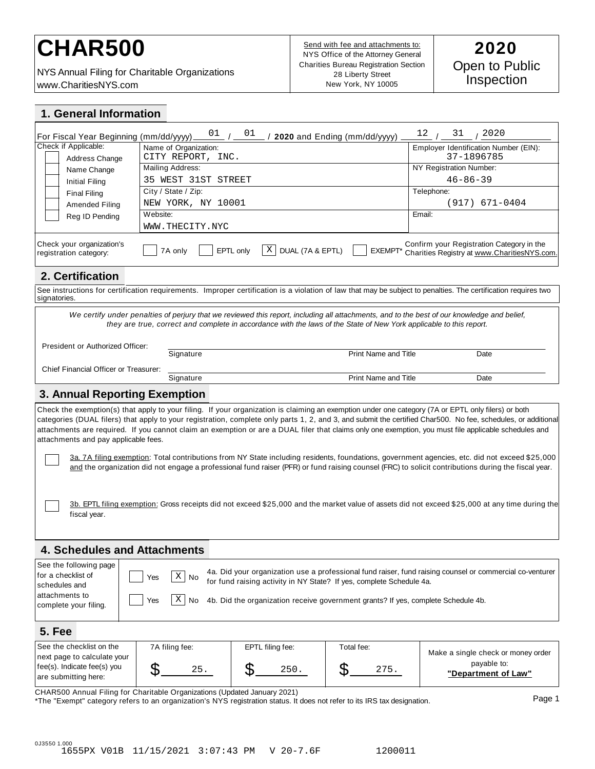# CHAR500<br>**CHAR500 2020**<br>**2020 2020**

NYS Annual Filing for Charitable Organizations www.CharitiesNYS.com

Send with fee and attachments to: NYS Office of the Attorney General Charities Bureau Registration Section 28 Liberty Street New York, NY 10005

| 1. General Information                                                                                   |                                                                                                                     |                                                                                                                                                           |                                |                                                                                                                                                                                                                                                                                                                                                                                                                                                                |
|----------------------------------------------------------------------------------------------------------|---------------------------------------------------------------------------------------------------------------------|-----------------------------------------------------------------------------------------------------------------------------------------------------------|--------------------------------|----------------------------------------------------------------------------------------------------------------------------------------------------------------------------------------------------------------------------------------------------------------------------------------------------------------------------------------------------------------------------------------------------------------------------------------------------------------|
| For Fiscal Year Beginning (mm/dd/yyyy)<br>Check if Applicable:                                           | 01                                                                                                                  | 01                                                                                                                                                        | / 2020 and Ending (mm/dd/yyyy) | $12$ , $31$ , $2020$                                                                                                                                                                                                                                                                                                                                                                                                                                           |
| Address Change                                                                                           | Name of Organization:<br>CITY REPORT, INC.                                                                          |                                                                                                                                                           |                                | Employer Identification Number (EIN):<br>37-1896785                                                                                                                                                                                                                                                                                                                                                                                                            |
| Name Change                                                                                              | Mailing Address:                                                                                                    |                                                                                                                                                           |                                | NY Registration Number:                                                                                                                                                                                                                                                                                                                                                                                                                                        |
| Initial Filing                                                                                           | 35 WEST 31ST STREET                                                                                                 |                                                                                                                                                           |                                | $46 - 86 - 39$                                                                                                                                                                                                                                                                                                                                                                                                                                                 |
| <b>Final Filing</b>                                                                                      | City / State / Zip:                                                                                                 |                                                                                                                                                           |                                | Telephone:                                                                                                                                                                                                                                                                                                                                                                                                                                                     |
| Amended Filing                                                                                           | NEW YORK, NY 10001                                                                                                  |                                                                                                                                                           |                                | $(917) 671 - 0404$                                                                                                                                                                                                                                                                                                                                                                                                                                             |
| Reg ID Pending                                                                                           | Website:                                                                                                            |                                                                                                                                                           |                                | Email:                                                                                                                                                                                                                                                                                                                                                                                                                                                         |
|                                                                                                          | WWW.THECITY.NYC                                                                                                     |                                                                                                                                                           |                                |                                                                                                                                                                                                                                                                                                                                                                                                                                                                |
| Check your organization's<br>registration category:                                                      | 7A only                                                                                                             | ΧI<br>DUAL (7A & EPTL)<br>EPTL only                                                                                                                       | EXEMPT*                        | Confirm your Registration Category in the<br>Charities Registry at www.CharitiesNYS.com.                                                                                                                                                                                                                                                                                                                                                                       |
| 2. Certification                                                                                         |                                                                                                                     |                                                                                                                                                           |                                |                                                                                                                                                                                                                                                                                                                                                                                                                                                                |
| signatories.                                                                                             |                                                                                                                     |                                                                                                                                                           |                                | See instructions for certification requirements. Improper certification is a violation of law that may be subject to penalties. The certification requires two                                                                                                                                                                                                                                                                                                 |
|                                                                                                          | they are true, correct and complete in accordance with the laws of the State of New York applicable to this report. |                                                                                                                                                           |                                | We certify under penalties of perjury that we reviewed this report, including all attachments, and to the best of our knowledge and belief,                                                                                                                                                                                                                                                                                                                    |
| President or Authorized Officer:                                                                         | Signature                                                                                                           |                                                                                                                                                           | Print Name and Title           | Date                                                                                                                                                                                                                                                                                                                                                                                                                                                           |
|                                                                                                          |                                                                                                                     |                                                                                                                                                           |                                |                                                                                                                                                                                                                                                                                                                                                                                                                                                                |
| Chief Financial Officer or Treasurer:                                                                    |                                                                                                                     |                                                                                                                                                           |                                |                                                                                                                                                                                                                                                                                                                                                                                                                                                                |
| 3. Annual Reporting Exemption                                                                            | Signature                                                                                                           |                                                                                                                                                           | Print Name and Title           | Date<br>Check the exemption(s) that apply to your filing. If your organization is claiming an exemption under one category (7A or EPTL only filers) or both<br>categories (DUAL filers) that apply to your registration, complete only parts 1, 2, and 3, and submit the certified Char500. No fee, schedules, or additional                                                                                                                                   |
|                                                                                                          |                                                                                                                     |                                                                                                                                                           |                                | attachments are required. If you cannot claim an exemption or are a DUAL filer that claims only one exemption, you must file applicable schedules and<br>3a. 7A filing exemption: Total contributions from NY State including residents, foundations, government agencies, etc. did not exceed \$25,000<br>and the organization did not engage a professional fund raiser (PFR) or fund raising counsel (FRC) to solicit contributions during the fiscal year. |
| fiscal year.                                                                                             |                                                                                                                     |                                                                                                                                                           |                                | 3b. EPTL filing exemption: Gross receipts did not exceed \$25,000 and the market value of assets did not exceed \$25,000 at any time during the                                                                                                                                                                                                                                                                                                                |
| attachments and pay applicable fees.<br><b>4. Schedules and Attachments</b>                              |                                                                                                                     |                                                                                                                                                           |                                |                                                                                                                                                                                                                                                                                                                                                                                                                                                                |
| See the following page<br>for a checklist of<br>schedules and<br>attachments to<br>complete your filing. | $\mathbf{X}$<br>Yes<br>No<br>X<br>Yes<br>No                                                                         | for fund raising activity in NY State? If yes, complete Schedule 4a.<br>4b. Did the organization receive government grants? If yes, complete Schedule 4b. |                                | 4a. Did your organization use a professional fund raiser, fund raising counsel or commercial co-venturer                                                                                                                                                                                                                                                                                                                                                       |
| <b>5. Fee</b>                                                                                            |                                                                                                                     |                                                                                                                                                           |                                |                                                                                                                                                                                                                                                                                                                                                                                                                                                                |
| See the checklist on the                                                                                 | 7A filing fee:                                                                                                      | EPTL filing fee:                                                                                                                                          | Total fee:                     |                                                                                                                                                                                                                                                                                                                                                                                                                                                                |
| next page to calculate your                                                                              |                                                                                                                     |                                                                                                                                                           |                                | Make a single check or money order                                                                                                                                                                                                                                                                                                                                                                                                                             |
| fee(s). Indicate fee(s) you<br>are submitting here:                                                      | \$<br>25.                                                                                                           | 250.                                                                                                                                                      | \$<br>275.                     | payable to:<br>"Department of Law"                                                                                                                                                                                                                                                                                                                                                                                                                             |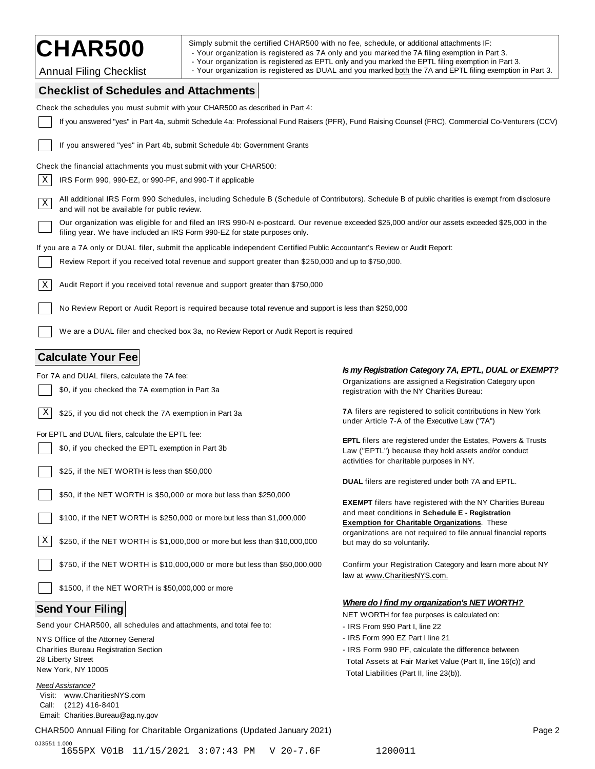|  | <b>CHAR500</b> |  |
|--|----------------|--|
|--|----------------|--|

| Simply submit the certified CHAR500 with no fee, schedule, or additional attachments IF |  |  |
|-----------------------------------------------------------------------------------------|--|--|

CHAR500<br>- Your organization is registered as 7A only and you marked the 7A filing exemption in Part 3.<br>- Your organization is registered as EPTL only and you marked the EPTL filing exemption in Part 3.

Annual Filing Checklist **Filing Checklist** Figure organization is registered as DUAL and you marked <u>both</u> the 7A and EPTL filing exemption in Part 3.

# **Checklist of Schedules and Attachments**

| Check the schedules you must submit with your CHAR500 as described in Part 4:                                                                                                                                              |                                                                                                                                                                           |
|----------------------------------------------------------------------------------------------------------------------------------------------------------------------------------------------------------------------------|---------------------------------------------------------------------------------------------------------------------------------------------------------------------------|
| If you answered "yes" in Part 4a, submit Schedule 4a: Professional Fund Raisers (PFR), Fund Raising Counsel (FRC), Commercial Co-Venturers (CCV)                                                                           |                                                                                                                                                                           |
| If you answered "yes" in Part 4b, submit Schedule 4b: Government Grants                                                                                                                                                    |                                                                                                                                                                           |
| Check the financial attachments you must submit with your CHAR500:                                                                                                                                                         |                                                                                                                                                                           |
| Χ<br>IRS Form 990, 990-EZ, or 990-PF, and 990-T if applicable                                                                                                                                                              |                                                                                                                                                                           |
| All additional IRS Form 990 Schedules, including Schedule B (Schedule of Contributors). Schedule B of public charities is exempt from disclosure<br>$\mathbf X$<br>and will not be available for public review.            |                                                                                                                                                                           |
| Our organization was eligible for and filed an IRS 990-N e-postcard. Our revenue exceeded \$25,000 and/or our assets exceeded \$25,000 in the<br>filing year. We have included an IRS Form 990-EZ for state purposes only. |                                                                                                                                                                           |
| If you are a 7A only or DUAL filer, submit the applicable independent Certified Public Accountant's Review or Audit Report:                                                                                                |                                                                                                                                                                           |
| Review Report if you received total revenue and support greater than \$250,000 and up to \$750,000.                                                                                                                        |                                                                                                                                                                           |
| Χ<br>Audit Report if you received total revenue and support greater than \$750,000                                                                                                                                         |                                                                                                                                                                           |
| No Review Report or Audit Report is required because total revenue and support is less than \$250,000                                                                                                                      |                                                                                                                                                                           |
| We are a DUAL filer and checked box 3a, no Review Report or Audit Report is required                                                                                                                                       |                                                                                                                                                                           |
| <b>Calculate Your Fee</b>                                                                                                                                                                                                  |                                                                                                                                                                           |
| For 7A and DUAL filers, calculate the 7A fee:                                                                                                                                                                              | Is my Registration Category 7A, EPTL, DUAL or EXEMPT?                                                                                                                     |
| \$0, if you checked the 7A exemption in Part 3a                                                                                                                                                                            | Organizations are assigned a Registration Category upon<br>registration with the NY Charities Bureau:                                                                     |
| Х<br>\$25, if you did not check the 7A exemption in Part 3a                                                                                                                                                                | <b>7A</b> filers are registered to solicit contributions in New York<br>under Article 7-A of the Executive Law ("7A")                                                     |
| For EPTL and DUAL filers, calculate the EPTL fee:                                                                                                                                                                          |                                                                                                                                                                           |
| \$0, if you checked the EPTL exemption in Part 3b                                                                                                                                                                          | <b>EPTL</b> filers are registered under the Estates, Powers & Trusts<br>Law ("EPTL") because they hold assets and/or conduct<br>activities for charitable purposes in NY. |
| \$25, if the NET WORTH is less than \$50,000                                                                                                                                                                               |                                                                                                                                                                           |
|                                                                                                                                                                                                                            | <b>DUAL</b> filers are registered under both 7A and EPTL.                                                                                                                 |
| \$50, if the NET WORTH is \$50,000 or more but less than \$250,000                                                                                                                                                         | <b>EXEMPT</b> filers have registered with the NY Charities Bureau                                                                                                         |
| \$100, if the NET WORTH is \$250,000 or more but less than \$1,000,000                                                                                                                                                     | and meet conditions in <b>Schedule E - Registration</b><br><b>Exemption for Charitable Organizations.</b> These                                                           |
| Χ<br>\$250, if the NET WORTH is \$1,000,000 or more but less than \$10,000,000                                                                                                                                             | organizations are not required to file annual financial reports<br>but may do so voluntarily.                                                                             |
| \$750, if the NET WORTH is \$10,000,000 or more but less than \$50,000,000                                                                                                                                                 | Confirm your Registration Category and learn more about NY<br>law at www.CharitiesNYS.com.                                                                                |
| \$1500, if the NET WORTH is \$50,000,000 or more                                                                                                                                                                           |                                                                                                                                                                           |
| <b>Send Your Filing</b>                                                                                                                                                                                                    | Where do I find my organization's NET WORTH?<br>NET WORTH for fee purposes is calculated on:                                                                              |
| Send your CHAR500, all schedules and attachments, and total fee to:                                                                                                                                                        | - IRS From 990 Part I, line 22                                                                                                                                            |
| NYS Office of the Attorney General                                                                                                                                                                                         | - IRS Form 990 EZ Part I line 21                                                                                                                                          |
| <b>Charities Bureau Registration Section</b>                                                                                                                                                                               | - IRS Form 990 PF, calculate the difference between                                                                                                                       |
| 28 Liberty Street                                                                                                                                                                                                          | Total Assets at Fair Market Value (Part II, line 16(c)) and                                                                                                               |
| New York, NY 10005                                                                                                                                                                                                         | Total Liabilities (Part II, line 23(b)).                                                                                                                                  |
| <u>Need Assistance?</u>                                                                                                                                                                                                    |                                                                                                                                                                           |
| Visit: www.CharitiesNYS.com                                                                                                                                                                                                |                                                                                                                                                                           |
| (212) 416-8401<br>Call:                                                                                                                                                                                                    |                                                                                                                                                                           |
| Email: Charities.Bureau@ag.ny.gov                                                                                                                                                                                          |                                                                                                                                                                           |
| CHAR500 Annual Filing for Charitable Organizations (Updated January 2021)                                                                                                                                                  | Page 2                                                                                                                                                                    |

0J3551 1.000 1655PX V01B 11/15/2021 3:07:43 PM V 20-7.6F 1200011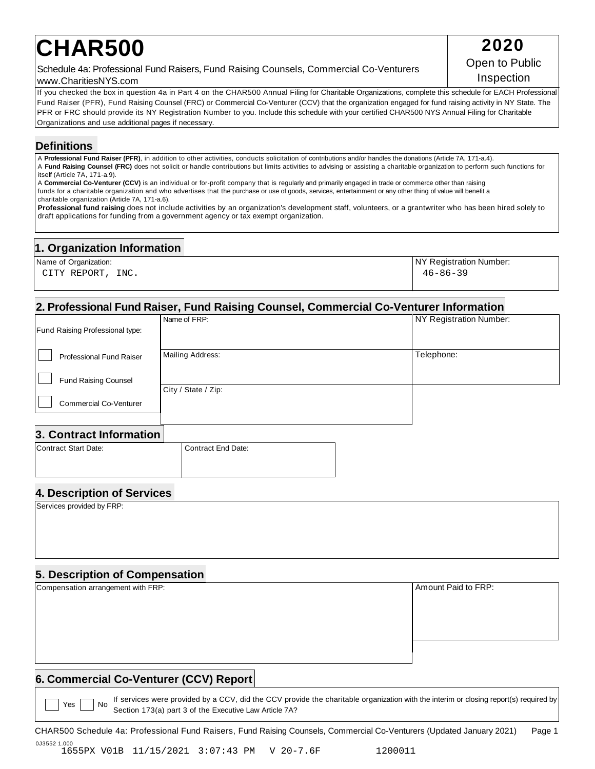# **CHAR500 2020**

#### Schedule 4a: Professional Fund Raisers, Fund Raising Counsels, Commercial Co-Venturers www.CharitiesNYS.com

# Open to Public Inspection

If you checked the box in question 4a in Part 4 on the CHAR500 Annual Filing for Charitable Organizations, complete this schedule for EACH Professional Fund Raiser (PFR), Fund Raising Counsel (FRC) or Commercial Co-Venturer (CCV) that the organization engaged for fund raising activity in NY State. The PFR or FRC should provide its NY Registration Number to you. Include this schedule with your certified CHAR500 NYS Annual Filing for Charitable Organizations and use additional pages if necessary.

# **Definitions**

A **Professional Fund Raiser (PFR)**, in addition to other activities, conducts solicitation of contributions and/or handles the donations (Article 7A, 171-a.4). A **Fund Raising Counsel (FRC)** does not solicit or handle contributions but limits activities to advising or assisting a charitable organization to perform such functions for itself (Article 7A, 171-a.9).

A **Commercial Co-Venturer (CCV)** is an individual or for-profit company that is regularly and primarily engaged in trade or commerce other than raising funds for a charitable organization and who advertises that the purchase or use of goods, services, entertainment or any other thing of value will benefit a charitable organization (Article 7A, 171-a.6).

**Professional fund raising** does not include activities by an organization's development staff, volunteers, or a grantwriter who has been hired solely to draft applications for funding from a government agency or tax exempt organization.

# **1. Organization Information**

| Name of Organization: | NY Registration Number: |
|-----------------------|-------------------------|
| INC.<br>CITY REPORT   | $46 - 86 - 39$          |
|                       |                         |

# **2. Professional Fund Raiser, Fund Raising Counsel, Commercial Co-Venturer Information**

|                                        | Name of FRP:        | NY Registration Number: |
|----------------------------------------|---------------------|-------------------------|
| <b>Fund Raising Professional type:</b> |                     |                         |
| Professional Fund Raiser               | Mailing Address:    | Telephone:              |
| <b>Fund Raising Counsel</b>            | City / State / Zip: |                         |
| <b>Commercial Co-Venturer</b>          |                     |                         |
|                                        |                     |                         |

## **3. Contract Information**

| Contract Start Date: | l Contract End Date: |
|----------------------|----------------------|
|                      |                      |
|                      |                      |

## **4. Description of Services**

Services provided by FRP:

## **5. Description of Compensation**

| Compensation arrangement with FRP: | Amount Paid to FRP: |
|------------------------------------|---------------------|
|                                    |                     |
|                                    |                     |
|                                    |                     |
|                                    |                     |
|                                    |                     |
|                                    |                     |

## **6. Commercial Co-Venturer (CCV) Report**

If services were provided by a CCV, did the CCV provide the charitable organization with the interim or closing report(s) required by Section 173(a) part 3 of the Executive Law Article 7A?  $Yes \mid \text{No}$ 

CHAR500 Schedule 4a: Professional Fund Raisers, Fund Raising Counsels, Commercial Co-Venturers (Updated January 2021) Page 1 0J3552 1.000

1655PX V01B 11/15/2021 3:07:43 PM V 20-7.6F 1200011